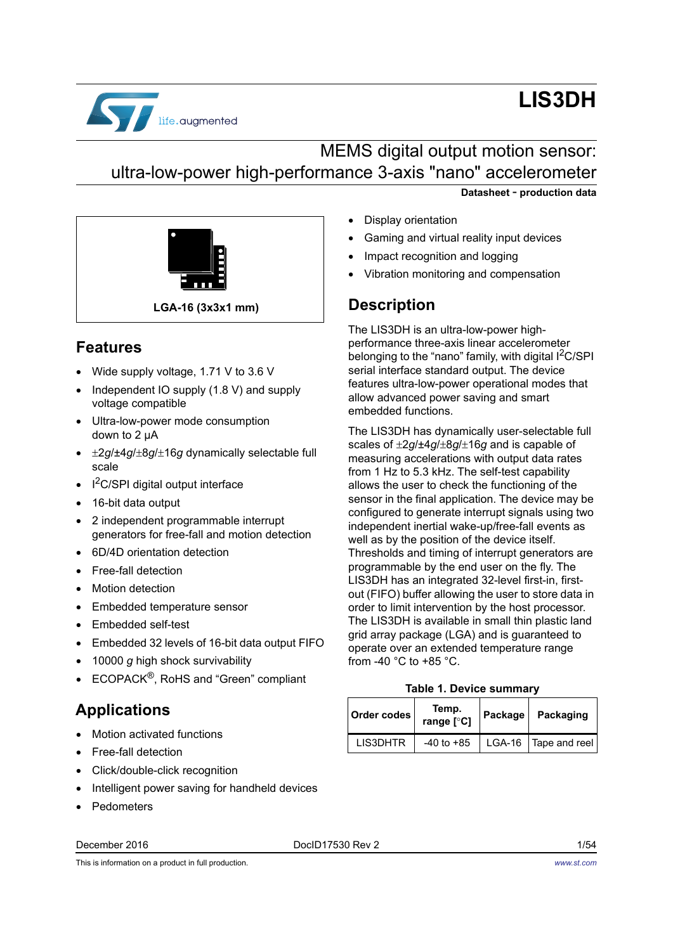

# **LIS3DH**

# MEMS digital output motion sensor: ultra-low-power high-performance 3-axis "nano" accelerometer

**Datasheet** - **production data**



### <span id="page-0-1"></span>**Features**

- Wide supply voltage, 1.71 V to 3.6 V
- Independent IO supply (1.8 V) and supply voltage compatible
- Ultra-low-power mode consumption down to 2 μA
- $\pm 2g/\pm 4g/\pm 8g/\pm 16g$  dynamically selectable full scale
- $I^2C/SPI$  digital output interface
- 16-bit data output
- 2 independent programmable interrupt generators for free-fall and motion detection
- 6D/4D orientation detection
- Free-fall detection
- Motion detection
- Embedded temperature sensor
- Embedded self-test
- Embedded 32 levels of 16-bit data output FIFO
- 10000 *g* high shock survivability
- ECOPACK<sup>®</sup>, RoHS and "Green" compliant

### **Applications**

- Motion activated functions
- Free-fall detection
- Click/double-click recognition
- Intelligent power saving for handheld devices
- Pedometers

December 2016 DocID17530 Rev 2 1/54

- Display orientation
- Gaming and virtual reality input devices
- Impact recognition and logging
- Vibration monitoring and compensation

### **Description**

The LIS3DH is an ultra-low-power highperformance three-axis linear accelerometer belonging to the "nano" family, with digital  $1^2C/SPI$ serial interface standard output. The device features ultra-low-power operational modes that allow advanced power saving and smart embedded functions.

The LIS3DH has dynamically user-selectable full scales of  $\pm 2g/\pm 4g/\pm 8g/\pm 16g$  and is capable of measuring accelerations with output data rates from 1 Hz to 5.3 kHz. The self-test capability allows the user to check the functioning of the sensor in the final application. The device may be configured to generate interrupt signals using two independent inertial wake-up/free-fall events as well as by the position of the device itself. Thresholds and timing of interrupt generators are programmable by the end user on the fly. The LIS3DH has an integrated 32-level first-in, firstout (FIFO) buffer allowing the user to store data in order to limit intervention by the host processor. The LIS3DH is available in small thin plastic land grid array package (LGA) and is guaranteed to operate over an extended temperature range from -40 °C to +85 °C.

#### **Table 1. Device summary**

<span id="page-0-0"></span>

| Order codes     | Temp.<br>range [°C] | Package | Packaging              |  |
|-----------------|---------------------|---------|------------------------|--|
| <b>LIS3DHTR</b> | $-40$ to $+85$      |         | LGA-16   Tape and reel |  |

This is information on a product in full production.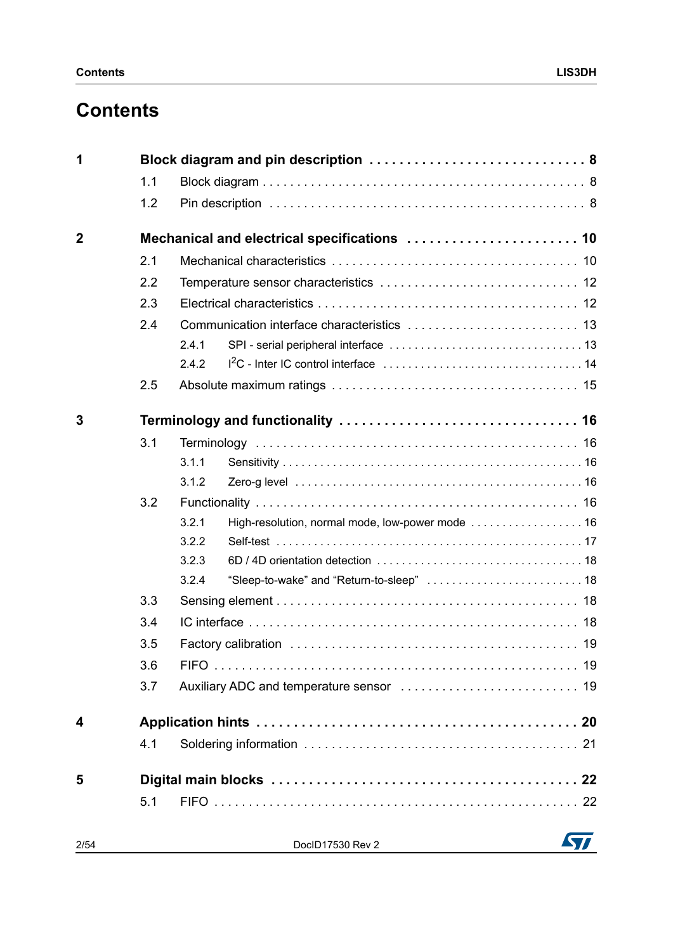| 1            |     | Block diagram and pin description  8                      |  |
|--------------|-----|-----------------------------------------------------------|--|
|              | 1.1 |                                                           |  |
|              | 1.2 |                                                           |  |
| $\mathbf{2}$ |     |                                                           |  |
|              | 2.1 |                                                           |  |
|              | 2.2 |                                                           |  |
|              | 2.3 |                                                           |  |
|              | 2.4 |                                                           |  |
|              |     | 2.4.1                                                     |  |
|              |     | 2.4.2                                                     |  |
|              | 2.5 |                                                           |  |
| 3            |     |                                                           |  |
|              | 3.1 |                                                           |  |
|              |     | 3.1.1                                                     |  |
|              |     | 3.1.2                                                     |  |
|              | 3.2 |                                                           |  |
|              |     | 3.2.1<br>High-resolution, normal mode, low-power mode  16 |  |
|              |     | 3.2.2                                                     |  |
|              |     | 3.2.3                                                     |  |
|              |     | 3.2.4                                                     |  |
|              | 3.3 |                                                           |  |
|              | 3.4 |                                                           |  |
|              | 3.5 |                                                           |  |
|              | 3.6 |                                                           |  |
|              | 3.7 |                                                           |  |
| 4            |     |                                                           |  |
|              | 4.1 |                                                           |  |
| 5            |     |                                                           |  |
|              | 5.1 |                                                           |  |
| 2/54         |     | DoclD17530 Rev 2                                          |  |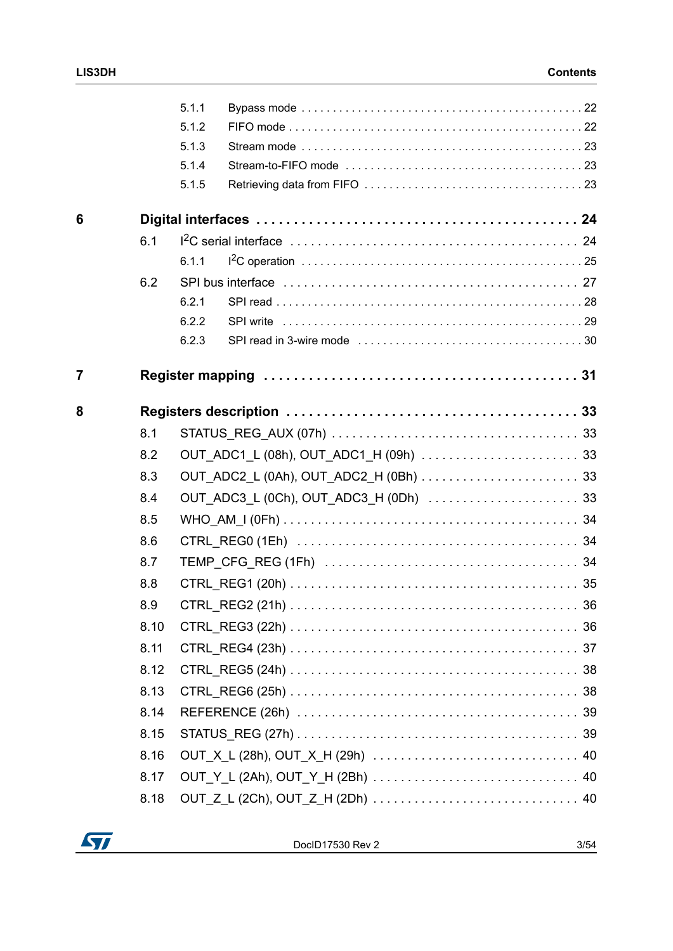|                |      | 5.1.1 |  |
|----------------|------|-------|--|
|                |      | 5.1.2 |  |
|                |      | 5.1.3 |  |
|                |      | 5.1.4 |  |
|                |      | 5.1.5 |  |
| 6              |      |       |  |
|                | 6.1  |       |  |
|                |      | 6.1.1 |  |
|                | 6.2  |       |  |
|                |      | 6.2.1 |  |
|                |      | 6.2.2 |  |
|                |      | 6.2.3 |  |
| $\overline{7}$ |      |       |  |
| 8              |      |       |  |
|                | 8.1  |       |  |
|                | 8.2  |       |  |
|                | 8.3  |       |  |
|                | 8.4  |       |  |
|                | 8.5  |       |  |
|                | 8.6  |       |  |
|                | 8.7  |       |  |
|                | 8.8  |       |  |
|                | 8.9  |       |  |
|                | 8.10 |       |  |
|                | 8.11 |       |  |
|                | 8.12 |       |  |
|                | 8.13 |       |  |
|                | 8.14 |       |  |
|                | 8.15 |       |  |
|                | 8.16 |       |  |
|                | 8.17 |       |  |
|                | 8.18 |       |  |

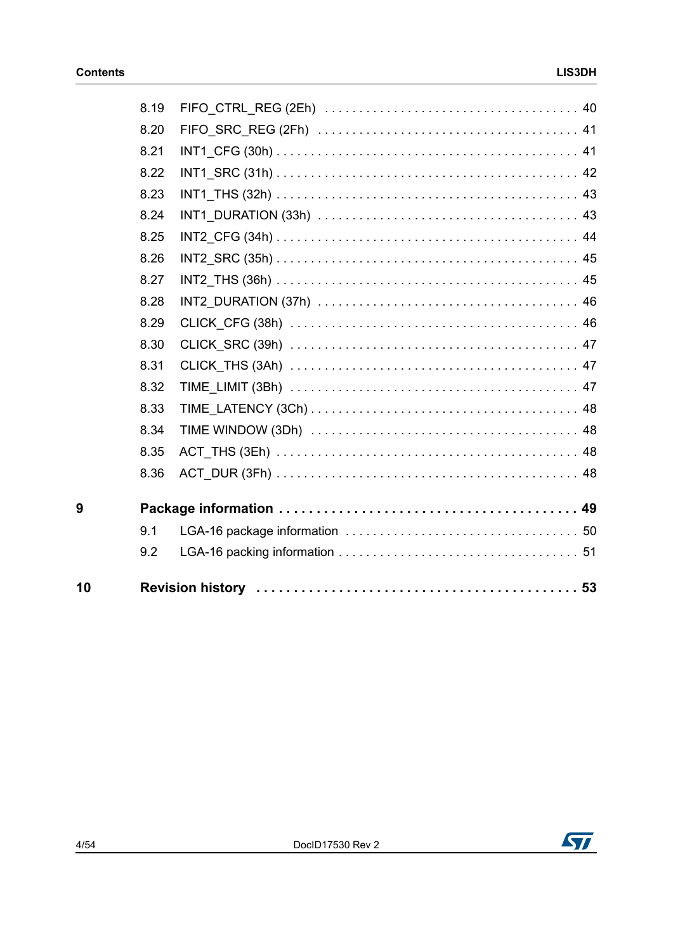| 10 |      |  |
|----|------|--|
|    | 9.2  |  |
|    | 9.1  |  |
| 9  |      |  |
|    | 8.36 |  |
|    | 8.35 |  |
|    | 8.34 |  |
|    | 8.33 |  |
|    | 8.32 |  |
|    | 8.31 |  |
|    | 8.30 |  |
|    | 8.29 |  |
|    | 8.28 |  |
|    | 8.27 |  |
|    | 8.26 |  |
|    | 8.25 |  |
|    | 8.24 |  |
|    | 8.23 |  |
|    | 8.22 |  |
|    | 8.21 |  |
|    | 8.20 |  |
|    | 8.19 |  |

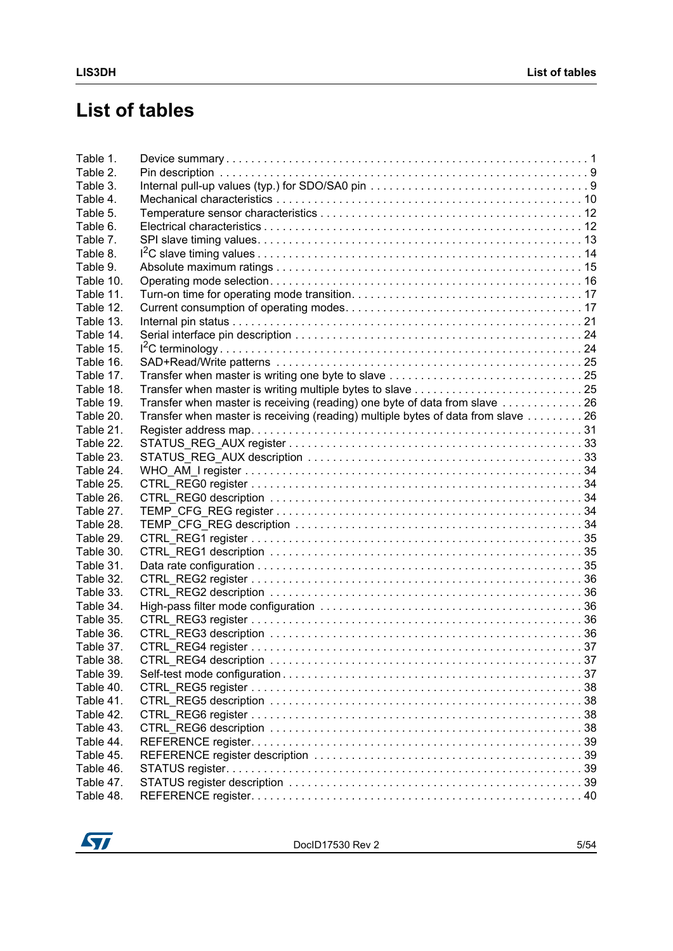# **List of tables**

| Table 1.  |                                                                                  |  |
|-----------|----------------------------------------------------------------------------------|--|
| Table 2.  |                                                                                  |  |
| Table 3.  |                                                                                  |  |
| Table 4.  |                                                                                  |  |
| Table 5.  |                                                                                  |  |
| Table 6.  |                                                                                  |  |
| Table 7.  |                                                                                  |  |
| Table 8.  |                                                                                  |  |
| Table 9.  |                                                                                  |  |
| Table 10. |                                                                                  |  |
| Table 11. |                                                                                  |  |
| Table 12. |                                                                                  |  |
| Table 13. |                                                                                  |  |
| Table 14. |                                                                                  |  |
| Table 15. |                                                                                  |  |
| Table 16. |                                                                                  |  |
| Table 17. |                                                                                  |  |
| Table 18. |                                                                                  |  |
| Table 19. | Transfer when master is receiving (reading) one byte of data from slave 26       |  |
| Table 20. | Transfer when master is receiving (reading) multiple bytes of data from slave 26 |  |
| Table 21. |                                                                                  |  |
|           |                                                                                  |  |
| Table 22. |                                                                                  |  |
| Table 23. |                                                                                  |  |
| Table 24. |                                                                                  |  |
| Table 25. |                                                                                  |  |
| Table 26. |                                                                                  |  |
| Table 27. |                                                                                  |  |
| Table 28. |                                                                                  |  |
| Table 29. |                                                                                  |  |
| Table 30. |                                                                                  |  |
| Table 31. |                                                                                  |  |
| Table 32. |                                                                                  |  |
| Table 33. |                                                                                  |  |
| Table 34. |                                                                                  |  |
| Table 35. |                                                                                  |  |
| Table 36. |                                                                                  |  |
| Table 37. |                                                                                  |  |
| Table 38. |                                                                                  |  |
| Table 39. |                                                                                  |  |
| Table 40. |                                                                                  |  |
| Table 41. |                                                                                  |  |
| Table 42. |                                                                                  |  |
| Table 43. |                                                                                  |  |
| Table 44. |                                                                                  |  |
| Table 45. |                                                                                  |  |
| Table 46. |                                                                                  |  |
| Table 47. |                                                                                  |  |
| Table 48. |                                                                                  |  |
|           |                                                                                  |  |

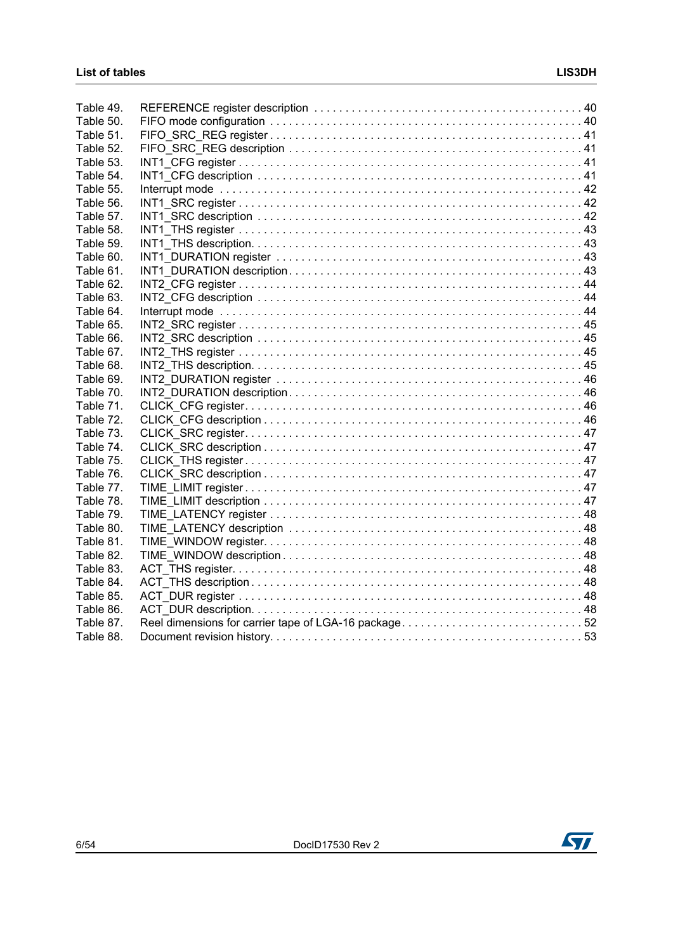| Table 49. |                                                      |  |
|-----------|------------------------------------------------------|--|
| Table 50. |                                                      |  |
| Table 51. |                                                      |  |
| Table 52. |                                                      |  |
| Table 53. |                                                      |  |
| Table 54. |                                                      |  |
| Table 55. |                                                      |  |
| Table 56. |                                                      |  |
| Table 57. |                                                      |  |
| Table 58. |                                                      |  |
| Table 59. |                                                      |  |
| Table 60. |                                                      |  |
| Table 61. |                                                      |  |
| Table 62. |                                                      |  |
| Table 63. |                                                      |  |
| Table 64. |                                                      |  |
| Table 65. |                                                      |  |
| Table 66. |                                                      |  |
| Table 67. |                                                      |  |
| Table 68. |                                                      |  |
| Table 69. |                                                      |  |
| Table 70. |                                                      |  |
| Table 71. |                                                      |  |
| Table 72. |                                                      |  |
| Table 73. |                                                      |  |
| Table 74. |                                                      |  |
| Table 75. |                                                      |  |
| Table 76. |                                                      |  |
| Table 77. |                                                      |  |
| Table 78. |                                                      |  |
| Table 79. |                                                      |  |
| Table 80. |                                                      |  |
| Table 81. |                                                      |  |
| Table 82. |                                                      |  |
| Table 83. |                                                      |  |
| Table 84. |                                                      |  |
| Table 85. |                                                      |  |
| Table 86. |                                                      |  |
| Table 87. | Reel dimensions for carrier tape of LGA-16 package52 |  |
| Table 88. |                                                      |  |
|           |                                                      |  |

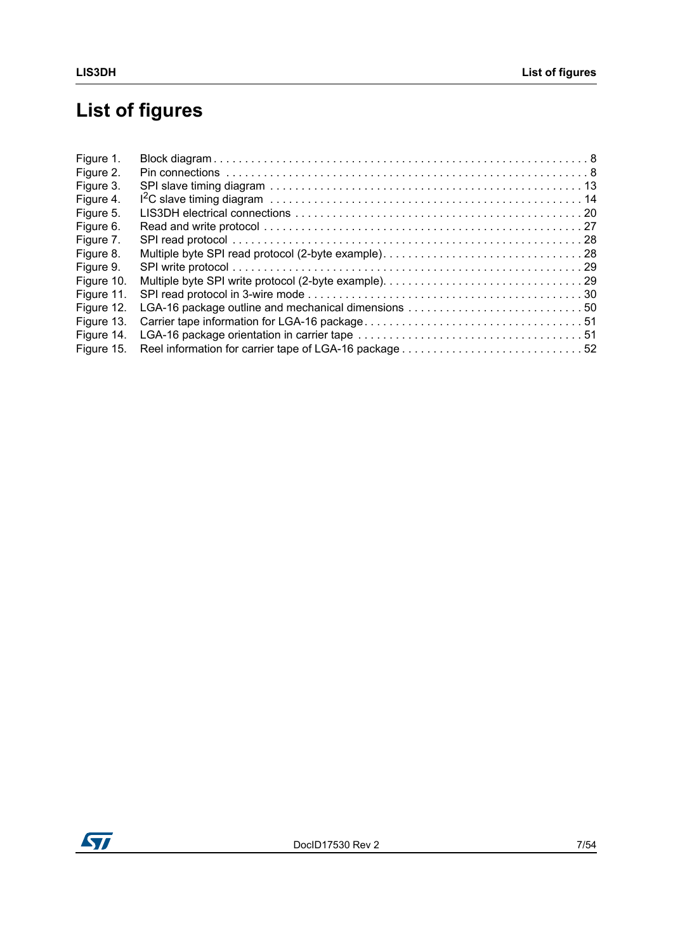# **List of figures**

| Figure 1.  |                                                     |
|------------|-----------------------------------------------------|
| Figure 2.  |                                                     |
| Figure 3.  |                                                     |
| Figure 4.  |                                                     |
| Figure 5.  |                                                     |
| Figure 6.  |                                                     |
| Figure 7.  |                                                     |
| Figure 8.  |                                                     |
| Figure 9.  |                                                     |
| Figure 10. |                                                     |
| Figure 11. |                                                     |
| Figure 12. | LGA-16 package outline and mechanical dimensions 50 |
| Figure 13. |                                                     |
| Figure 14. |                                                     |
| Figure 15. |                                                     |
|            |                                                     |

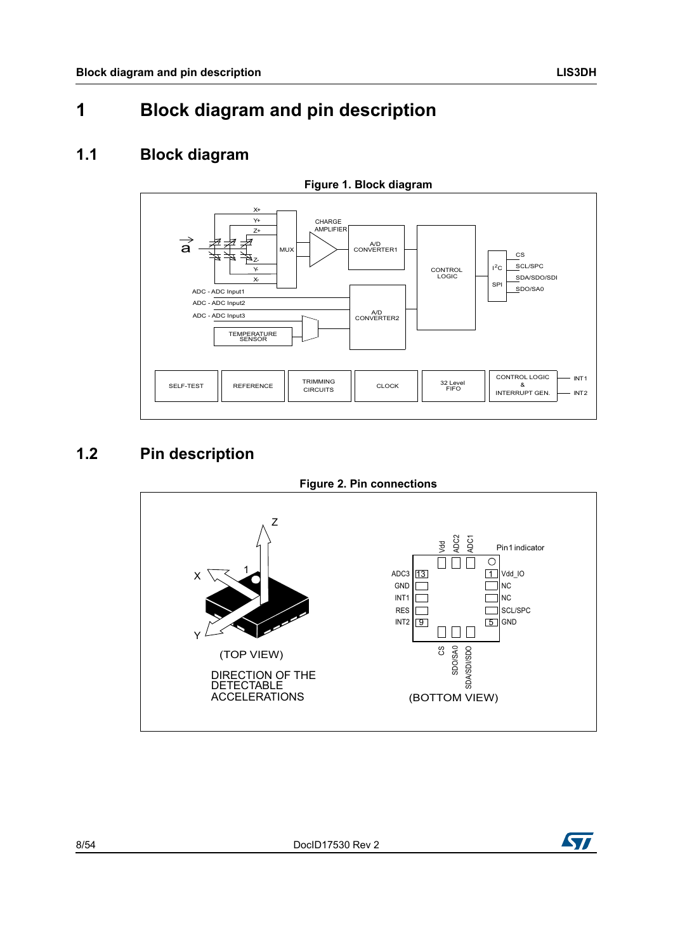# <span id="page-7-0"></span>**1 Block diagram and pin description**

### <span id="page-7-1"></span>**1.1 Block diagram**

<span id="page-7-3"></span>

### <span id="page-7-2"></span>**1.2 Pin description**

<span id="page-7-4"></span>

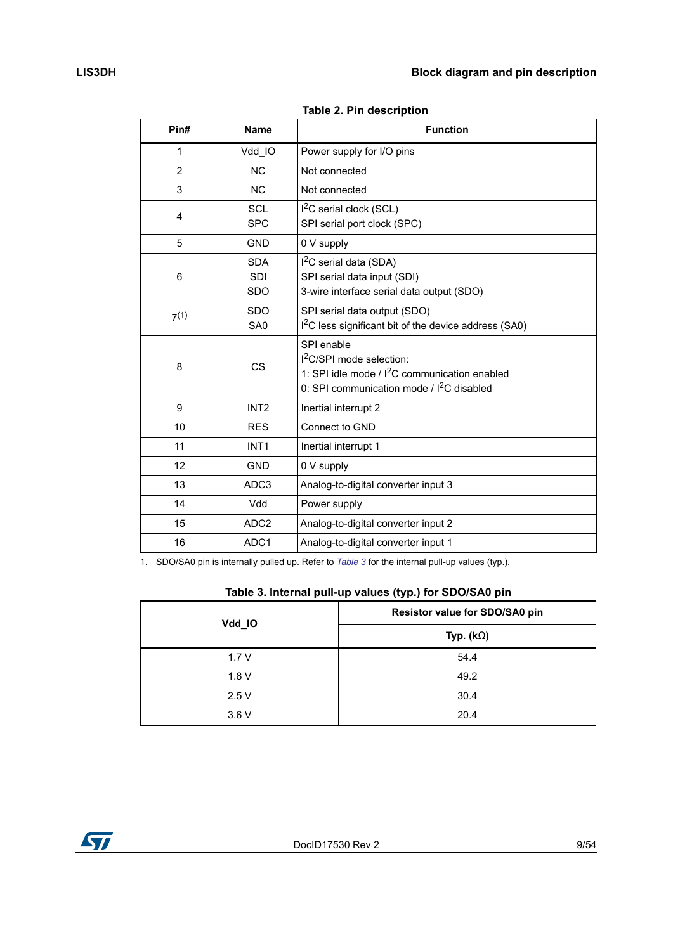<span id="page-8-0"></span>

| Pin#           | <b>Name</b>                            | <b>Function</b>                                                                                                                                     |
|----------------|----------------------------------------|-----------------------------------------------------------------------------------------------------------------------------------------------------|
| 1              | Vdd_IO                                 | Power supply for I/O pins                                                                                                                           |
| $\overline{2}$ | <b>NC</b>                              | Not connected                                                                                                                                       |
| 3              | <b>NC</b>                              | Not connected                                                                                                                                       |
| 4              | <b>SCL</b><br><b>SPC</b>               | $I2C$ serial clock (SCL)<br>SPI serial port clock (SPC)                                                                                             |
| 5              | <b>GND</b>                             | 0 V supply                                                                                                                                          |
| 6              | <b>SDA</b><br><b>SDI</b><br><b>SDO</b> | $I2C$ serial data (SDA)<br>SPI serial data input (SDI)<br>3-wire interface serial data output (SDO)                                                 |
| 7(1)           | <b>SDO</b><br>SA0                      | SPI serial data output (SDO)<br>I <sup>2</sup> C less significant bit of the device address (SA0)                                                   |
| 8              | CS                                     | SPI enable<br>$12C/SPI$ mode selection:<br>1: SPI idle mode / $I^2C$ communication enabled<br>0: SPI communication mode / I <sup>2</sup> C disabled |
| 9              | INT <sub>2</sub>                       | Inertial interrupt 2                                                                                                                                |
| 10             | <b>RES</b>                             | Connect to GND                                                                                                                                      |
| 11             | INT <sub>1</sub>                       | Inertial interrupt 1                                                                                                                                |
| 12             | <b>GND</b>                             | 0 V supply                                                                                                                                          |
| 13             | ADC <sub>3</sub>                       | Analog-to-digital converter input 3                                                                                                                 |
| 14             | Vdd                                    | Power supply                                                                                                                                        |
| 15             | ADC <sub>2</sub>                       | Analog-to-digital converter input 2                                                                                                                 |
| 16             | ADC <sub>1</sub>                       | Analog-to-digital converter input 1                                                                                                                 |

**Table 2. Pin description** 

1. SDO/SA0 pin is internally pulled up. Refer to *[Table 3](#page-8-1)* for the internal pull-up values (typ.).

#### **Table 3. Internal pull-up values (typ.) for SDO/SA0 pin**

<span id="page-8-1"></span>

| Vdd_IO | Resistor value for SDO/SA0 pin |  |  |  |
|--------|--------------------------------|--|--|--|
|        | Typ. $(k\Omega)$               |  |  |  |
| 1.7V   | 54.4                           |  |  |  |
| 1.8V   | 49.2                           |  |  |  |
| 2.5V   | 30.4                           |  |  |  |
| 3.6V   | 20.4                           |  |  |  |

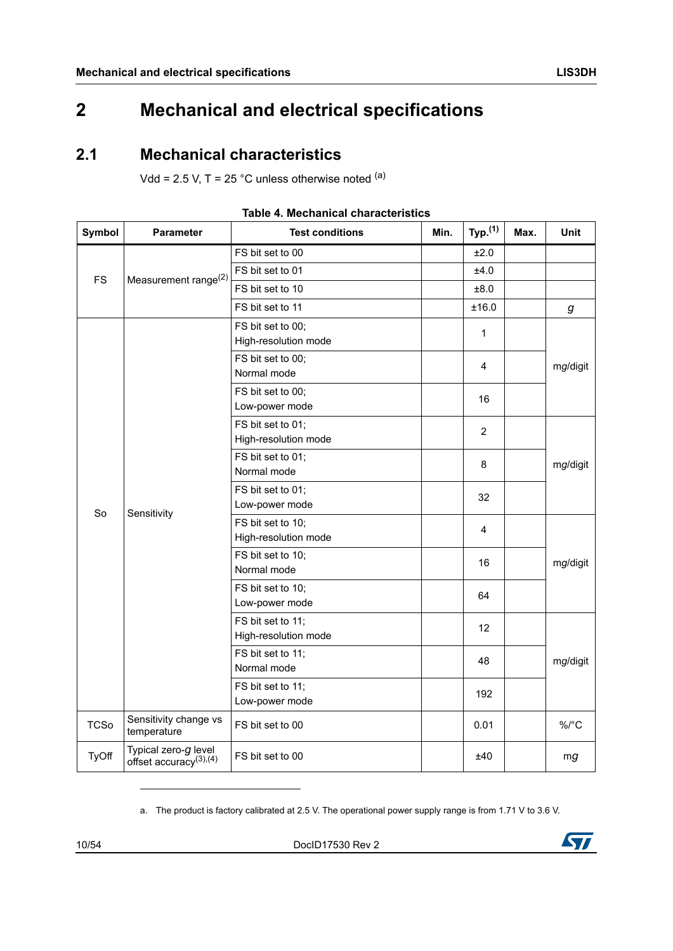# <span id="page-9-0"></span>**2 Mechanical and electrical specifications**

### <span id="page-9-1"></span>**2.1 Mechanical characteristics**

Vdd =  $2.5$  V, T =  $25$  °C unless otherwise noted  $(a)$ 

<span id="page-9-2"></span>

| <b>Symbol</b> | <b>Parameter</b>                                      | <b>Test conditions</b>                    | Min. | Typ. <sup>(1)</sup> | Max. | Unit                 |  |
|---------------|-------------------------------------------------------|-------------------------------------------|------|---------------------|------|----------------------|--|
|               |                                                       | FS bit set to 00                          |      | ±2.0                |      |                      |  |
| <b>FS</b>     |                                                       | FS bit set to 01                          |      | ±4.0                |      |                      |  |
|               | Measurement range <sup>(2)</sup>                      | FS bit set to 10                          |      | ±8.0                |      |                      |  |
|               |                                                       | FS bit set to 11                          |      | ±16.0               |      | g                    |  |
|               |                                                       | FS bit set to 00;<br>High-resolution mode |      | 1                   |      |                      |  |
|               |                                                       | FS bit set to 00;<br>Normal mode          |      | 4                   |      | mg/digit             |  |
|               |                                                       | FS bit set to 00;<br>Low-power mode       |      | 16                  |      |                      |  |
|               |                                                       | FS bit set to 01;<br>High-resolution mode |      | $\overline{2}$      |      |                      |  |
|               | Sensitivity                                           | FS bit set to 01;<br>Normal mode          |      | 8                   |      | mg/digit             |  |
| So            |                                                       | FS bit set to 01;<br>Low-power mode       |      | 32                  |      |                      |  |
|               |                                                       | FS bit set to 10;<br>High-resolution mode |      | 4                   |      |                      |  |
|               |                                                       | FS bit set to 10;<br>Normal mode          |      | 16                  |      | mg/digit<br>mg/digit |  |
|               |                                                       | FS bit set to 10;<br>Low-power mode       |      | 64                  |      |                      |  |
|               |                                                       | FS bit set to 11;<br>High-resolution mode |      | 12                  |      |                      |  |
|               |                                                       | FS bit set to 11;<br>Normal mode          |      | 48                  |      |                      |  |
|               |                                                       | FS bit set to 11;<br>Low-power mode       |      | 192                 |      |                      |  |
| <b>TCSo</b>   | Sensitivity change vs<br>temperature                  | FS bit set to 00                          |      | 0.01                |      | $\%$ /°C             |  |
| <b>TyOff</b>  | Typical zero-g level<br>offset accuracy $(3)$ , $(4)$ | FS bit set to 00                          |      | ±40                 |      | mg                   |  |

#### **Table 4. Mechanical characteristics**

a. The product is factory calibrated at 2.5 V. The operational power supply range is from 1.71 V to 3.6 V.

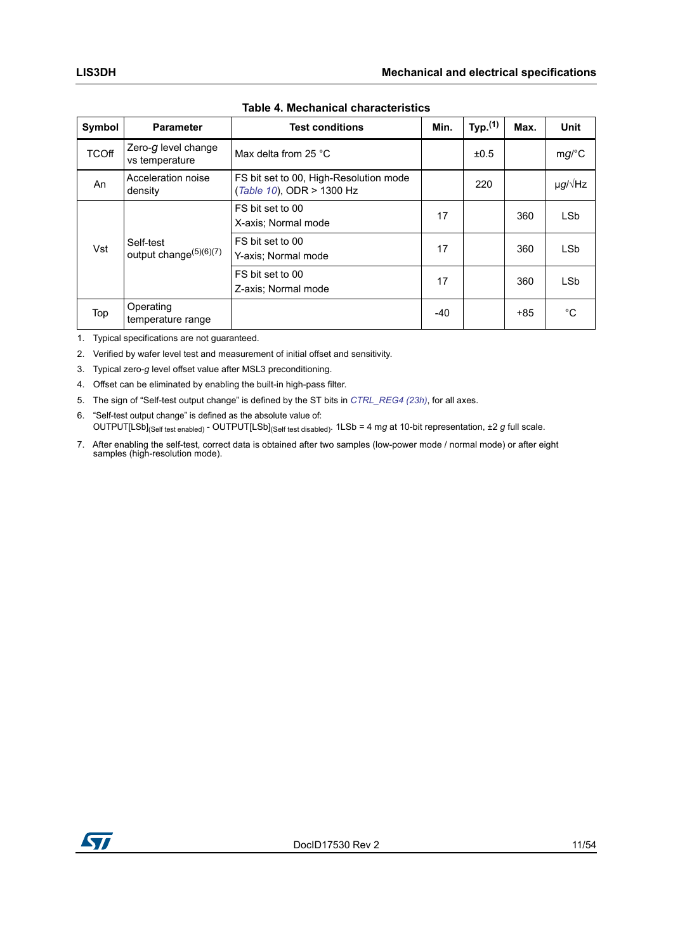| Symbol       | <b>Parameter</b>                                | <b>Test conditions</b>                                              | Min.  | Typ. <sup>(1)</sup> | Max.  | <b>Unit</b>       |
|--------------|-------------------------------------------------|---------------------------------------------------------------------|-------|---------------------|-------|-------------------|
| <b>TCOff</b> | Zero- $g$ level change<br>vs temperature        | Max delta from 25 °C                                                |       | ±0.5                |       | mg/C              |
| An           | Acceleration noise<br>density                   | FS bit set to 00, High-Resolution mode<br>(Table 10), ODR > 1300 Hz |       | 220                 |       | $\mu g/\sqrt{Hz}$ |
| Vst          | Self-test<br>output change <sup>(5)(6)(7)</sup> | FS bit set to 00<br>X-axis; Normal mode                             | 17    |                     | 360   | LS <sub>b</sub>   |
|              |                                                 | FS bit set to 00<br>Y-axis: Normal mode                             | 17    |                     | 360   | <b>LSb</b>        |
|              |                                                 | FS bit set to 00<br>Z-axis; Normal mode                             | 17    |                     | 360   | <b>LSb</b>        |
| Top          | Operating<br>temperature range                  |                                                                     | $-40$ |                     | $+85$ | °C                |

**Table 4. Mechanical characteristics**

1. Typical specifications are not guaranteed.

2. Verified by wafer level test and measurement of initial offset and sensitivity.

- 3. Typical zero-*g* level offset value after MSL3 preconditioning.
- 4. Offset can be eliminated by enabling the built-in high-pass filter.
- 5. The sign of "Self-test output change" is defined by the ST bits in *[CTRL\\_REG4 \(23h\)](#page-36-0)*, for all axes.
- 6. "Self-test output change" is defined as the absolute value of: OUTPUT[LSb](Self test enabled) - OUTPUT[LSb](Self test disabled). 1LSb = 4 m*g* at 10-bit representation, ±2 *g* full scale.
- 7. After enabling the self-test, correct data is obtained after two samples (low-power mode / normal mode) or after eight samples (high-resolution mode).

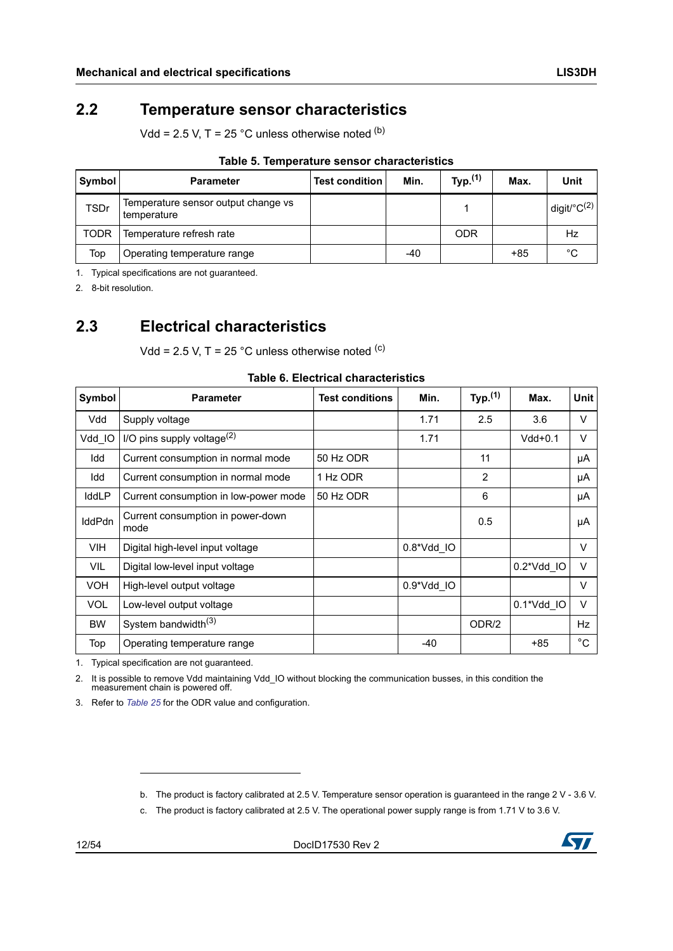### <span id="page-11-0"></span>**2.2 Temperature sensor characteristics**

Vdd =  $2.5$  V, T =  $25$  °C unless otherwise noted  $(b)$ 

<span id="page-11-2"></span>

| Symbol      | <b>Parameter</b>                                   | <b>Test condition</b> | Min. | Typ. <sup>(1)</sup> | Max. | Unit                       |  |  |
|-------------|----------------------------------------------------|-----------------------|------|---------------------|------|----------------------------|--|--|
| <b>TSDr</b> | Temperature sensor output change vs<br>temperature |                       |      |                     |      | digit/ ${}^{\circ}C^{(2)}$ |  |  |
| <b>TODR</b> | Temperature refresh rate                           |                       |      | <b>ODR</b>          |      | Hz                         |  |  |
| Top         | Operating temperature range                        |                       | -40  |                     | +85  | °C                         |  |  |

#### **Table 5. Temperature sensor characteristics**

1. Typical specifications are not guaranteed.

2. 8-bit resolution.

### <span id="page-11-1"></span>**2.3 Electrical characteristics**

Vdd =  $2.5$  V, T =  $25$  °C unless otherwise noted <sup>(c)</sup>

<span id="page-11-3"></span>

| Symbol        | <b>Parameter</b>                          | <b>Test conditions</b> | Min.         | Typ. <sup>(1)</sup> | Max.       | <b>Unit</b>  |
|---------------|-------------------------------------------|------------------------|--------------|---------------------|------------|--------------|
| Vdd           | Supply voltage                            |                        | 1.71         | 2.5                 | 3.6        | $\vee$       |
| Vdd IO        | I/O pins supply voltage $^{(2)}$          |                        | 1.71         |                     | $Vdd+0.1$  | V            |
| Idd           | Current consumption in normal mode        | 50 Hz ODR              |              | 11                  |            | μA           |
| Idd           | Current consumption in normal mode        | 1 Hz ODR               |              | 2                   |            | μA           |
| IddLP         | Current consumption in low-power mode     | 50 Hz ODR              |              | 6                   |            | μA           |
| <b>IddPdn</b> | Current consumption in power-down<br>mode |                        |              | 0.5                 |            | μA           |
| <b>VIH</b>    | Digital high-level input voltage          |                        | $0.8*Vdd$ IO |                     |            | $\vee$       |
| <b>VIL</b>    | Digital low-level input voltage           |                        |              |                     | 0.2*Vdd IO | $\vee$       |
| <b>VOH</b>    | High-level output voltage                 |                        | 0.9*Vdd IO   |                     |            | $\vee$       |
| <b>VOL</b>    | Low-level output voltage                  |                        |              |                     | 0.1*Vdd IO | $\vee$       |
| <b>BW</b>     | System bandwidth <sup>(3)</sup>           |                        |              | ODR/2               |            | Hz           |
| Top           | Operating temperature range               |                        | $-40$        |                     | $+85$      | $^{\circ}$ C |

#### **Table 6. Electrical characteristics**

1. Typical specification are not guaranteed.

2. It is possible to remove Vdd maintaining Vdd\_IO without blocking the communication busses, in this condition the measurement chain is powered off.

3. Refer to *Table 25* for the ODR value and configuration.



b. The product is factory calibrated at 2.5 V. Temperature sensor operation is guaranteed in the range 2 V - 3.6 V.

c. The product is factory calibrated at 2.5 V. The operational power supply range is from 1.71 V to 3.6 V.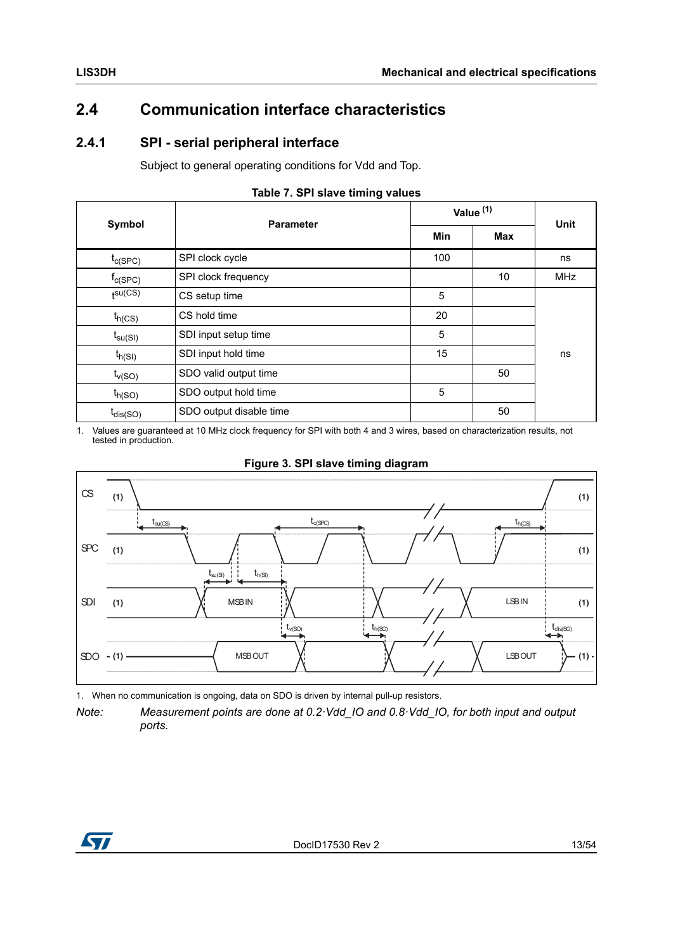### <span id="page-12-0"></span>**2.4 Communication interface characteristics**

### <span id="page-12-1"></span>**2.4.1 SPI - serial peripheral interface**

Subject to general operating conditions for Vdd and Top.

<span id="page-12-2"></span>

|                                           | <b>Parameter</b>        | Value <sup>(1)</sup> | <b>Unit</b> |            |
|-------------------------------------------|-------------------------|----------------------|-------------|------------|
| Symbol                                    |                         | <b>Min</b>           | Max         |            |
| $t_{C(SPC)}$                              | SPI clock cycle         | 100                  |             | ns         |
| $f_{\text{C(SPC)}}$                       | SPI clock frequency     |                      | 10          | <b>MHz</b> |
| $t^{SU(CS)}$                              | CS setup time           | 5                    |             |            |
| $t_{h(CS)}$                               | CS hold time            | 20                   |             |            |
| $\mathfrak{t}_{\mathsf{su}(\mathsf{SI})}$ | SDI input setup time    | 5                    |             |            |
| $t_{h(SI)}$                               | SDI input hold time     | 15                   |             | ns         |
| $t_{v(SO)}$                               | SDO valid output time   |                      | 50          |            |
| $t_{h(SO)}$                               | SDO output hold time    | 5                    |             |            |
| $t_{dis(SO)}$                             | SDO output disable time |                      | 50          |            |

#### **Table 7. SPI slave timing values**

1. Values are guaranteed at 10 MHz clock frequency for SPI with both 4 and 3 wires, based on characterization results, not tested in production.

<span id="page-12-3"></span>

#### **Figure 3. SPI slave timing diagram**

1. When no communication is ongoing, data on SDO is driven by internal pull-up resistors.



*Note: Measurement points are done at 0.2·Vdd\_IO and 0.8·Vdd\_IO, for both input and output ports.*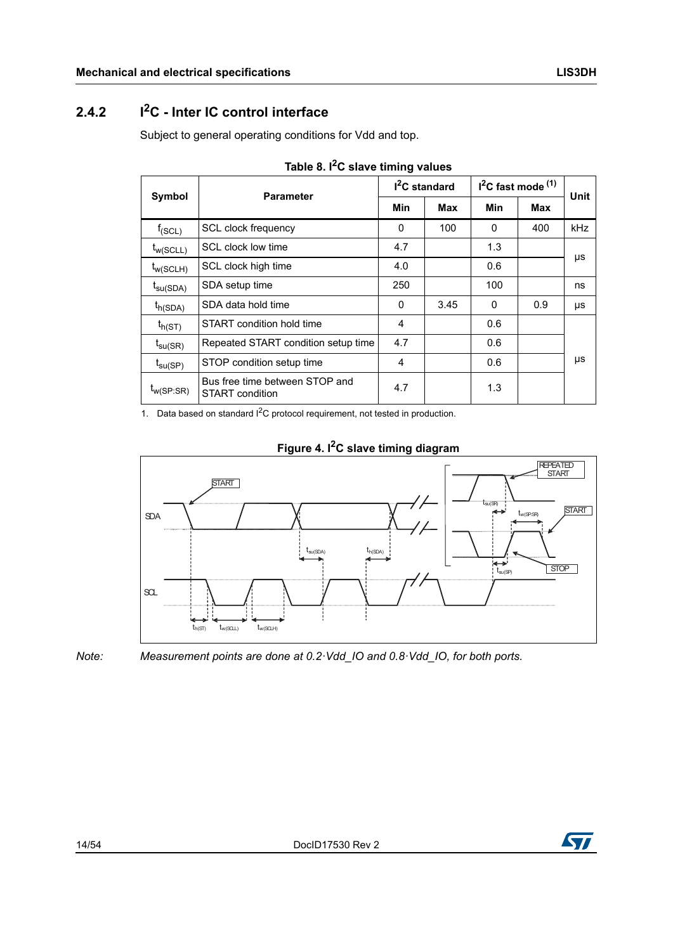### <span id="page-13-0"></span>**2.4.2** I<sup>2</sup>C - Inter IC control interface

Subject to general operating conditions for Vdd and top.

<span id="page-13-1"></span>

|                             | <b>Parameter</b>                                  |     | $I2C$ standard | $I2C$ fast mode $(1)$ |     | Unit |
|-----------------------------|---------------------------------------------------|-----|----------------|-----------------------|-----|------|
| Symbol                      |                                                   | Min | Max            | Min                   | Max |      |
| $f_{(SCL)}$                 | <b>SCL clock frequency</b>                        | 0   | 100            | $\Omega$              | 400 | kHz  |
| $t_{W(SCLL)}$               | SCL clock low time                                | 4.7 |                | 1.3                   |     |      |
| $t_{W(SCLH)}$               | SCL clock high time                               | 4.0 |                | 0.6                   |     | μs   |
| $I_{\text{SU}}(\text{SDA})$ | SDA setup time                                    | 250 |                | 100                   |     | ns   |
| $t_{h(SDA)}$                | SDA data hold time                                | 0   | 3.45           | $\Omega$              | 0.9 | μs   |
| $t_{h(ST)}$                 | START condition hold time                         | 4   |                | 0.6                   |     |      |
| $t_{\text{SU(SR)}}$         | Repeated START condition setup time               | 4.7 |                | 0.6                   |     |      |
| $t_{\text{SU(SP)}}$         | STOP condition setup time                         | 4   |                | 0.6                   |     | μs   |
| $t_{W(SP:SR)}$              | Bus free time between STOP and<br>START condition | 4.7 |                | 1.3                   |     |      |

| Table 8. I <sup>2</sup> C slave timing values |  |  |  |  |
|-----------------------------------------------|--|--|--|--|
|-----------------------------------------------|--|--|--|--|

1. Data based on standard I<sup>2</sup>C protocol requirement, not tested in production.

<span id="page-13-2"></span>

#### **Figure 4. I2C slave timing diagram**

*Note: Measurement points are done at 0.2·Vdd\_IO and 0.8·Vdd\_IO, for both ports.*

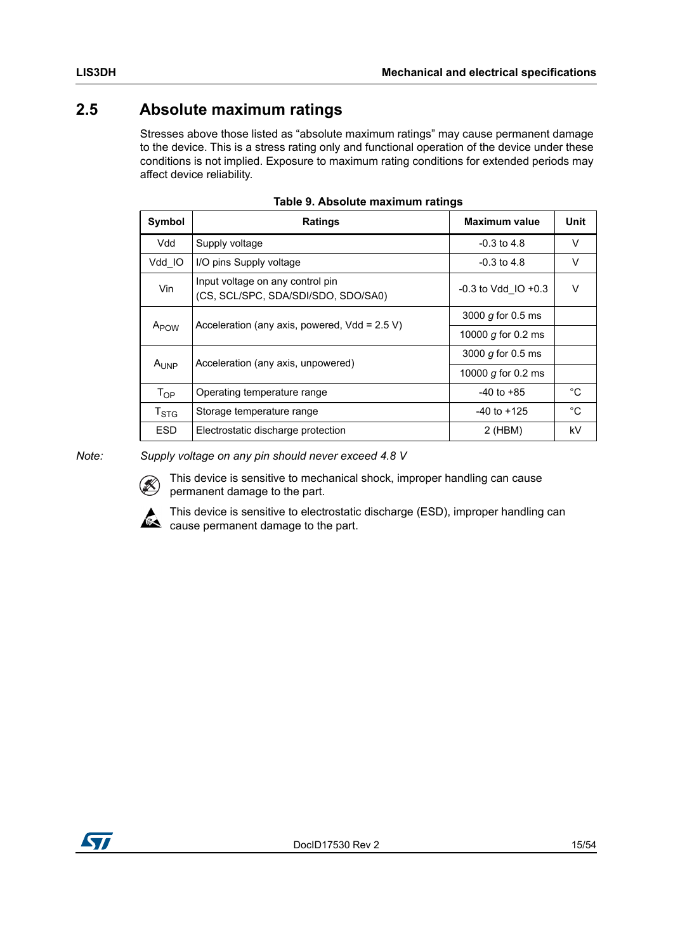### <span id="page-14-0"></span>**2.5 Absolute maximum ratings**

Stresses above those listed as "absolute maximum ratings" may cause permanent damage to the device. This is a stress rating only and functional operation of the device under these conditions is not implied. Exposure to maximum rating conditions for extended periods may affect device reliability.

<span id="page-14-1"></span>

| Symbol                    | <b>Ratings</b>                                                          | <b>Maximum value</b>    | Unit        |  |
|---------------------------|-------------------------------------------------------------------------|-------------------------|-------------|--|
| Vdd                       | Supply voltage                                                          | $-0.3$ to 4.8           | $\vee$      |  |
| Vdd IO                    | I/O pins Supply voltage                                                 | $-0.3$ to 4.8           | V           |  |
| Vin                       | Input voltage on any control pin<br>(CS, SCL/SPC, SDA/SDI/SDO, SDO/SA0) | $-0.3$ to Vdd IO $+0.3$ |             |  |
| $A_{POW}$                 | Acceleration (any axis, powered, $Vdd = 2.5 V$ )                        | 3000 $g$ for 0.5 ms     |             |  |
|                           |                                                                         | 10000 g for 0.2 ms      |             |  |
|                           | Acceleration (any axis, unpowered)                                      | 3000 $q$ for 0.5 ms     |             |  |
| $A_{I JNP}$               |                                                                         | 10000 $g$ for 0.2 ms    |             |  |
| $T_{OP}$                  | Operating temperature range                                             | $-40$ to $+85$          | °C          |  |
| $\mathsf{T}_{\text{STG}}$ | Storage temperature range                                               | $-40$ to $+125$         | $^{\circ}C$ |  |
| <b>ESD</b>                | Electrostatic discharge protection                                      | $2$ (HBM)               | kV          |  |

*Note: Supply voltage on any pin should never exceed 4.8 V*



This device is sensitive to mechanical shock, improper handling can cause permanent damage to the part.



This device is sensitive to electrostatic discharge (ESD), improper handling can cause permanent damage to the part.

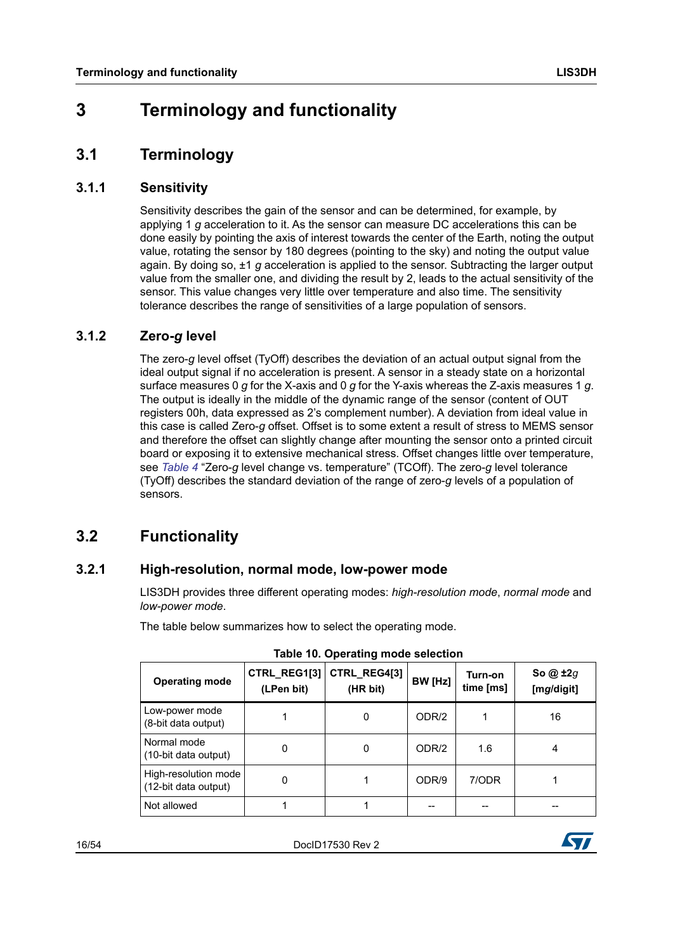## <span id="page-15-0"></span>**3 Terminology and functionality**

### <span id="page-15-1"></span>**3.1 Terminology**

#### <span id="page-15-2"></span>**3.1.1 Sensitivity**

Sensitivity describes the gain of the sensor and can be determined, for example, by applying 1 *g* acceleration to it. As the sensor can measure DC accelerations this can be done easily by pointing the axis of interest towards the center of the Earth, noting the output value, rotating the sensor by 180 degrees (pointing to the sky) and noting the output value again. By doing so, ±1 *g* acceleration is applied to the sensor. Subtracting the larger output value from the smaller one, and dividing the result by 2, leads to the actual sensitivity of the sensor. This value changes very little over temperature and also time. The sensitivity tolerance describes the range of sensitivities of a large population of sensors.

#### <span id="page-15-3"></span>**3.1.2 Zero-***g* **level**

The zero-*g* level offset (TyOff) describes the deviation of an actual output signal from the ideal output signal if no acceleration is present. A sensor in a steady state on a horizontal surface measures 0 *g* for the X-axis and 0 *g* for the Y-axis whereas the Z-axis measures 1 *g*. The output is ideally in the middle of the dynamic range of the sensor (content of OUT registers 00h, data expressed as 2's complement number). A deviation from ideal value in this case is called Zero-*g* offset. Offset is to some extent a result of stress to MEMS sensor and therefore the offset can slightly change after mounting the sensor onto a printed circuit board or exposing it to extensive mechanical stress. Offset changes little over temperature, see *[Table 4](#page-9-2)* "Zero-*g* level change vs. temperature" (TCOff). The zero-*g* level tolerance (TyOff) describes the standard deviation of the range of zero-*g* levels of a population of sensors.

### <span id="page-15-4"></span>**3.2 Functionality**

#### <span id="page-15-5"></span>**3.2.1 High-resolution, normal mode, low-power mode**

LIS3DH provides three different operating modes: *high-resolution mode*, *normal mode* and *low-power mode*.

<span id="page-15-6"></span>

| rapic to: Operating mode selection           |                            |                          |         |                      |                        |  |  |
|----------------------------------------------|----------------------------|--------------------------|---------|----------------------|------------------------|--|--|
| <b>Operating mode</b>                        | CTRL_REG1[3]<br>(LPen bit) | CTRL_REG4[3]<br>(HR bit) | BW [Hz] | Turn-on<br>time [ms] | So @ ±2g<br>[mg/digit] |  |  |
| Low-power mode<br>(8-bit data output)        |                            | 0                        | ODR/2   |                      | 16                     |  |  |
| Normal mode<br>(10-bit data output)          | 0                          | $\mathbf 0$              | ODR/2   | 1.6                  | 4                      |  |  |
| High-resolution mode<br>(12-bit data output) | 0                          |                          | ODR/9   | 7/ODR                |                        |  |  |
| Not allowed                                  |                            |                          |         |                      |                        |  |  |

The table below summarizes how to select the operating mode.

**Table 10. Operating mode selection**

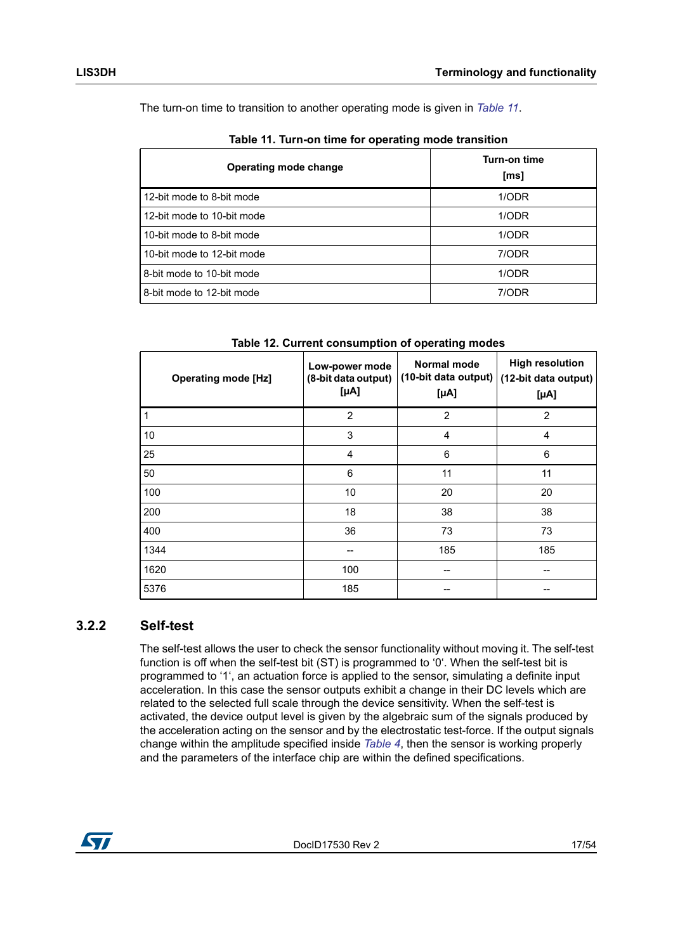The turn-on time to transition to another operating mode is given in *[Table 11](#page-16-1)*.

<span id="page-16-1"></span>

| <b>Operating mode change</b> | Turn-on time<br>[ms] |
|------------------------------|----------------------|
| 12-bit mode to 8-bit mode    | 1/ODR                |
| 12-bit mode to 10-bit mode   | 1/ODR                |
| 10-bit mode to 8-bit mode    | 1/ODR                |
| 10-bit mode to 12-bit mode   | 7/ODR                |
| 8-bit mode to 10-bit mode    | 1/ODR                |
| 8-bit mode to 12-bit mode    | 7/ODR                |

**Table 12. Current consumption of operating modes**

<span id="page-16-2"></span>

| <b>Operating mode [Hz]</b> | Low-power mode<br>(8-bit data output)<br>$[\mu A]$ | Normal mode<br>(10-bit data output)<br>$[\mu A]$ | <b>High resolution</b><br>(12-bit data output)<br>$[\mu A]$ |
|----------------------------|----------------------------------------------------|--------------------------------------------------|-------------------------------------------------------------|
| 1                          | $\overline{2}$                                     | $\overline{2}$                                   | 2                                                           |
| 10                         | 3                                                  | 4                                                | 4                                                           |
| 25                         | 4                                                  | 6                                                | 6                                                           |
| 50                         | 6                                                  | 11                                               | 11                                                          |
| 100                        | 10                                                 | 20                                               | 20                                                          |
| 200                        | 18                                                 | 38                                               | 38                                                          |
| 400                        | 36                                                 | 73                                               | 73                                                          |
| 1344                       |                                                    | 185                                              | 185                                                         |
| 1620                       | 100                                                |                                                  |                                                             |
| 5376                       | 185                                                |                                                  |                                                             |

#### <span id="page-16-0"></span>**3.2.2 Self-test**

The self-test allows the user to check the sensor functionality without moving it. The self-test function is off when the self-test bit (ST) is programmed to '0'. When the self-test bit is programmed to '1', an actuation force is applied to the sensor, simulating a definite input acceleration. In this case the sensor outputs exhibit a change in their DC levels which are related to the selected full scale through the device sensitivity. When the self-test is activated, the device output level is given by the algebraic sum of the signals produced by the acceleration acting on the sensor and by the electrostatic test-force. If the output signals change within the amplitude specified inside *[Table 4](#page-9-2)*, then the sensor is working properly and the parameters of the interface chip are within the defined specifications.

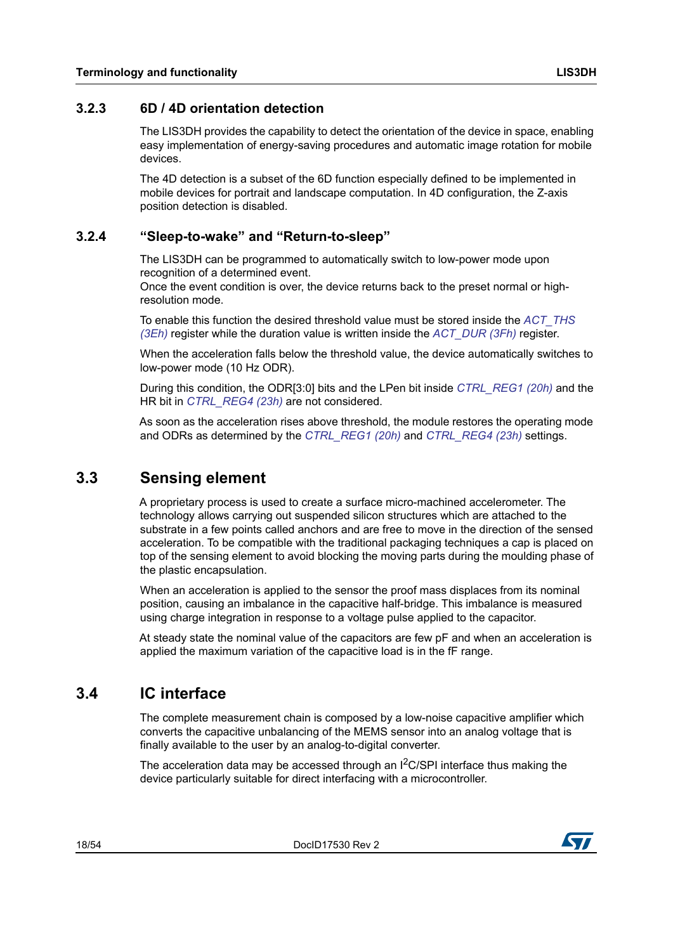#### <span id="page-17-0"></span>**3.2.3 6D / 4D orientation detection**

The LIS3DH provides the capability to detect the orientation of the device in space, enabling easy implementation of energy-saving procedures and automatic image rotation for mobile devices.

The 4D detection is a subset of the 6D function especially defined to be implemented in mobile devices for portrait and landscape computation. In 4D configuration, the Z-axis position detection is disabled.

#### <span id="page-17-1"></span>**3.2.4 "Sleep-to-wake" and "Return-to-sleep"**

The LIS3DH can be programmed to automatically switch to low-power mode upon recognition of a determined event.

Once the event condition is over, the device returns back to the preset normal or highresolution mode.

To enable this function the desired threshold value must be stored inside the *[ACT\\_THS](#page-47-2)  [\(3Eh\)](#page-47-2)* register while the duration value is written inside the *[ACT\\_DUR \(3Fh\)](#page-47-3)* register.

When the acceleration falls below the threshold value, the device automatically switches to low-power mode (10 Hz ODR).

During this condition, the ODR[3:0] bits and the LPen bit inside *[CTRL\\_REG1 \(20h\)](#page-34-0)* and the HR bit in *[CTRL\\_REG4 \(23h\)](#page-36-0)* are not considered.

As soon as the acceleration rises above threshold, the module restores the operating mode and ODRs as determined by the *[CTRL\\_REG1 \(20h\)](#page-34-0)* and *[CTRL\\_REG4 \(23h\)](#page-36-0)* settings.

### <span id="page-17-2"></span>**3.3 Sensing element**

A proprietary process is used to create a surface micro-machined accelerometer. The technology allows carrying out suspended silicon structures which are attached to the substrate in a few points called anchors and are free to move in the direction of the sensed acceleration. To be compatible with the traditional packaging techniques a cap is placed on top of the sensing element to avoid blocking the moving parts during the moulding phase of the plastic encapsulation.

When an acceleration is applied to the sensor the proof mass displaces from its nominal position, causing an imbalance in the capacitive half-bridge. This imbalance is measured using charge integration in response to a voltage pulse applied to the capacitor.

At steady state the nominal value of the capacitors are few pF and when an acceleration is applied the maximum variation of the capacitive load is in the fF range.

### <span id="page-17-3"></span>**3.4 IC interface**

The complete measurement chain is composed by a low-noise capacitive amplifier which converts the capacitive unbalancing of the MEMS sensor into an analog voltage that is finally available to the user by an analog-to-digital converter.

The acceleration data may be accessed through an  $1<sup>2</sup>C/SPI$  interface thus making the device particularly suitable for direct interfacing with a microcontroller.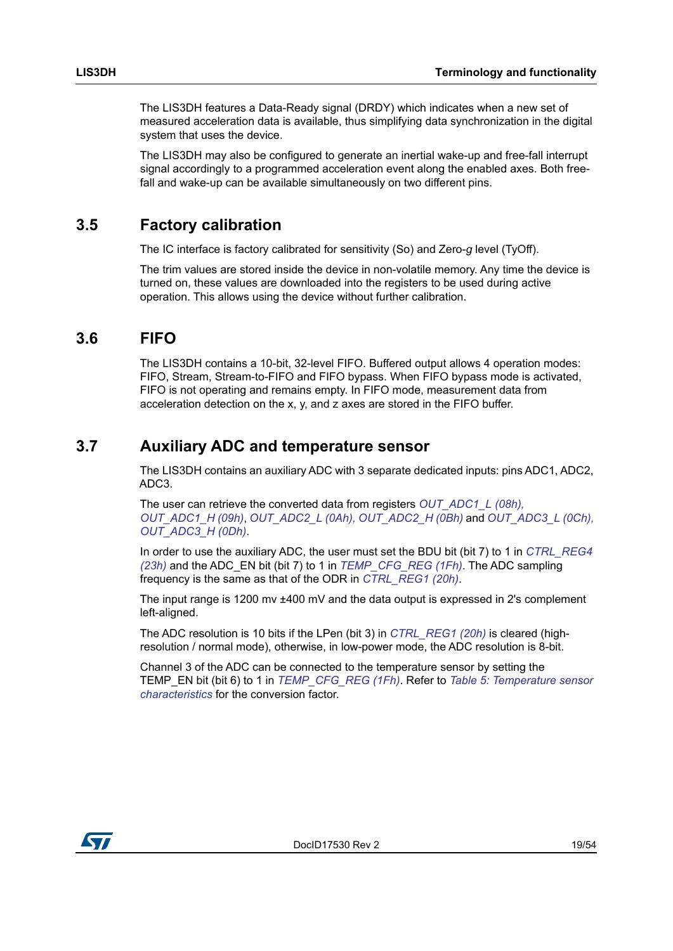The LIS3DH features a Data-Ready signal (DRDY) which indicates when a new set of measured acceleration data is available, thus simplifying data synchronization in the digital system that uses the device.

The LIS3DH may also be configured to generate an inertial wake-up and free-fall interrupt signal accordingly to a programmed acceleration event along the enabled axes. Both freefall and wake-up can be available simultaneously on two different pins.

### <span id="page-18-0"></span>**3.5 Factory calibration**

The IC interface is factory calibrated for sensitivity (So) and Zero-*g* level (TyOff).

The trim values are stored inside the device in non-volatile memory. Any time the device is turned on, these values are downloaded into the registers to be used during active operation. This allows using the device without further calibration.

### <span id="page-18-1"></span>**3.6 FIFO**

The LIS3DH contains a 10-bit, 32-level FIFO. Buffered output allows 4 operation modes: FIFO, Stream, Stream-to-FIFO and FIFO bypass. When FIFO bypass mode is activated, FIFO is not operating and remains empty. In FIFO mode, measurement data from acceleration detection on the x, y, and z axes are stored in the FIFO buffer.

### <span id="page-18-2"></span>**3.7 Auxiliary ADC and temperature sensor**

The LIS3DH contains an auxiliary ADC with 3 separate dedicated inputs: pins ADC1, ADC2, ADC3.

The user can retrieve the converted data from registers *[OUT\\_ADC1\\_L \(08h\),](#page-32-2)  [OUT\\_ADC1\\_H \(09h\)](#page-32-2)*, *[OUT\\_ADC2\\_L \(0Ah\), OUT\\_ADC2\\_H \(0Bh\)](#page-32-3)* and *[OUT\\_ADC3\\_L \(0Ch\),](#page-32-4)  [OUT\\_ADC3\\_H \(0Dh\)](#page-32-4)*.

In order to use the auxiliary ADC, the user must set the BDU bit (bit 7) to 1 in *[CTRL\\_REG4](#page-36-0)  [\(23h\)](#page-36-0)* and the ADC\_EN bit (bit 7) to 1 in *[TEMP\\_CFG\\_REG \(1Fh\)](#page-33-2)*. The ADC sampling frequency is the same as that of the ODR in *[CTRL\\_REG1 \(20h\)](#page-34-0)*.

The input range is 1200 mv ±400 mV and the data output is expressed in 2's complement left-aligned.

The ADC resolution is 10 bits if the LPen (bit 3) in *[CTRL\\_REG1 \(20h\)](#page-34-0)* is cleared (highresolution / normal mode), otherwise, in low-power mode, the ADC resolution is 8-bit.

Channel 3 of the ADC can be connected to the temperature sensor by setting the TEMP\_EN bit (bit 6) to 1 in *[TEMP\\_CFG\\_REG \(1Fh\)](#page-33-2)*. Refer to *[Table 5: Temperature sensor](#page-11-2)  [characteristics](#page-11-2)* for the conversion factor.

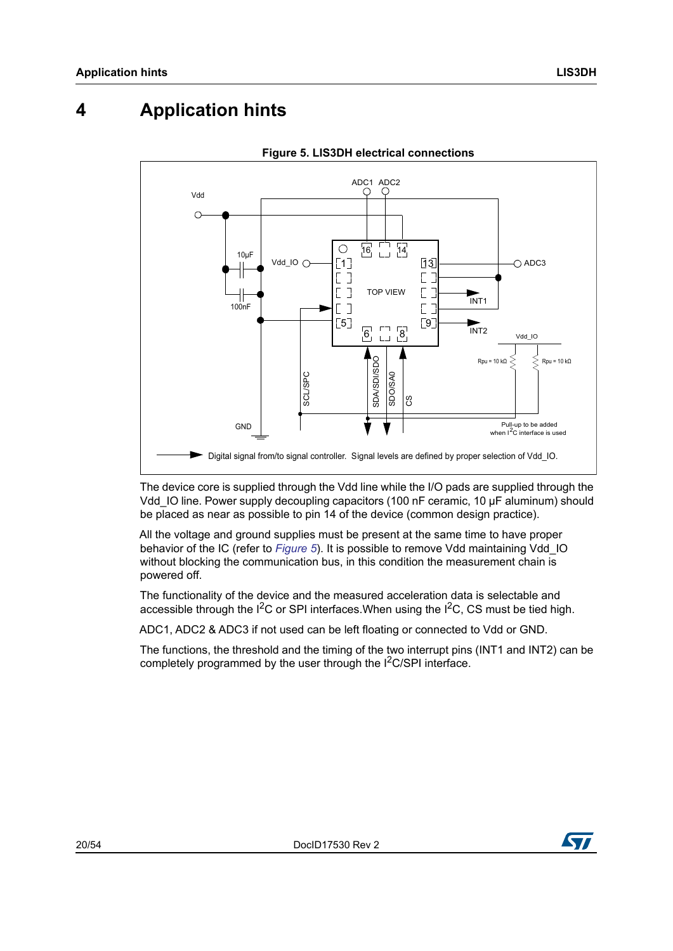# <span id="page-19-0"></span>**4 Application hints**

<span id="page-19-1"></span>



The device core is supplied through the Vdd line while the I/O pads are supplied through the Vdd\_IO line. Power supply decoupling capacitors (100 nF ceramic, 10 μF aluminum) should be placed as near as possible to pin 14 of the device (common design practice).

All the voltage and ground supplies must be present at the same time to have proper behavior of the IC (refer to *[Figure 5](#page-19-1)*). It is possible to remove Vdd maintaining Vdd\_IO without blocking the communication bus, in this condition the measurement chain is powered off.

The functionality of the device and the measured acceleration data is selectable and accessible through the  $1^2C$  or SPI interfaces. When using the  $1^2C$ , CS must be tied high.

ADC1, ADC2 & ADC3 if not used can be left floating or connected to Vdd or GND.

The functions, the threshold and the timing of the two interrupt pins (INT1 and INT2) can be

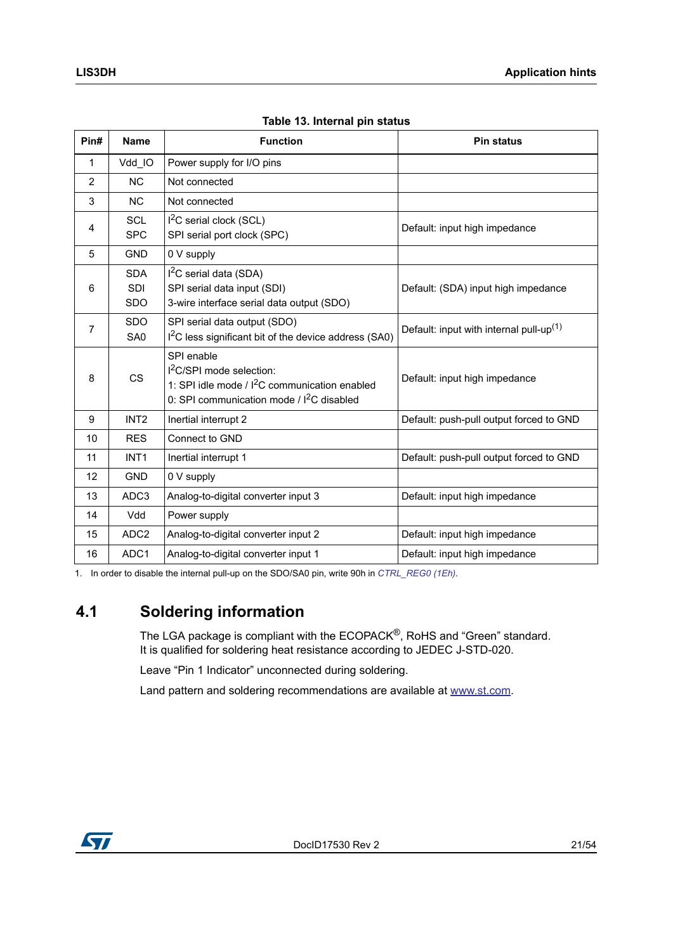<span id="page-20-1"></span>

| Pin#           | <b>Name</b>                            | <b>Function</b>                                                                                                                                     | <b>Pin status</b>                                   |
|----------------|----------------------------------------|-----------------------------------------------------------------------------------------------------------------------------------------------------|-----------------------------------------------------|
| 1              | Vdd IO                                 | Power supply for I/O pins                                                                                                                           |                                                     |
| $\overline{2}$ | <b>NC</b>                              | Not connected                                                                                                                                       |                                                     |
| 3              | <b>NC</b>                              | Not connected                                                                                                                                       |                                                     |
| 4              | <b>SCL</b><br><b>SPC</b>               | $12C$ serial clock (SCL)<br>SPI serial port clock (SPC)                                                                                             | Default: input high impedance                       |
| 5              | <b>GND</b>                             | 0 V supply                                                                                                                                          |                                                     |
| 6              | <b>SDA</b><br><b>SDI</b><br><b>SDO</b> | $I2C$ serial data (SDA)<br>SPI serial data input (SDI)<br>3-wire interface serial data output (SDO)                                                 | Default: (SDA) input high impedance                 |
| 7              | <b>SDO</b><br>SA <sub>0</sub>          | SPI serial data output (SDO)<br>I <sup>2</sup> C less significant bit of the device address (SA0)                                                   | Default: input with internal pull-up <sup>(1)</sup> |
| 8              | <b>CS</b>                              | SPI enable<br>$12C/SPI$ mode selection:<br>1: SPI idle mode / I <sup>2</sup> C communication enabled<br>0: SPI communication mode / $I^2C$ disabled | Default: input high impedance                       |
| 9              | INT <sub>2</sub>                       | Inertial interrupt 2                                                                                                                                | Default: push-pull output forced to GND             |
| 10             | <b>RES</b>                             | Connect to GND                                                                                                                                      |                                                     |
| 11             | INT <sub>1</sub>                       | Inertial interrupt 1                                                                                                                                | Default: push-pull output forced to GND             |
| 12             | <b>GND</b>                             | 0 V supply                                                                                                                                          |                                                     |
| 13             | ADC3                                   | Analog-to-digital converter input 3                                                                                                                 | Default: input high impedance                       |
| 14             | Vdd                                    | Power supply                                                                                                                                        |                                                     |
| 15             | ADC <sub>2</sub>                       | Analog-to-digital converter input 2                                                                                                                 | Default: input high impedance                       |
| 16             | ADC1                                   | Analog-to-digital converter input 1                                                                                                                 | Default: input high impedance                       |

|  | Table 13. Internal pin status |  |
|--|-------------------------------|--|
|  |                               |  |

1. In order to disable the internal pull-up on the SDO/SA0 pin, write 90h in *[CTRL\\_REG0 \(1Eh\)](#page-33-1)*.

### <span id="page-20-0"></span>**4.1 Soldering information**

The LGA package is compliant with the ECOPACK<sup>®</sup>, RoHS and "Green" standard. It is qualified for soldering heat resistance according to JEDEC J-STD-020.

Leave "Pin 1 Indicator" unconnected during soldering.

Land pattern and soldering recommendations are available at www.st.com.

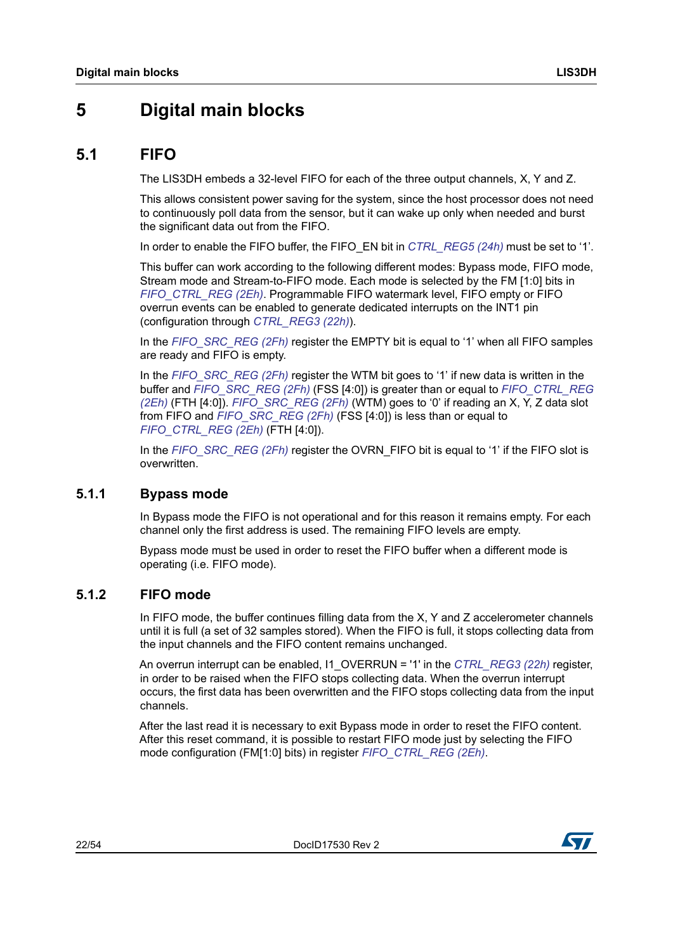### <span id="page-21-0"></span>**5 Digital main blocks**

### <span id="page-21-1"></span>**5.1 FIFO**

The LIS3DH embeds a 32-level FIFO for each of the three output channels, X, Y and Z.

This allows consistent power saving for the system, since the host processor does not need to continuously poll data from the sensor, but it can wake up only when needed and burst the significant data out from the FIFO.

In order to enable the FIFO buffer, the FIFO\_EN bit in *[CTRL\\_REG5 \(24h\)](#page-37-0)* must be set to '1'.

This buffer can work according to the following different modes: Bypass mode, FIFO mode, Stream mode and Stream-to-FIFO mode. Each mode is selected by the FM [1:0] bits in *[FIFO\\_CTRL\\_REG \(2Eh\)](#page-39-3)*. Programmable FIFO watermark level, FIFO empty or FIFO overrun events can be enabled to generate dedicated interrupts on the INT1 pin (configuration through *[CTRL\\_REG3 \(22h\)](#page-35-1)*).

In the *[FIFO\\_SRC\\_REG \(2Fh\)](#page-40-0)* register the EMPTY bit is equal to '1' when all FIFO samples are ready and FIFO is empty.

In the *[FIFO\\_SRC\\_REG \(2Fh\)](#page-40-0)* register the WTM bit goes to '1' if new data is written in the buffer and *[FIFO\\_SRC\\_REG \(2Fh\)](#page-40-0)* (FSS [4:0]) is greater than or equal to *[FIFO\\_CTRL\\_REG](#page-39-3)  [\(2Eh\)](#page-39-3)* (FTH [4:0]). *[FIFO\\_SRC\\_REG \(2Fh\)](#page-40-0)* (WTM) goes to '0' if reading an X, Y, Z data slot from FIFO and *[FIFO\\_SRC\\_REG \(2Fh\)](#page-40-0)* (FSS [4:0]) is less than or equal to *[FIFO\\_CTRL\\_REG \(2Eh\)](#page-39-3)* (FTH [4:0]).

In the *[FIFO\\_SRC\\_REG \(2Fh\)](#page-40-0)* register the OVRN\_FIFO bit is equal to '1' if the FIFO slot is overwritten.

### <span id="page-21-2"></span>**5.1.1 Bypass mode**

In Bypass mode the FIFO is not operational and for this reason it remains empty. For each channel only the first address is used. The remaining FIFO levels are empty.

Bypass mode must be used in order to reset the FIFO buffer when a different mode is operating (i.e. FIFO mode).

#### <span id="page-21-3"></span>**5.1.2 FIFO mode**

In FIFO mode, the buffer continues filling data from the X, Y and Z accelerometer channels until it is full (a set of 32 samples stored). When the FIFO is full, it stops collecting data from the input channels and the FIFO content remains unchanged.

An overrun interrupt can be enabled, I1\_OVERRUN = '1' in the *[CTRL\\_REG3 \(22h\)](#page-35-1)* register, in order to be raised when the FIFO stops collecting data. When the overrun interrupt occurs, the first data has been overwritten and the FIFO stops collecting data from the input channels.

After the last read it is necessary to exit Bypass mode in order to reset the FIFO content. After this reset command, it is possible to restart FIFO mode just by selecting the FIFO mode configuration (FM[1:0] bits) in register *[FIFO\\_CTRL\\_REG \(2Eh\)](#page-39-3)*.

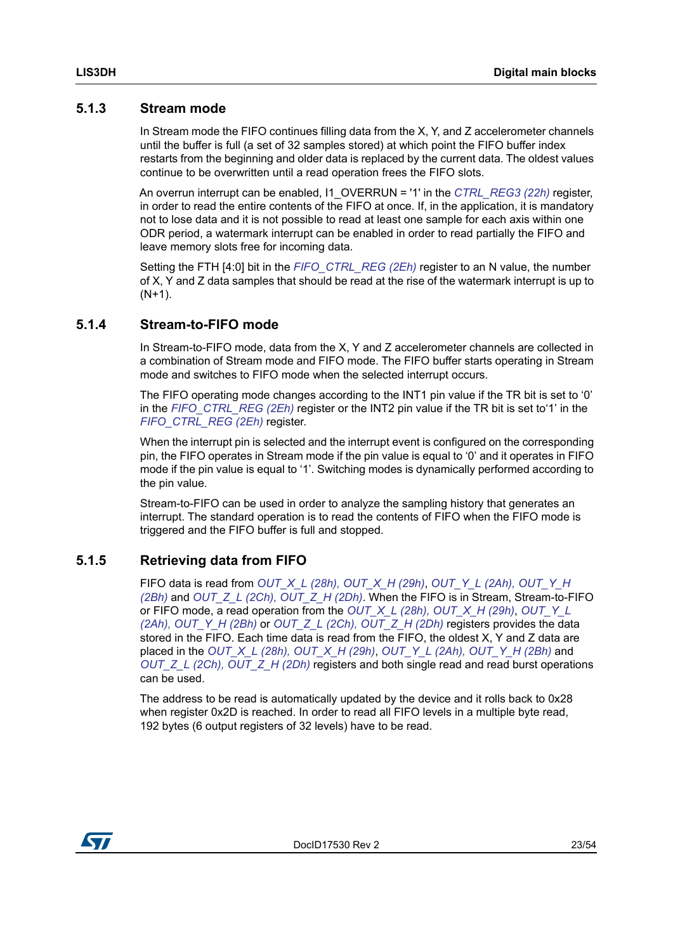### <span id="page-22-0"></span>**5.1.3 Stream mode**

In Stream mode the FIFO continues filling data from the X, Y, and Z accelerometer channels until the buffer is full (a set of 32 samples stored) at which point the FIFO buffer index restarts from the beginning and older data is replaced by the current data. The oldest values continue to be overwritten until a read operation frees the FIFO slots.

An overrun interrupt can be enabled, I1\_OVERRUN = '1' in the *[CTRL\\_REG3 \(22h\)](#page-35-1)* register, in order to read the entire contents of the FIFO at once. If, in the application, it is mandatory not to lose data and it is not possible to read at least one sample for each axis within one ODR period, a watermark interrupt can be enabled in order to read partially the FIFO and leave memory slots free for incoming data.

Setting the FTH [4:0] bit in the *[FIFO\\_CTRL\\_REG \(2Eh\)](#page-39-3)* register to an N value, the number of X, Y and Z data samples that should be read at the rise of the watermark interrupt is up to  $(N+1)$ .

### <span id="page-22-1"></span>**5.1.4 Stream-to-FIFO mode**

In Stream-to-FIFO mode, data from the X, Y and Z accelerometer channels are collected in a combination of Stream mode and FIFO mode. The FIFO buffer starts operating in Stream mode and switches to FIFO mode when the selected interrupt occurs.

The FIFO operating mode changes according to the INT1 pin value if the TR bit is set to '0' in the *[FIFO\\_CTRL\\_REG \(2Eh\)](#page-39-3)* register or the INT2 pin value if the TR bit is set to'1' in the *[FIFO\\_CTRL\\_REG \(2Eh\)](#page-39-3)* register.

When the interrupt pin is selected and the interrupt event is configured on the corresponding pin, the FIFO operates in Stream mode if the pin value is equal to '0' and it operates in FIFO mode if the pin value is equal to '1'. Switching modes is dynamically performed according to the pin value.

Stream-to-FIFO can be used in order to analyze the sampling history that generates an interrupt. The standard operation is to read the contents of FIFO when the FIFO mode is triggered and the FIFO buffer is full and stopped.

### <span id="page-22-2"></span>**5.1.5 Retrieving data from FIFO**

FIFO data is read from *[OUT\\_X\\_L \(28h\), OUT\\_X\\_H \(29h\)](#page-39-0)*, *[OUT\\_Y\\_L \(2Ah\), OUT\\_Y\\_H](#page-39-1)  [\(2Bh\)](#page-39-1)* and *[OUT\\_Z\\_L \(2Ch\), OUT\\_Z\\_H \(2Dh\)](#page-39-2)*. When the FIFO is in Stream, Stream-to-FIFO or FIFO mode, a read operation from the *[OUT\\_X\\_L \(28h\), OUT\\_X\\_H \(29h\)](#page-39-0)*, *[OUT\\_Y\\_L](#page-39-1)  [\(2Ah\), OUT\\_Y\\_H \(2Bh\)](#page-39-1)* or *[OUT\\_Z\\_L \(2Ch\), OUT\\_Z\\_H \(2Dh\)](#page-39-2)* registers provides the data stored in the FIFO. Each time data is read from the FIFO, the oldest X, Y and Z data are placed in the *[OUT\\_X\\_L \(28h\), OUT\\_X\\_H \(29h\)](#page-39-0)*, *[OUT\\_Y\\_L \(2Ah\), OUT\\_Y\\_H \(2Bh\)](#page-39-1)* and *[OUT\\_Z\\_L \(2Ch\), OUT\\_Z\\_H \(2Dh\)](#page-39-2)* registers and both single read and read burst operations can be used.

The address to be read is automatically updated by the device and it rolls back to 0x28 when register 0x2D is reached. In order to read all FIFO levels in a multiple byte read, 192 bytes (6 output registers of 32 levels) have to be read.

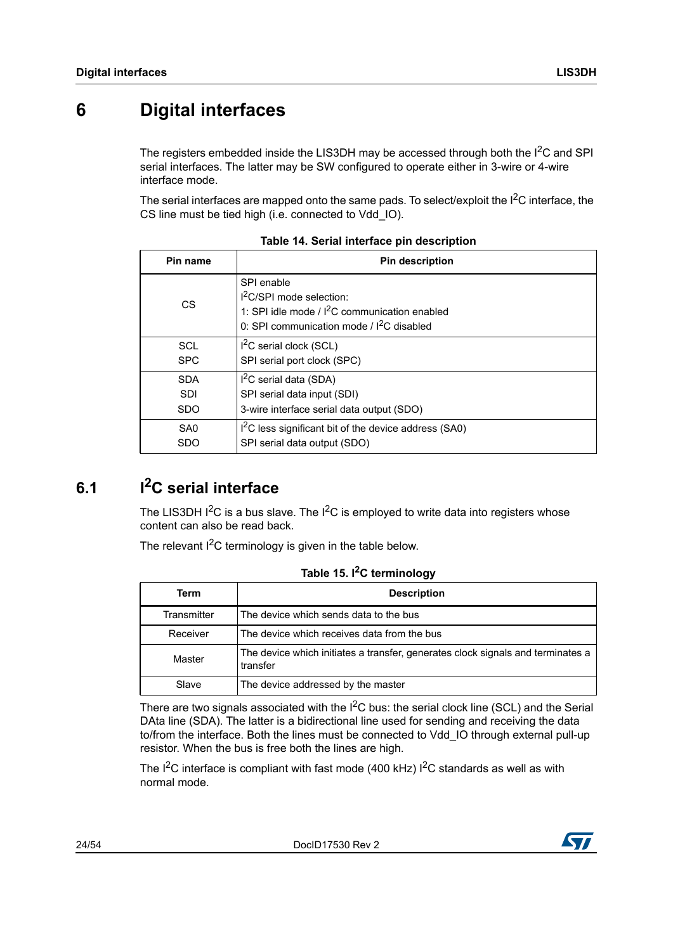# <span id="page-23-0"></span>**6 Digital interfaces**

The registers embedded inside the LIS3DH may be accessed through both the  $1^2C$  and SPI serial interfaces. The latter may be SW configured to operate either in 3-wire or 4-wire interface mode.

The serial interfaces are mapped onto the same pads. To select/exploit the  $1<sup>2</sup>C$  interface, the CS line must be tied high (i.e. connected to Vdd\_IO).

<span id="page-23-2"></span>

| Pin name        | <b>Pin description</b>                                                                                                                    |
|-----------------|-------------------------------------------------------------------------------------------------------------------------------------------|
| <b>CS</b>       | SPI enable<br>$12C/SPI$ mode selection:<br>1: SPI idle mode / $I^2C$ communication enabled<br>0: SPI communication mode / $I^2C$ disabled |
| <b>SCL</b>      | I <sup>2</sup> C serial clock (SCL)                                                                                                       |
| <b>SPC</b>      | SPI serial port clock (SPC)                                                                                                               |
| <b>SDA</b>      | $I2C$ serial data (SDA)                                                                                                                   |
| <b>SDI</b>      | SPI serial data input (SDI)                                                                                                               |
| <b>SDO</b>      | 3-wire interface serial data output (SDO)                                                                                                 |
| SA <sub>0</sub> | I <sup>2</sup> C less significant bit of the device address (SA0)                                                                         |
| <b>SDO</b>      | SPI serial data output (SDO)                                                                                                              |

**Table 14. Serial interface pin description**

# <span id="page-23-1"></span>**6.1 I2C serial interface**

The LIS3DH  $1^2C$  is a bus slave. The  $1^2C$  is employed to write data into registers whose content can also be read back.

The relevant  $1<sup>2</sup>C$  terminology is given in the table below.

<span id="page-23-3"></span>

| Term        | <b>Description</b>                                                                          |
|-------------|---------------------------------------------------------------------------------------------|
| Transmitter | The device which sends data to the bus                                                      |
| Receiver    | The device which receives data from the bus                                                 |
| Master      | The device which initiates a transfer, generates clock signals and terminates a<br>transfer |
| Slave       | The device addressed by the master                                                          |

**Table 15. I2C terminology**

There are two signals associated with the  $I^2C$  bus: the serial clock line (SCL) and the Serial DAta line (SDA). The latter is a bidirectional line used for sending and receiving the data to/from the interface. Both the lines must be connected to Vdd\_IO through external pull-up resistor. When the bus is free both the lines are high.

The  $I^2C$  interface is compliant with fast mode (400 kHz)  $I^2C$  standards as well as with normal mode.

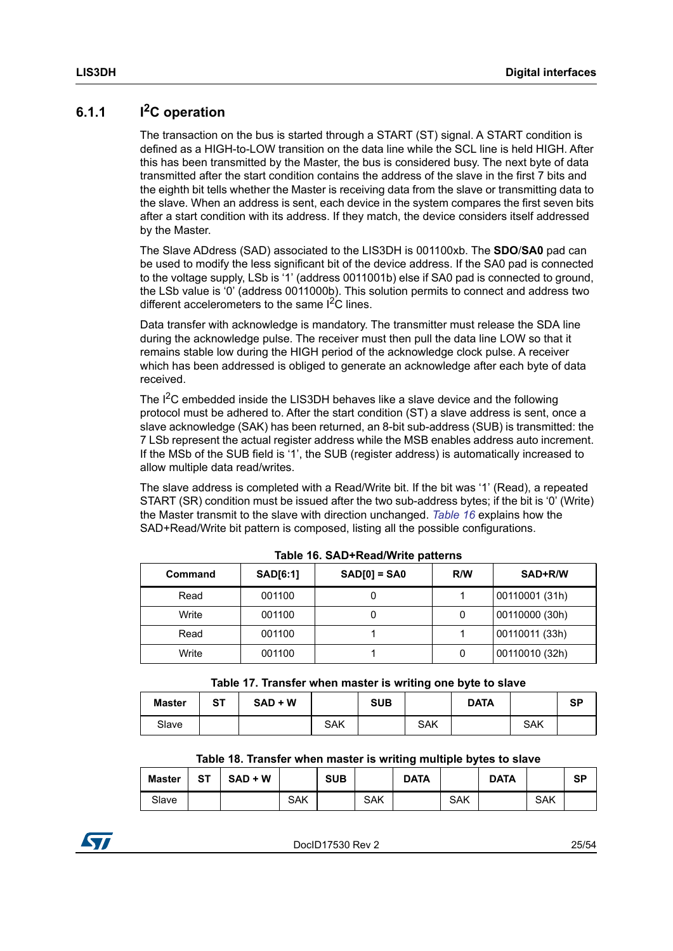### <span id="page-24-0"></span>**6.1.1 I2C operation**

The transaction on the bus is started through a START (ST) signal. A START condition is defined as a HIGH-to-LOW transition on the data line while the SCL line is held HIGH. After this has been transmitted by the Master, the bus is considered busy. The next byte of data transmitted after the start condition contains the address of the slave in the first 7 bits and the eighth bit tells whether the Master is receiving data from the slave or transmitting data to the slave. When an address is sent, each device in the system compares the first seven bits after a start condition with its address. If they match, the device considers itself addressed by the Master.

The Slave ADdress (SAD) associated to the LIS3DH is 001100xb. The **SDO**/**SA0** pad can be used to modify the less significant bit of the device address. If the SA0 pad is connected to the voltage supply, LSb is '1' (address 0011001b) else if SA0 pad is connected to ground, the LSb value is '0' (address 0011000b). This solution permits to connect and address two different accelerometers to the same  $1<sup>2</sup>C$  lines.

Data transfer with acknowledge is mandatory. The transmitter must release the SDA line during the acknowledge pulse. The receiver must then pull the data line LOW so that it remains stable low during the HIGH period of the acknowledge clock pulse. A receiver which has been addressed is obliged to generate an acknowledge after each byte of data received.

The I<sup>2</sup>C embedded inside the LIS3DH behaves like a slave device and the following protocol must be adhered to. After the start condition (ST) a slave address is sent, once a slave acknowledge (SAK) has been returned, an 8-bit sub-address (SUB) is transmitted: the 7 LSb represent the actual register address while the MSB enables address auto increment. If the MSb of the SUB field is '1', the SUB (register address) is automatically increased to allow multiple data read/writes.

The slave address is completed with a Read/Write bit. If the bit was '1' (Read), a repeated START (SR) condition must be issued after the two sub-address bytes; if the bit is '0' (Write) the Master transmit to the slave with direction unchanged. *[Table 16](#page-24-1)* explains how the SAD+Read/Write bit pattern is composed, listing all the possible configurations.

<span id="page-24-1"></span>

| Command | <b>SAD[6:1]</b> | $SAD[0] = SAO$ | R/W | SAD+R/W        |  |  |  |  |  |  |
|---------|-----------------|----------------|-----|----------------|--|--|--|--|--|--|
| Read    | 001100          |                |     | 00110001 (31h) |  |  |  |  |  |  |
| Write   | 001100          |                | 0   | 00110000 (30h) |  |  |  |  |  |  |
| Read    | 001100          |                |     | 00110011 (33h) |  |  |  |  |  |  |
| Write   | 001100          |                | 0   | 00110010 (32h) |  |  |  |  |  |  |

|  | Table 16. SAD+Read/Write patterns |  |
|--|-----------------------------------|--|
|--|-----------------------------------|--|

|  | Table 17. Transfer when master is writing one byte to slave |  |  |  |
|--|-------------------------------------------------------------|--|--|--|
|--|-------------------------------------------------------------|--|--|--|

<span id="page-24-2"></span>

| <b>Master</b> | <b>ST</b> | $SAD + W$ |            | <b>SUB</b> |     | <b>DATA</b> |     | SP |
|---------------|-----------|-----------|------------|------------|-----|-------------|-----|----|
| Slave         |           |           | <b>SAK</b> |            | SAK |             | SAK |    |

**Table 18. Transfer when master is writing multiple bytes to slave**

<span id="page-24-3"></span>

| Master | ST | $SAD + W$ |     | <b>SUB</b> |     | <b>DATA</b> |     | <b>DATA</b> |     | <b>SP</b> |
|--------|----|-----------|-----|------------|-----|-------------|-----|-------------|-----|-----------|
| Slave  |    |           | SAK |            | SAK |             | SAK |             | SAK |           |

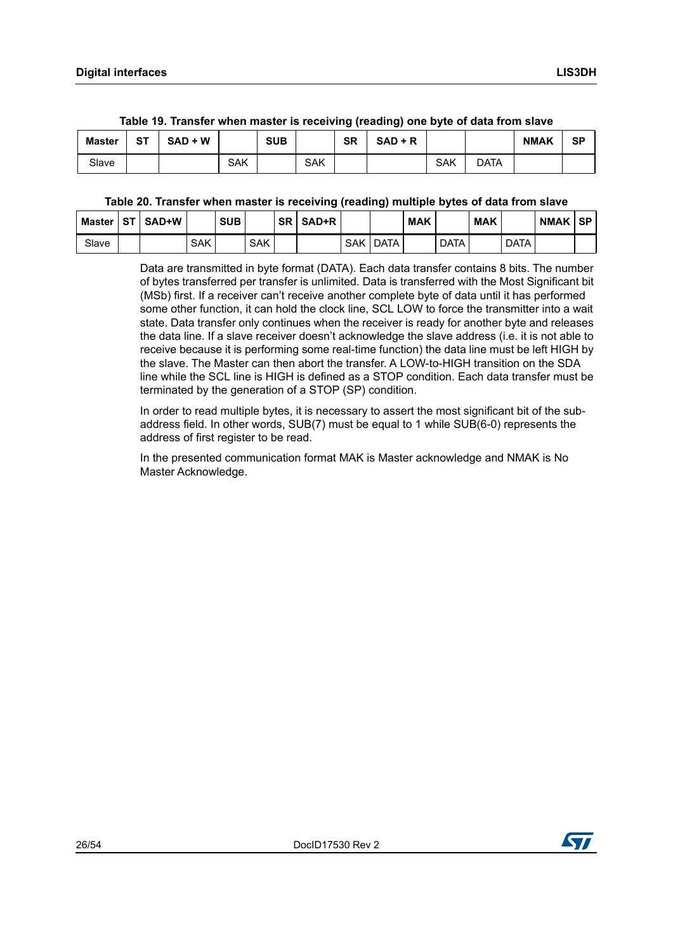<span id="page-25-0"></span>

| <b>Master</b> | ST | $SAD + W$ |            | <b>SUB</b> |     | <b>SR</b> | $SAD + R$ |     |             | <b>NMAK</b> | SP |
|---------------|----|-----------|------------|------------|-----|-----------|-----------|-----|-------------|-------------|----|
| Slave         |    |           | <b>SAK</b> |            | SAK |           |           | SAK | <b>DATA</b> |             |    |

#### **Table 19. Transfer when master is receiving (reading) one byte of data from slave**

#### **Table 20. Transfer when master is receiving (reading) multiple bytes of data from slave**

<span id="page-25-1"></span>

| Master | ST I | SAD+W |            | <b>SUB</b> |            | <b>SR</b> | SAD+R |            |             | <b>MAK</b> |             | <b>MAK</b> |             | <b>NMAK</b> | ⊦SP |
|--------|------|-------|------------|------------|------------|-----------|-------|------------|-------------|------------|-------------|------------|-------------|-------------|-----|
| Slave  |      |       | <b>SAK</b> |            | <b>SAK</b> |           |       | <b>SAK</b> | <b>DATA</b> |            | <b>DATA</b> |            | <b>DATA</b> |             |     |

Data are transmitted in byte format (DATA). Each data transfer contains 8 bits. The number of bytes transferred per transfer is unlimited. Data is transferred with the Most Significant bit (MSb) first. If a receiver can't receive another complete byte of data until it has performed some other function, it can hold the clock line, SCL LOW to force the transmitter into a wait state. Data transfer only continues when the receiver is ready for another byte and releases the data line. If a slave receiver doesn't acknowledge the slave address (i.e. it is not able to receive because it is performing some real-time function) the data line must be left HIGH by the slave. The Master can then abort the transfer. A LOW-to-HIGH transition on the SDA line while the SCL line is HIGH is defined as a STOP condition. Each data transfer must be terminated by the generation of a STOP (SP) condition.

In order to read multiple bytes, it is necessary to assert the most significant bit of the subaddress field. In other words, SUB(7) must be equal to 1 while SUB(6-0) represents the address of first register to be read.

In the presented communication format MAK is Master acknowledge and NMAK is No Master Acknowledge.

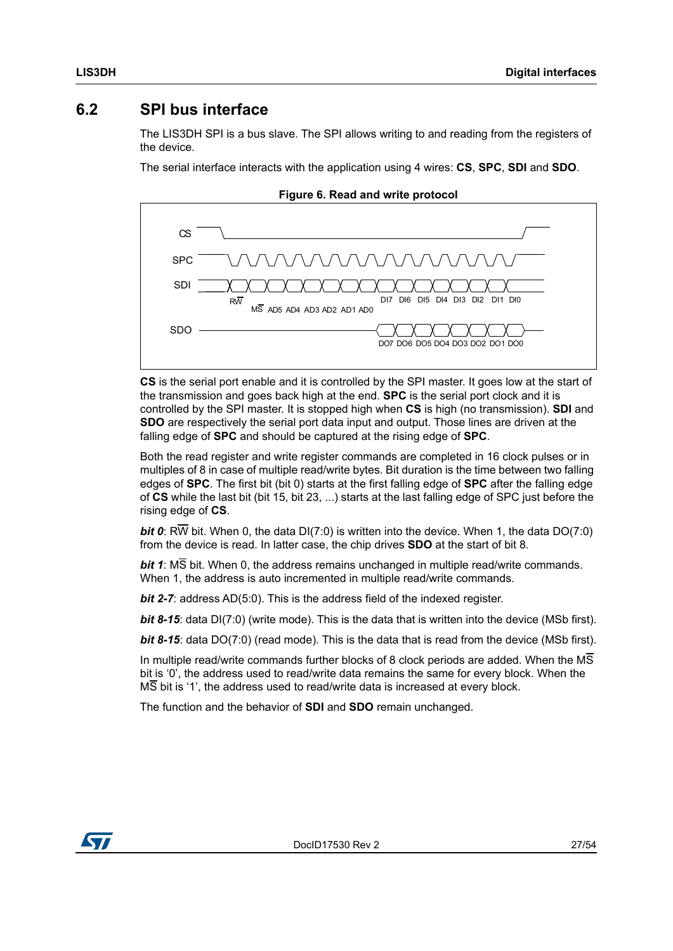### <span id="page-26-0"></span>**6.2 SPI bus interface**

The LIS3DH SPI is a bus slave. The SPI allows writing to and reading from the registers of the device.

The serial interface interacts with the application using 4 wires: **CS**, **SPC**, **SDI** and **SDO**.

<span id="page-26-1"></span>

**Figure 6. Read and write protocol**

**CS** is the serial port enable and it is controlled by the SPI master. It goes low at the start of the transmission and goes back high at the end. **SPC** is the serial port clock and it is controlled by the SPI master. It is stopped high when **CS** is high (no transmission). **SDI** and **SDO** are respectively the serial port data input and output. Those lines are driven at the falling edge of **SPC** and should be captured at the rising edge of **SPC**.

Both the read register and write register commands are completed in 16 clock pulses or in multiples of 8 in case of multiple read/write bytes. Bit duration is the time between two falling edges of **SPC**. The first bit (bit 0) starts at the first falling edge of **SPC** after the falling edge of **CS** while the last bit (bit 15, bit 23, ...) starts at the last falling edge of SPC just before the rising edge of **CS**.

*bit 0*: RW bit. When 0, the data DI(7:0) is written into the device. When 1, the data DO(7:0) from the device is read. In latter case, the chip drives **SDO** at the start of bit 8.

*bit 1*: MS bit. When 0, the address remains unchanged in multiple read/write commands. When 1, the address is auto incremented in multiple read/write commands.

*bit 2-7*: address AD(5:0). This is the address field of the indexed register.

**bit 8-15**: data DI(7:0) (write mode). This is the data that is written into the device (MSb first).

*bit 8-15*: data DO(7:0) (read mode). This is the data that is read from the device (MSb first).

In multiple read/write commands further blocks of 8 clock periods are added. When the MS bit is '0', the address used to read/write data remains the same for every block. When the  $\overline{\text{MS}}$  bit is '1', the address used to read/write data is increased at every block.

The function and the behavior of **SDI** and **SDO** remain unchanged.

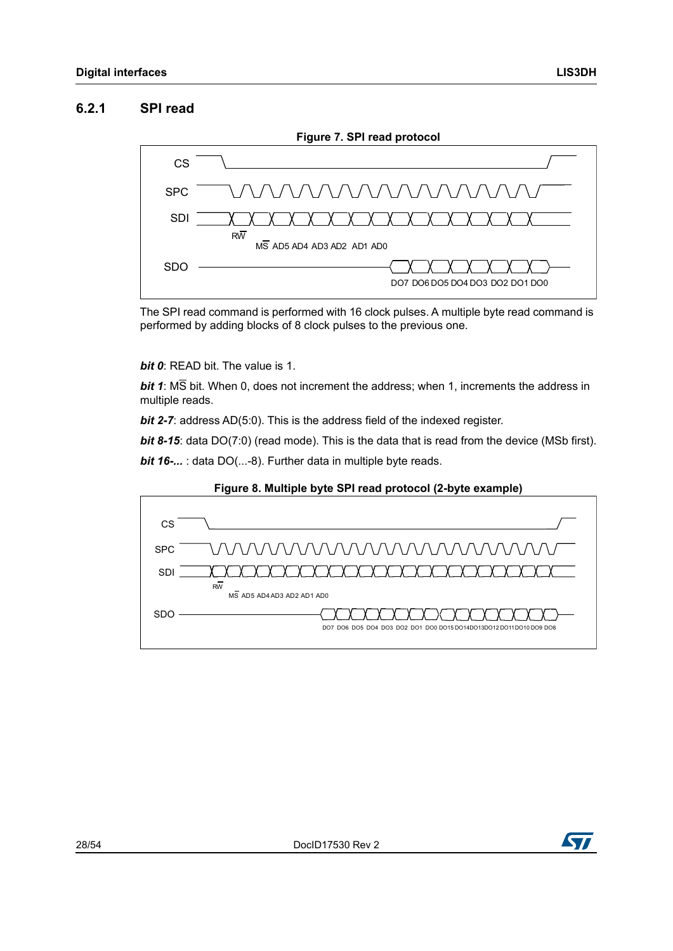### <span id="page-27-0"></span>**6.2.1 SPI read**

<span id="page-27-1"></span>

The SPI read command is performed with 16 clock pulses. A multiple byte read command is performed by adding blocks of 8 clock pulses to the previous one.

#### *bit 0*: READ bit. The value is 1.

*bit 1*: MS bit. When 0, does not increment the address; when 1, increments the address in multiple reads.

*bit 2-7:* address AD(5:0). This is the address field of the indexed register.

**bit 8-15**: data DO(7:0) (read mode). This is the data that is read from the device (MSb first).

*bit 16-...* : data DO(...-8). Further data in multiple byte reads.

<span id="page-27-2"></span>



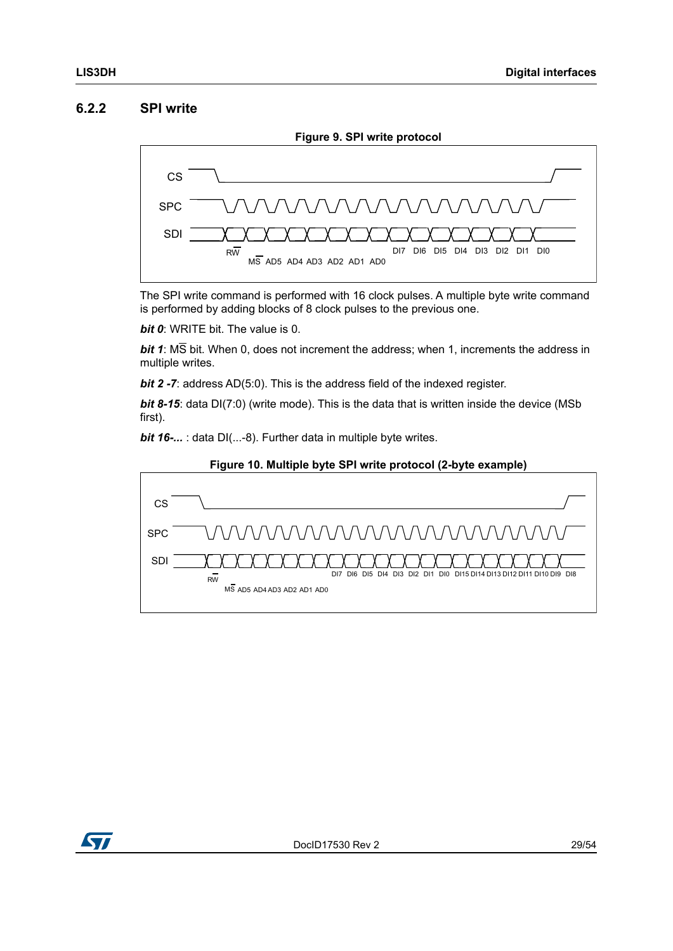#### <span id="page-28-0"></span>**6.2.2 SPI write**

<span id="page-28-1"></span>

The SPI write command is performed with 16 clock pulses. A multiple byte write command is performed by adding blocks of 8 clock pulses to the previous one.

*bit 0*: WRITE bit. The value is 0.

*bit 1*: MS bit. When 0, does not increment the address; when 1, increments the address in multiple writes.

*bit 2 -7:* address AD(5:0). This is the address field of the indexed register.

*bit 8-15*: data DI(7:0) (write mode). This is the data that is written inside the device (MSb first).

*bit 16-...* : data DI(...-8). Further data in multiple byte writes.

<span id="page-28-2"></span>



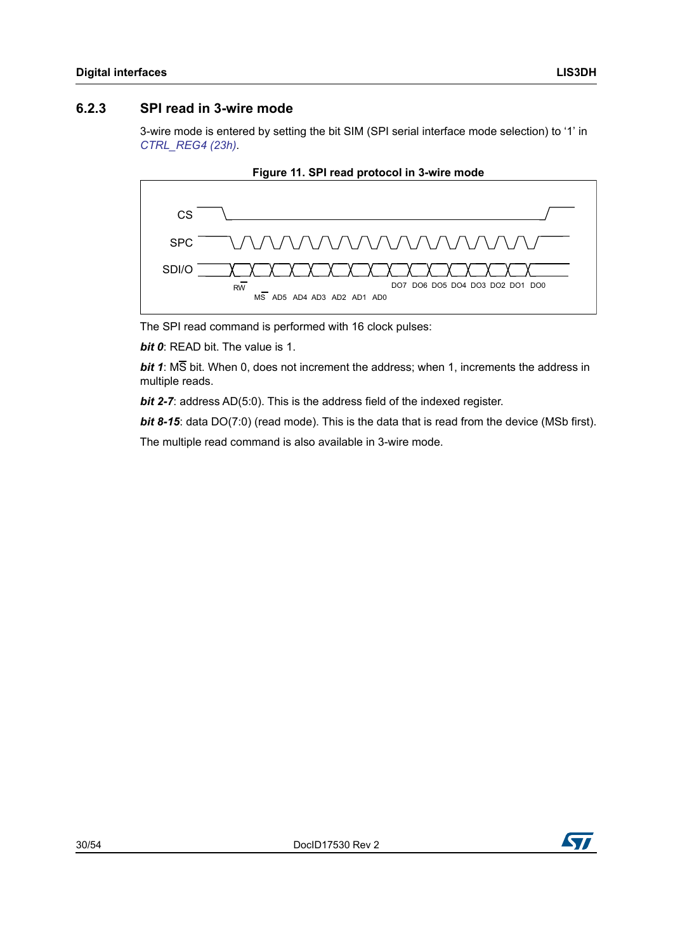#### <span id="page-29-0"></span>**6.2.3 SPI read in 3-wire mode**

3-wire mode is entered by setting the bit SIM (SPI serial interface mode selection) to '1' in *[CTRL\\_REG4 \(23h\)](#page-36-0)*.

<span id="page-29-1"></span>



The SPI read command is performed with 16 clock pulses:

*bit 0*: READ bit. The value is 1.

*bit 1*: MS bit. When 0, does not increment the address; when 1, increments the address in multiple reads.

*bit 2-7:* address AD(5:0). This is the address field of the indexed register.

**bit 8-15**: data DO(7:0) (read mode). This is the data that is read from the device (MSb first).

The multiple read command is also available in 3-wire mode.

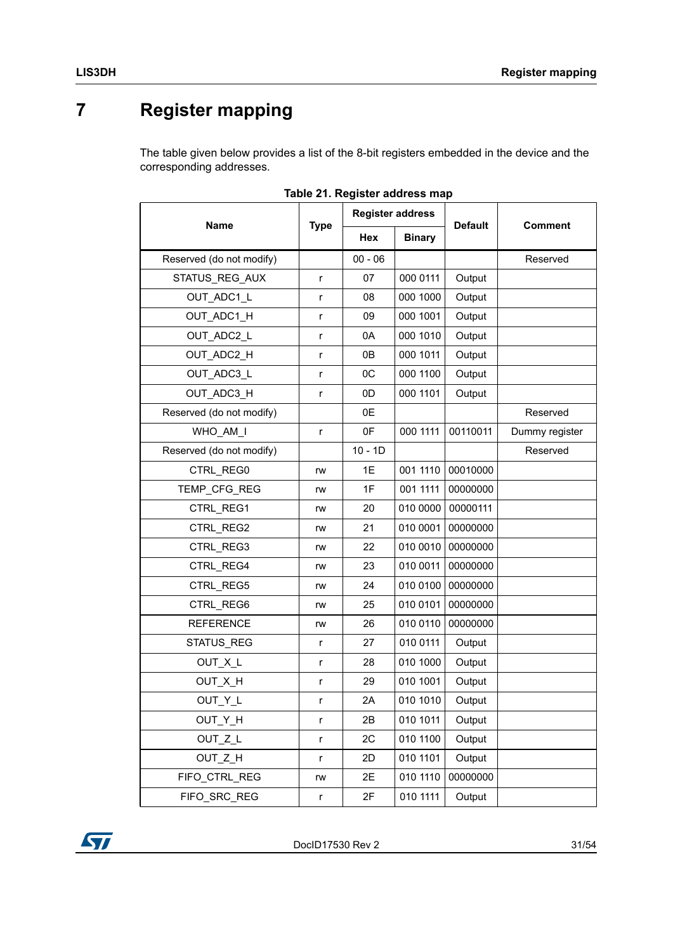# <span id="page-30-0"></span>**7 Register mapping**

The table given below provides a list of the 8-bit registers embedded in the device and the corresponding addresses.

<span id="page-30-1"></span>

|                          |              |           | <b>Register address</b> |                |                |  |
|--------------------------|--------------|-----------|-------------------------|----------------|----------------|--|
| Name                     | <b>Type</b>  | Hex       | <b>Binary</b>           | <b>Default</b> | <b>Comment</b> |  |
| Reserved (do not modify) |              | $00 - 06$ |                         |                | Reserved       |  |
| STATUS_REG_AUX           | r            | 07        | 000 0111                | Output         |                |  |
| OUT ADC1 L               | r            | 08        | 000 1000                | Output         |                |  |
| OUT ADC1 H               | r            | 09        | 000 1001                | Output         |                |  |
| OUT_ADC2_L               | r            | 0A        | 000 1010                | Output         |                |  |
| OUT_ADC2_H               | r            | 0B        | 000 1011                | Output         |                |  |
| OUT ADC3 L               | r            | OC        | 000 1100                | Output         |                |  |
| OUT ADC3 H               | r            | 0D        | 000 1101                | Output         |                |  |
| Reserved (do not modify) |              | 0E        |                         |                | Reserved       |  |
| WHO AM I                 | r            | 0F        | 000 1111                | 00110011       | Dummy register |  |
| Reserved (do not modify) |              | $10 - 1D$ |                         |                | Reserved       |  |
| CTRL_REG0                | rw           | 1E        | 001 1110                | 00010000       |                |  |
| TEMP_CFG_REG             | rw           | 1F        | 001 1111                | 00000000       |                |  |
| CTRL REG1                | rw           | 20        | 010 0000                | 00000111       |                |  |
| CTRL REG2                | rw           | 21        | 010 0001                | 00000000       |                |  |
| CTRL REG3                | rw           | 22        | 010 0010                | 00000000       |                |  |
| CTRL REG4                | rw           | 23        | 010 0011                | 00000000       |                |  |
| CTRL_REG5                | rw           | 24        | 010 0100                | 00000000       |                |  |
| CTRL REG6                | rw           | 25        | 010 0101                | 00000000       |                |  |
| <b>REFERENCE</b>         | rw           | 26        | 010 0110                | 00000000       |                |  |
| STATUS_REG               | r            | 27        | 010 0111                | Output         |                |  |
| OUT_X_L                  | r            | 28        | 010 1000                | Output         |                |  |
| OUT_X_H                  | r            | 29        | 010 1001                | Output         |                |  |
| OUT Y L                  | r            | 2A        | 010 1010                | Output         |                |  |
| OUT_Y_H                  | $\mathsf{r}$ | 2B        | 010 1011                | Output         |                |  |
| OUT Z L                  | r            | 2C        | 010 1100                | Output         |                |  |
| OUT_Z_H                  | r            | 2D        | 010 1101                | Output         |                |  |
| FIFO CTRL REG            | rw           | 2E        | 010 1110                | 00000000       |                |  |
| FIFO SRC REG             | r            | 2F        | 010 1111                | Output         |                |  |

|  | Table 21. Register address map |  |  |
|--|--------------------------------|--|--|
|--|--------------------------------|--|--|

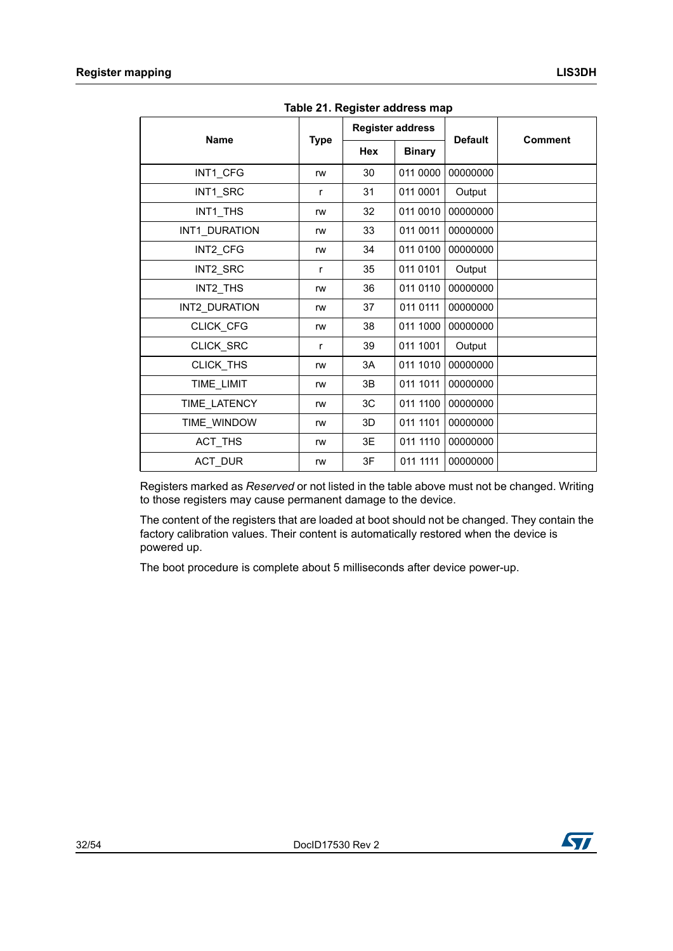| <b>Name</b>    |             | <b>Register address</b> |               | <b>Default</b> | <b>Comment</b> |  |  |  |  |
|----------------|-------------|-------------------------|---------------|----------------|----------------|--|--|--|--|
|                | <b>Type</b> | <b>Hex</b>              | <b>Binary</b> |                |                |  |  |  |  |
| INT1_CFG       | rw          | 30                      | 011 0000      | 00000000       |                |  |  |  |  |
| INT1_SRC       | r           | 31                      | 011 0001      | Output         |                |  |  |  |  |
| INT1 THS       | rw          | 32                      | 011 0010      | 00000000       |                |  |  |  |  |
| INT1_DURATION  | rw          | 33                      | 011 0011      | 00000000       |                |  |  |  |  |
| INT2_CFG       | rw          | 34                      | 011 0100      | 00000000       |                |  |  |  |  |
| INT2 SRC       | r           | 35                      | 011 0101      | Output         |                |  |  |  |  |
| INT2_THS       | rw          | 36                      | 011 0110      | 00000000       |                |  |  |  |  |
| INT2 DURATION  | rw          | 37                      | 011 0111      | 00000000       |                |  |  |  |  |
| CLICK_CFG      | rw          | 38                      | 011 1000      | 00000000       |                |  |  |  |  |
| CLICK_SRC      | r           | 39                      | 011 1001      | Output         |                |  |  |  |  |
| CLICK_THS      | rw          | 3A                      | 011 1010      | 00000000       |                |  |  |  |  |
| TIME_LIMIT     | rw          | 3B                      | 011 1011      | 00000000       |                |  |  |  |  |
| TIME LATENCY   | rw          | 3C                      | 011 1100      | 00000000       |                |  |  |  |  |
| TIME_WINDOW    | rw          | 3D                      | 011 1101      | 00000000       |                |  |  |  |  |
| ACT_THS        | rw          | 3E                      | 011 1110      | 00000000       |                |  |  |  |  |
| <b>ACT DUR</b> | rw          | 3F                      | 011 1111      | 00000000       |                |  |  |  |  |

**Table 21. Register address map**

Registers marked as *Reserved* or not listed in the table above must not be changed. Writing to those registers may cause permanent damage to the device.

The content of the registers that are loaded at boot should not be changed. They contain the factory calibration values. Their content is automatically restored when the device is powered up.

The boot procedure is complete about 5 milliseconds after device power-up.

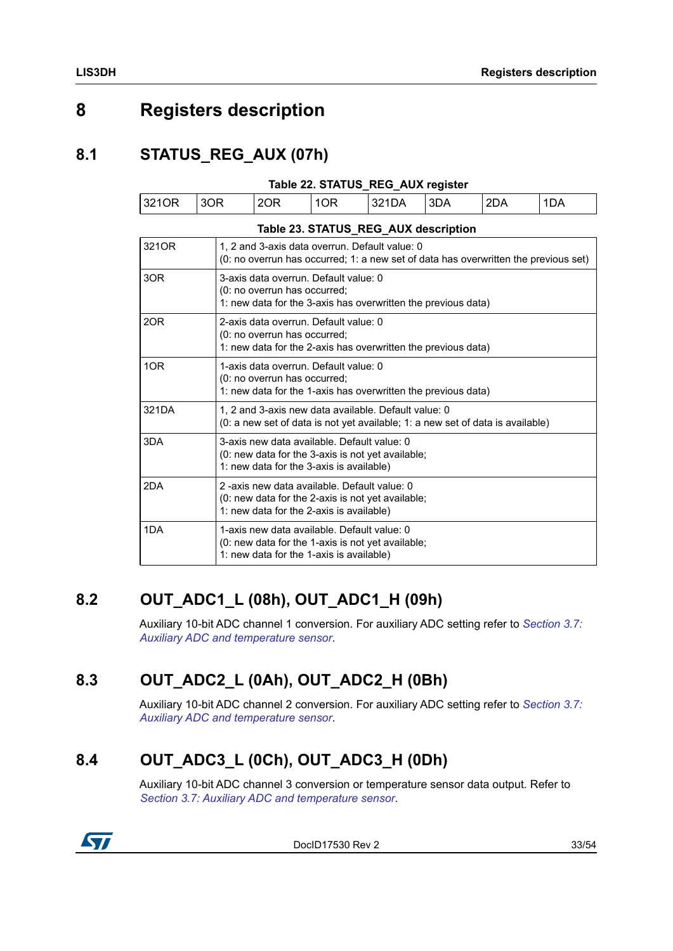# <span id="page-32-0"></span>**8 Registers description**

### <span id="page-32-1"></span>**8.1 STATUS\_REG\_AUX (07h)**

<span id="page-32-5"></span>

| Table 22. STATUS REG AUX register               |      |     |     |        |       |     |     |  |
|-------------------------------------------------|------|-----|-----|--------|-------|-----|-----|--|
| 321OR                                           | 13OR | 2OR | 1OR | '321DA | ' 3DA | 2DA | 1DA |  |
| $\overline{r}$ ii aa atatua bea aiiv i $\cdots$ |      |     |     |        |       |     |     |  |

<span id="page-32-6"></span>

| Table 23. STATUS_REG_AUX description |                                                                                                                                              |  |  |  |  |  |  |
|--------------------------------------|----------------------------------------------------------------------------------------------------------------------------------------------|--|--|--|--|--|--|
| 321OR                                | 1, 2 and 3-axis data overrun. Default value: 0<br>(0: no overrun has occurred; 1: a new set of data has overwritten the previous set)        |  |  |  |  |  |  |
| 3OR                                  | 3-axis data overrun. Default value: 0<br>(0: no overrun has occurred;<br>1: new data for the 3-axis has overwritten the previous data)       |  |  |  |  |  |  |
| 2OR                                  | 2-axis data overrun. Default value: 0<br>(0: no overrun has occurred;<br>1: new data for the 2-axis has overwritten the previous data)       |  |  |  |  |  |  |
| 1OR                                  | 1-axis data overrun. Default value: 0<br>(0: no overrun has occurred;<br>1: new data for the 1-axis has overwritten the previous data)       |  |  |  |  |  |  |
| 321DA                                | 1, 2 and 3-axis new data available. Default value: 0<br>(0: a new set of data is not yet available; 1: a new set of data is available)       |  |  |  |  |  |  |
| 3DA                                  | 3-axis new data available. Default value: 0<br>(0: new data for the 3-axis is not yet available;<br>1: new data for the 3-axis is available) |  |  |  |  |  |  |
| 2DA                                  | 2-axis new data available. Default value: 0<br>(0: new data for the 2-axis is not yet available;<br>1: new data for the 2-axis is available) |  |  |  |  |  |  |
| 1DA                                  | 1-axis new data available. Default value: 0<br>(0: new data for the 1-axis is not yet available;<br>1: new data for the 1-axis is available) |  |  |  |  |  |  |

## <span id="page-32-2"></span>**8.2 OUT\_ADC1\_L (08h), OUT\_ADC1\_H (09h)**

Auxiliary 10-bit ADC channel 1 conversion. For auxiliary ADC setting refer to *[Section 3.7:](#page-18-2)  [Auxiliary ADC and temperature sensor](#page-18-2)*.

### <span id="page-32-3"></span>**8.3 OUT\_ADC2\_L (0Ah), OUT\_ADC2\_H (0Bh)**

Auxiliary 10-bit ADC channel 2 conversion. For auxiliary ADC setting refer to *[Section 3.7:](#page-18-2)  [Auxiliary ADC and temperature sensor](#page-18-2)*.

## <span id="page-32-4"></span>**8.4 OUT\_ADC3\_L (0Ch), OUT\_ADC3\_H (0Dh)**

Auxiliary 10-bit ADC channel 3 conversion or temperature sensor data output. Refer to *[Section 3.7: Auxiliary ADC and temperature sensor](#page-18-2)*.



DocID17530 Rev 2 33/54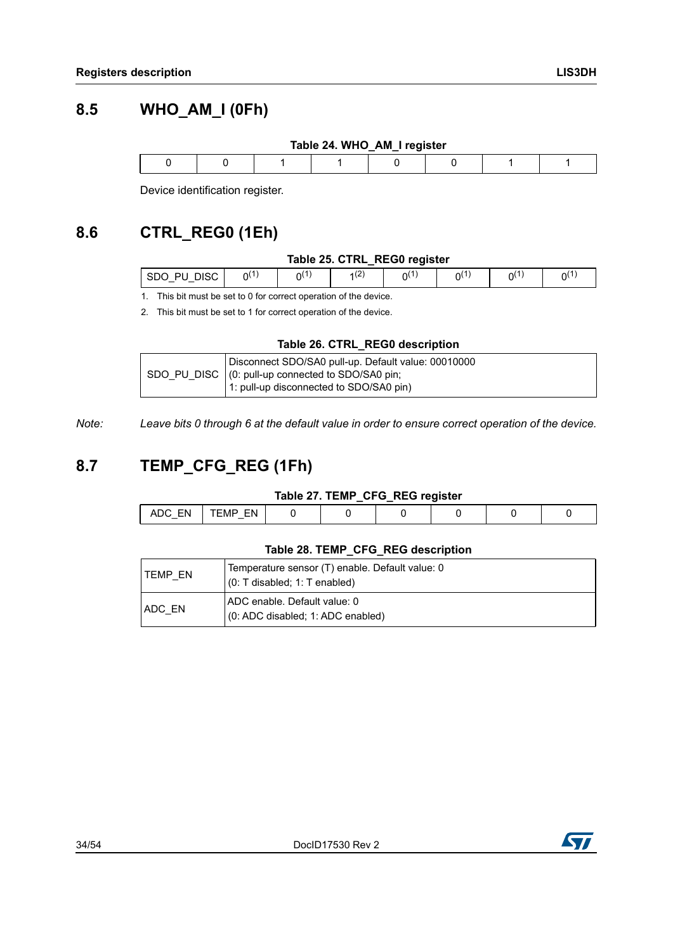### <span id="page-33-0"></span>**8.5 WHO\_AM\_I (0Fh)**

<span id="page-33-3"></span>

| Table 24. WHO_AM_I register |  |  |  |  |  |  |  |  |  |
|-----------------------------|--|--|--|--|--|--|--|--|--|
|                             |  |  |  |  |  |  |  |  |  |

Device identification register.

## <span id="page-33-1"></span>**8.6 CTRL\_REG0 (1Eh)**

#### **Table 25. CTRL\_REG0 register**

<span id="page-33-4"></span>

| .SDC<br>צור<br>וט | װ |  |  | ור |
|-------------------|---|--|--|----|
|                   |   |  |  |    |

1. This bit must be set to 0 for correct operation of the device.

2. This bit must be set to 1 for correct operation of the device.

#### **Table 26. CTRL\_REG0 description**

<span id="page-33-5"></span>

|  | Disconnect SDO/SA0 pull-up. Default value: 00010000<br>SDO_PU_DISC   (0: pull-up connected to SDO/SA0 pin;<br>1: pull-up disconnected to SDO/SA0 pin) |
|--|-------------------------------------------------------------------------------------------------------------------------------------------------------|
|--|-------------------------------------------------------------------------------------------------------------------------------------------------------|

*Note: Leave bits 0 through 6 at the default value in order to ensure correct operation of the device.*

### <span id="page-33-2"></span>**8.7 TEMP\_CFG\_REG (1Fh)**

| Table 27. TEMP_CFG_REG register |  |  |  |
|---------------------------------|--|--|--|
|---------------------------------|--|--|--|

<span id="page-33-6"></span>

| $-$ | · IV/I<br>$-$ |  |  |  |
|-----|---------------|--|--|--|
|     |               |  |  |  |

#### **Table 28. TEMP\_CFG\_REG description**

<span id="page-33-7"></span>

| ITEMP EN      | Temperature sensor (T) enable. Default value: 0<br>$(0: T$ disabled; 1: T enabled) |
|---------------|------------------------------------------------------------------------------------|
| <b>ADC EN</b> | ADC enable. Default value: 0<br>(0: ADC disabled; 1: ADC enabled)                  |

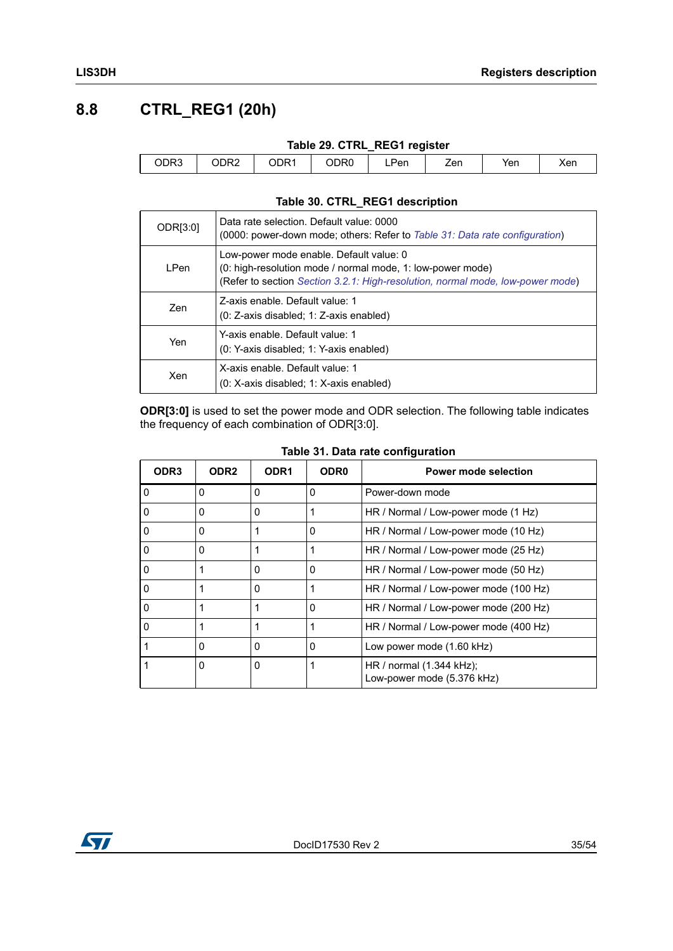### <span id="page-34-0"></span>**8.8 CTRL\_REG1 (20h)**

 $\begin{bmatrix} \phantom{-} \end{bmatrix}$ 

<span id="page-34-1"></span>

| Table 29. CTRL REG1 register |      |      |      |     |     |     |     |  |  |
|------------------------------|------|------|------|-----|-----|-----|-----|--|--|
| ODR3                         | ODR2 | ODR1 | ODR0 | Pen | Zen | Yen | Xen |  |  |

#### **Table 30. CTRL\_REG1 description**

<span id="page-34-2"></span>

| ODR[3:0] | Data rate selection. Default value: 0000<br>(0000: power-down mode; others: Refer to Table 31: Data rate configuration)                                                                 |
|----------|-----------------------------------------------------------------------------------------------------------------------------------------------------------------------------------------|
| I Pen    | Low-power mode enable. Default value: 0<br>(0: high-resolution mode / normal mode, 1: low-power mode)<br>(Refer to section Section 3.2.1: High-resolution, normal mode, low-power mode) |
| Zen      | Z-axis enable. Default value: 1<br>(0: Z-axis disabled: 1: Z-axis enabled)                                                                                                              |
| Yen      | Y-axis enable. Default value: 1<br>(0: Y-axis disabled; 1: Y-axis enabled)                                                                                                              |
| Xen      | X-axis enable. Default value: 1<br>(0: X-axis disabled; 1: X-axis enabled)                                                                                                              |

**ODR[3:0]** is used to set the power mode and ODR selection. The following table indicates the frequency of each combination of ODR[3:0].

<span id="page-34-3"></span>

| ODR <sub>3</sub> | ODR <sub>2</sub> | ODR <sub>1</sub> | ODR <sub>0</sub> | Power mode selection                                              |
|------------------|------------------|------------------|------------------|-------------------------------------------------------------------|
| O                | $\Omega$         | 0                | 0                | Power-down mode                                                   |
|                  | 0                | 0                |                  | HR / Normal / Low-power mode (1 Hz)                               |
| 0                | 0                |                  | 0                | HR / Normal / Low-power mode (10 Hz)                              |
| 0                | $\Omega$         |                  |                  | HR / Normal / Low-power mode (25 Hz)                              |
| 0                |                  | 0                | 0                | HR / Normal / Low-power mode (50 Hz)                              |
| 0                |                  | 0                |                  | HR / Normal / Low-power mode (100 Hz)                             |
| 0                |                  |                  | 0                | HR / Normal / Low-power mode (200 Hz)                             |
| ŋ                |                  |                  | 1                | HR / Normal / Low-power mode (400 Hz)                             |
|                  | $\Omega$         | 0                | 0                | Low power mode (1.60 kHz)                                         |
|                  | 0                | 0                |                  | HR / normal $(1.344 \text{ kHz})$ ;<br>Low-power mode (5.376 kHz) |

**Table 31. Data rate configuration**

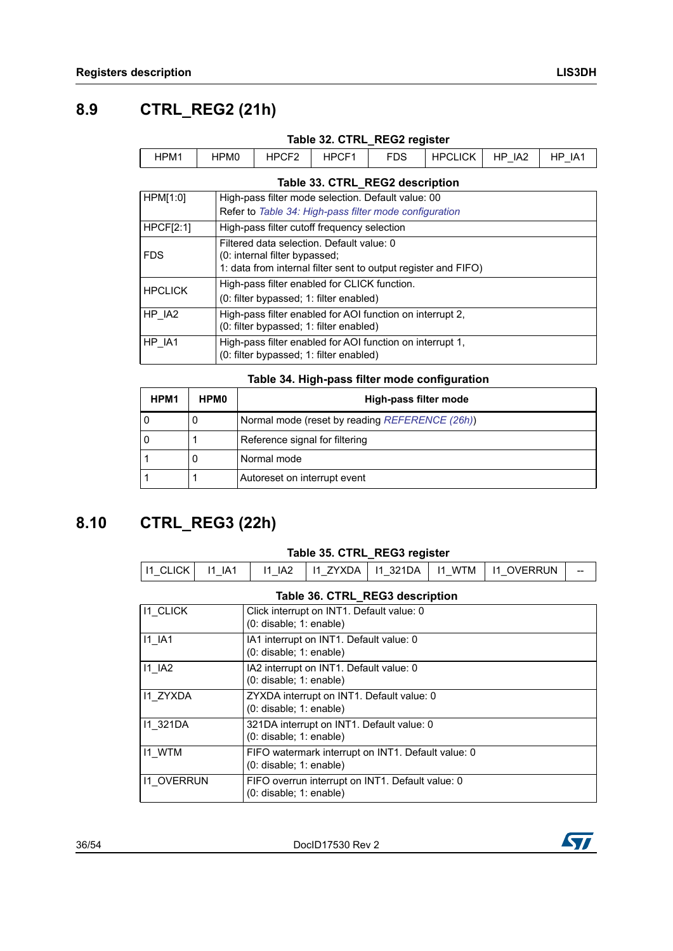### <span id="page-35-0"></span>**8.9 CTRL\_REG2 (21h)**

<span id="page-35-2"></span>

| Table 32. CTRL REG2 register    |                  |       |       |            |         |        |        |  |  |
|---------------------------------|------------------|-------|-------|------------|---------|--------|--------|--|--|
| HPM1                            | HPM <sub>0</sub> | HPCF2 | HPCF1 | <b>FDS</b> | HPCLICK | HP IA2 | HP IA1 |  |  |
| Table 33. CTRL_REG2 description |                  |       |       |            |         |        |        |  |  |

<span id="page-35-3"></span>

| HPM[1:0]       | High-pass filter mode selection. Default value: 00                                                                                           |
|----------------|----------------------------------------------------------------------------------------------------------------------------------------------|
|                | Refer to Table 34: High-pass filter mode configuration                                                                                       |
| HPCF[2:1]      | High-pass filter cutoff frequency selection                                                                                                  |
| <b>FDS</b>     | Filtered data selection. Default value: 0<br>(0: internal filter bypassed;<br>1: data from internal filter sent to output register and FIFO) |
| <b>HPCLICK</b> | High-pass filter enabled for CLICK function.<br>(0: filter bypassed; 1: filter enabled)                                                      |
| HP IA2         | High-pass filter enabled for AOI function on interrupt 2,<br>(0: filter bypassed; 1: filter enabled)                                         |
| HP IA1         | High-pass filter enabled for AOI function on interrupt 1,<br>(0: filter bypassed; 1: filter enabled)                                         |

#### **Table 34. High-pass filter mode configuration**

<span id="page-35-4"></span>

| HPM <sub>1</sub> | <b>HPM0</b> | High-pass filter mode                          |
|------------------|-------------|------------------------------------------------|
|                  | O           | Normal mode (reset by reading REFERENCE (26h)) |
|                  |             | Reference signal for filtering                 |
|                  | O           | Normal mode                                    |
|                  |             | Autoreset on interrupt event                   |

### <span id="page-35-1"></span>**8.10 CTRL\_REG3 (22h)**

#### **Table 35. CTRL\_REG3 register**

<span id="page-35-5"></span>

| 11 CLICK I | $\overline{11}$ $\overline{1}$ $\overline{1}$ | 11 IA2<br>$-$ |  |  |  | 11 ZYXDA   11 321DA   11 WTM   11 OVERRUN | -- |
|------------|-----------------------------------------------|---------------|--|--|--|-------------------------------------------|----|
|------------|-----------------------------------------------|---------------|--|--|--|-------------------------------------------|----|

#### **Table 36. CTRL\_REG3 description**

<span id="page-35-6"></span>

| <b>11 CLICK</b>   | Click interrupt on INT1. Default value: 0<br>$(0:$ disable; 1: enable)            |
|-------------------|-----------------------------------------------------------------------------------|
| $11$ $IA1$        | IA1 interrupt on INT1. Default value: 0<br>$(0:$ disable; $1:$ enable)            |
| $11$ IA2          | IA2 interrupt on INT1. Default value: 0<br>$(0:$ disable; $1:$ enable)            |
| <b>I1 ZYXDA</b>   | ZYXDA interrupt on INT1. Default value: 0<br>$(0:$ disable; $1:$ enable)          |
| 11 321DA          | 321DA interrupt on INT1. Default value: 0<br>$(0:$ disable; 1: enable)            |
| <b>I1 WTM</b>     | FIFO watermark interrupt on INT1. Default value: 0<br>$(0:$ disable; $1:$ enable) |
| <b>11 OVERRUN</b> | FIFO overrun interrupt on INT1. Default value: 0<br>$(0:$ disable; $1:$ enable)   |

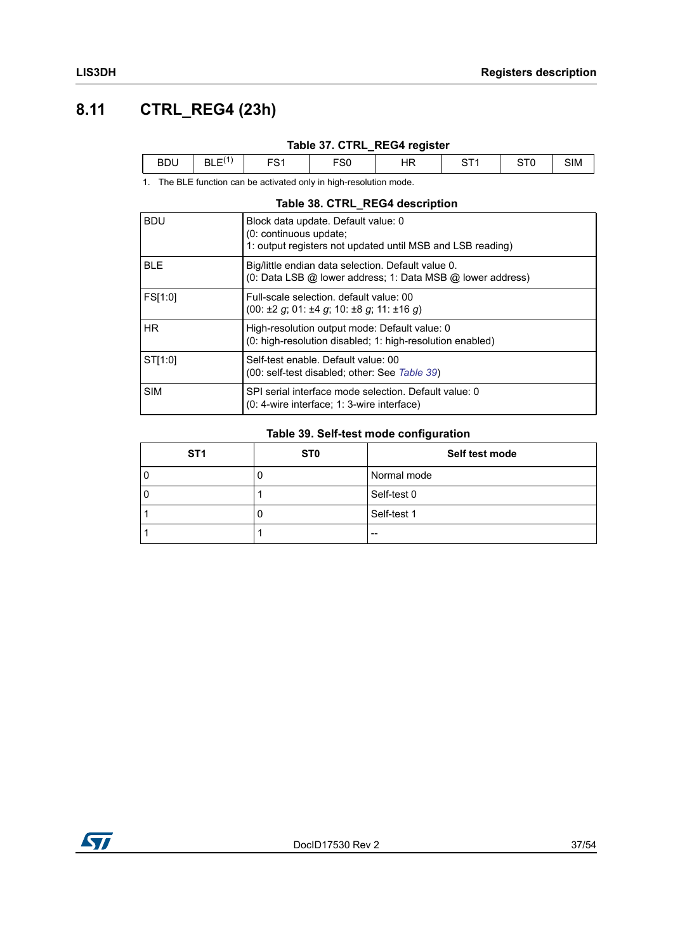## <span id="page-36-0"></span>**8.11 CTRL\_REG4 (23h)**

### **Table 37. CTRL\_REG4 register**

<span id="page-36-1"></span>

|     |                        | _    | __             |               |     |
|-----|------------------------|------|----------------|---------------|-----|
| BD! | $\cdots$<br>- 1<br>BLE | - ວບ | $\overline{ }$ | $\sim$ $\sim$ | SIM |
|     |                        |      |                |               |     |

1. The BLE function can be activated only in high-resolution mode.

#### **Table 38. CTRL\_REG4 description**

<span id="page-36-2"></span>

| <b>BDU</b> | Block data update. Default value: 0<br>(0: continuous update;<br>1: output registers not updated until MSB and LSB reading)        |
|------------|------------------------------------------------------------------------------------------------------------------------------------|
| <b>BLE</b> | Big/little endian data selection. Default value 0.<br>(0: Data LSB @ lower address; 1: Data MSB @ lower address)                   |
| FS[1:0]    | Full-scale selection, default value: 00<br>$(00: \pm 2 \text{ q}; 01: \pm 4 \text{ q}; 10: \pm 8 \text{ q}; 11: \pm 16 \text{ q})$ |
| HR.        | High-resolution output mode: Default value: 0<br>(0: high-resolution disabled; 1: high-resolution enabled)                         |
| ST[1:0]    | Self-test enable. Default value: 00<br>(00: self-test disabled; other: See Table 39)                                               |
| <b>SIM</b> | SPI serial interface mode selection. Default value: 0<br>(0: 4-wire interface; 1: 3-wire interface)                                |

#### **Table 39. Self-test mode configuration**

<span id="page-36-3"></span>

| ST <sub>1</sub> | <b>STO</b> | Self test mode |
|-----------------|------------|----------------|
|                 |            | Normal mode    |
|                 |            | Self-test 0    |
|                 |            | Self-test 1    |
|                 |            | $- -$          |

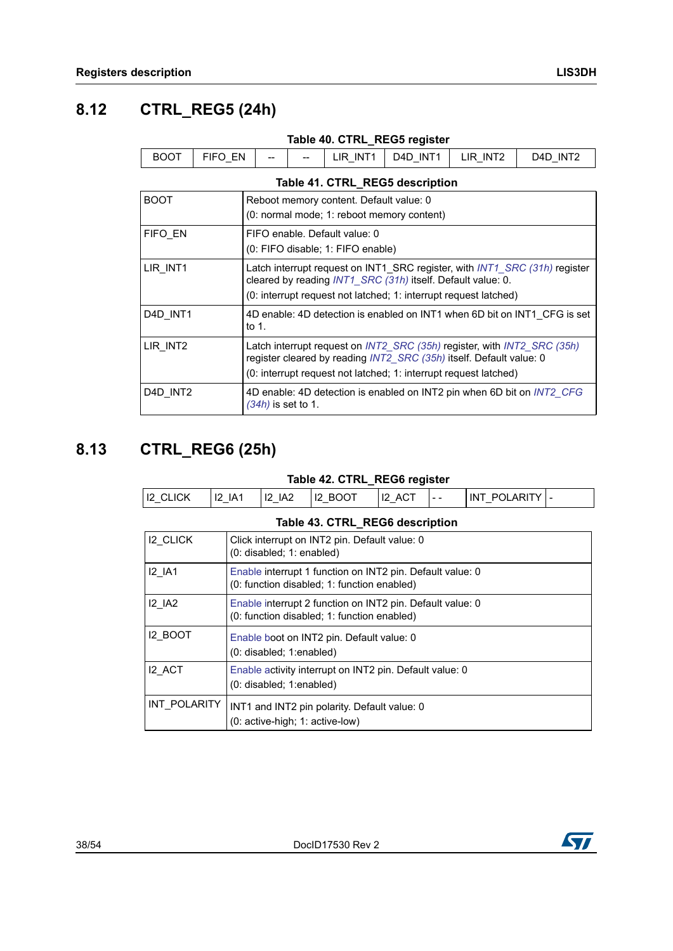## <span id="page-37-0"></span>**8.12 CTRL\_REG5 (24h)**

<span id="page-37-3"></span><span id="page-37-2"></span>

| Table 40. CTRL_REG5 register                                                                                                                                                                                                   |                                                                                                                                                                                                               |                                                                    |  |          |          |          |                                                                        |  |
|--------------------------------------------------------------------------------------------------------------------------------------------------------------------------------------------------------------------------------|---------------------------------------------------------------------------------------------------------------------------------------------------------------------------------------------------------------|--------------------------------------------------------------------|--|----------|----------|----------|------------------------------------------------------------------------|--|
| <b>BOOT</b>                                                                                                                                                                                                                    | FIFO EN                                                                                                                                                                                                       |                                                                    |  | LIR INT1 | D4D INT1 | LIR INT2 | D4D INT2                                                               |  |
| Table 41. CTRL_REG5 description                                                                                                                                                                                                |                                                                                                                                                                                                               |                                                                    |  |          |          |          |                                                                        |  |
| <b>BOOT</b><br>Reboot memory content. Default value: 0<br>(0: normal mode; 1: reboot memory content)                                                                                                                           |                                                                                                                                                                                                               |                                                                    |  |          |          |          |                                                                        |  |
| FIFO EN                                                                                                                                                                                                                        |                                                                                                                                                                                                               | FIFO enable. Default value: 0<br>(0: FIFO disable; 1: FIFO enable) |  |          |          |          |                                                                        |  |
| LIR INT1                                                                                                                                                                                                                       | Latch interrupt request on INT1_SRC register, with INT1_SRC (31h) register<br>cleared by reading INT1_SRC (31h) itself. Default value: 0.<br>(0: interrupt request not latched; 1: interrupt request latched) |                                                                    |  |          |          |          |                                                                        |  |
| D4D INT1                                                                                                                                                                                                                       | 4D enable: 4D detection is enabled on INT1 when 6D bit on INT1 CFG is set<br>to $1$ .                                                                                                                         |                                                                    |  |          |          |          |                                                                        |  |
| LIR INT2<br>Latch interrupt request on INT2 SRC (35h) register, with INT2 SRC (35h)<br>register cleared by reading INT2_SRC (35h) itself. Default value: 0<br>(0: interrupt request not latched; 1: interrupt request latched) |                                                                                                                                                                                                               |                                                                    |  |          |          |          |                                                                        |  |
| D4D INT2                                                                                                                                                                                                                       |                                                                                                                                                                                                               | (34h) is set to 1.                                                 |  |          |          |          | 4D enable: 4D detection is enabled on INT2 pin when 6D bit on INT2 CFG |  |

### <span id="page-37-1"></span>**8.13 CTRL\_REG6 (25h)**

#### **Table 42. CTRL\_REG6 register**

<span id="page-37-4"></span>

|                 |                                 |                        |                                                          | .   |       |                                |  |
|-----------------|---------------------------------|------------------------|----------------------------------------------------------|-----|-------|--------------------------------|--|
| <b>I2 CLICK</b> | 12<br>IA <sup>1</sup><br>$\sim$ | IA <sub>2</sub><br>-12 | ഹπ<br>12<br>RC.<br><u>UV</u><br>$\overline{\phantom{0}}$ | AG. | $- -$ | び<br>IN I<br>ப<br>$\mathbf{H}$ |  |
|                 |                                 |                        |                                                          |     |       |                                |  |

<span id="page-37-5"></span>

|                 | Table 43. CTRL REG6 description                                                                          |
|-----------------|----------------------------------------------------------------------------------------------------------|
| <b>I2 CLICK</b> | Click interrupt on INT2 pin. Default value: 0<br>$(0:$ disabled; $1:$ enabled)                           |
| <b>I2 IA1</b>   | Enable interrupt 1 function on INT2 pin. Default value: 0<br>(0: function disabled; 1: function enabled) |
| <b>12 IA2</b>   | Enable interrupt 2 function on INT2 pin. Default value: 0<br>(0: function disabled; 1: function enabled) |
| <b>I2 BOOT</b>  | Enable boot on INT2 pin. Default value: 0<br>(0: disabled; 1:enabled)                                    |
| I2 ACT          | Enable activity interrupt on INT2 pin. Default value: 0<br>$(0:$ disabled; 1:enabled)                    |
| INT POLARITY    | INT1 and INT2 pin polarity. Default value: 0<br>(0: active-high; 1: active-low)                          |

#### 38/54 DocID17530 Rev 2

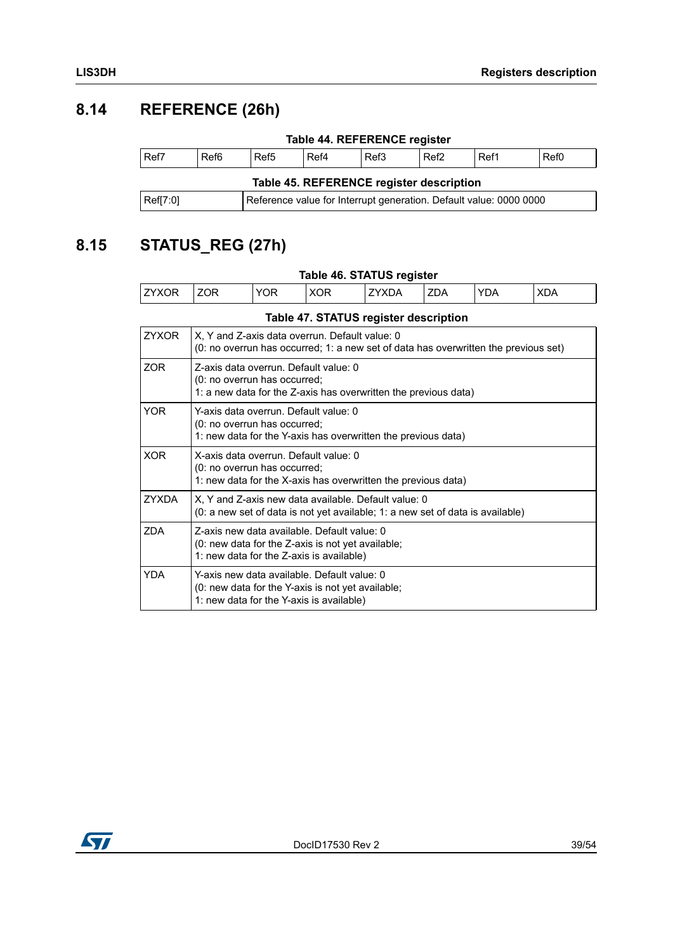### <span id="page-38-0"></span>**8.14 REFERENCE (26h)**

<span id="page-38-3"></span><span id="page-38-2"></span>

| Table 44. REFERENCE register             |                  |                  |      |      |                  |                                                                    |      |
|------------------------------------------|------------------|------------------|------|------|------------------|--------------------------------------------------------------------|------|
| Ref7                                     | Ref <sub>6</sub> | Ref <sub>5</sub> | Ref4 | Ref3 | Ref <sub>2</sub> | Ref1                                                               | Ref0 |
| Table 45. REFERENCE register description |                  |                  |      |      |                  |                                                                    |      |
| Ref[7:0]                                 |                  |                  |      |      |                  | Reference value for Interrupt generation. Default value: 0000 0000 |      |

# <span id="page-38-1"></span>**8.15 STATUS\_REG (27h)**

<span id="page-38-5"></span><span id="page-38-4"></span>

|              |                                                                                                                                          |            |                                                                                                                                                | Table 46. STATUS register                                                           |     |            |            |
|--------------|------------------------------------------------------------------------------------------------------------------------------------------|------------|------------------------------------------------------------------------------------------------------------------------------------------------|-------------------------------------------------------------------------------------|-----|------------|------------|
| <b>ZYXOR</b> | <b>ZOR</b>                                                                                                                               | <b>YOR</b> | <b>XOR</b>                                                                                                                                     | ZYXDA                                                                               | ZDA | <b>YDA</b> | <b>XDA</b> |
|              |                                                                                                                                          |            |                                                                                                                                                | Table 47. STATUS register description                                               |     |            |            |
| <b>ZYXOR</b> |                                                                                                                                          |            | X, Y and Z-axis data overrun. Default value: 0                                                                                                 | (0: no overrun has occurred; 1: a new set of data has overwritten the previous set) |     |            |            |
| ZOR          | Z-axis data overrun. Default value: 0<br>(0: no overrun has occurred;<br>1: a new data for the Z-axis has overwritten the previous data) |            |                                                                                                                                                |                                                                                     |     |            |            |
| <b>YOR</b>   | Y-axis data overrun. Default value: 0<br>(0: no overrun has occurred;<br>1: new data for the Y-axis has overwritten the previous data)   |            |                                                                                                                                                |                                                                                     |     |            |            |
| <b>XOR</b>   | X-axis data overrun. Default value: 0<br>(0: no overrun has occurred;<br>1: new data for the X-axis has overwritten the previous data)   |            |                                                                                                                                                |                                                                                     |     |            |            |
| <b>ZYXDA</b> | X, Y and Z-axis new data available. Default value: 0<br>(0: a new set of data is not yet available; 1: a new set of data is available)   |            |                                                                                                                                                |                                                                                     |     |            |            |
| <b>ZDA</b>   |                                                                                                                                          |            | Z-axis new data available. Default value: 0<br>$(0:$ new data for the Z-axis is not yet available;<br>1: new data for the Z-axis is available) |                                                                                     |     |            |            |
| <b>YDA</b>   |                                                                                                                                          |            | Y-axis new data available. Default value: 0<br>(0: new data for the Y-axis is not yet available;<br>1: new data for the Y-axis is available)   |                                                                                     |     |            |            |

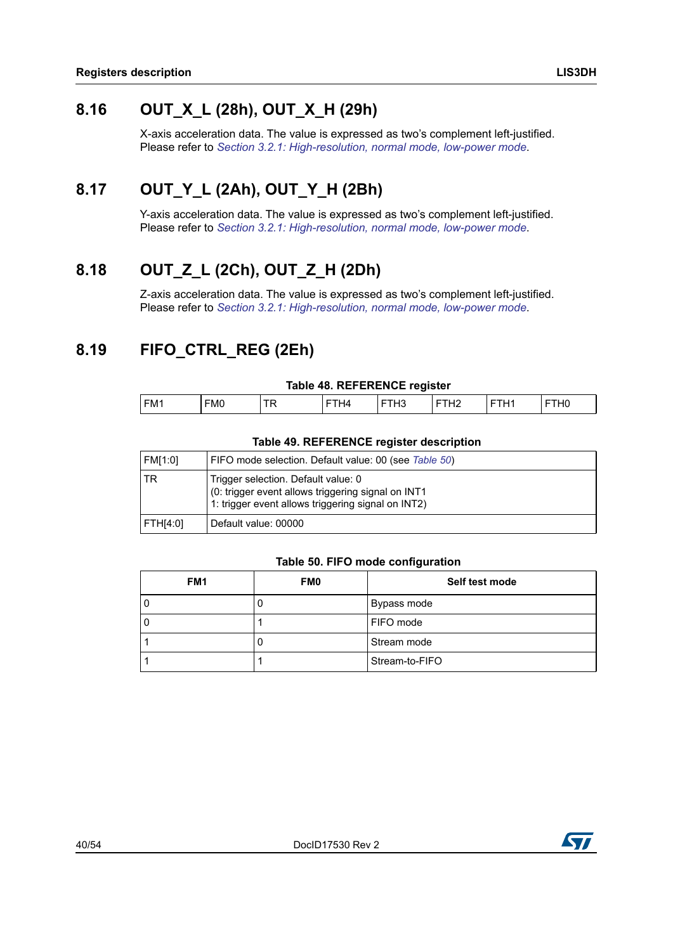### <span id="page-39-0"></span>**8.16 OUT\_X\_L (28h), OUT\_X\_H (29h)**

X-axis acceleration data. The value is expressed as two's complement left-justified. Please refer to *[Section 3.2.1: High-resolution, normal mode, low-power mode](#page-15-5)*.

### <span id="page-39-1"></span>**8.17 OUT\_Y\_L (2Ah), OUT\_Y\_H (2Bh)**

Y-axis acceleration data. The value is expressed as two's complement left-justified. Please refer to *[Section 3.2.1: High-resolution, normal mode, low-power mode](#page-15-5)*.

### <span id="page-39-2"></span>**8.18 OUT\_Z\_L (2Ch), OUT\_Z\_H (2Dh)**

Z-axis acceleration data. The value is expressed as two's complement left-justified. Please refer to *[Section 3.2.1: High-resolution, normal mode, low-power mode](#page-15-5)*.

### <span id="page-39-3"></span>**8.19 FIFO\_CTRL\_REG (2Eh)**

#### **Table 48. REFERENCE register**

<span id="page-39-4"></span>

| FM1 | <b>FMO</b> | -- | H4 | . | 14 | <b>CITY</b><br>-<br>п | T112<br>ΠV |
|-----|------------|----|----|---|----|-----------------------|------------|

#### **Table 49. REFERENCE register description**

<span id="page-39-5"></span>

| <b>FM[1:0]</b> | FIFO mode selection. Default value: 00 (see Table 50)                                                                                           |
|----------------|-------------------------------------------------------------------------------------------------------------------------------------------------|
| TR             | Trigger selection. Default value: 0<br>(0: trigger event allows triggering signal on INT1<br>1: trigger event allows triggering signal on INT2) |
| FTH[4:0]       | Default value: 00000                                                                                                                            |

#### **Table 50. FIFO mode configuration**

<span id="page-39-6"></span>

| FM <sub>1</sub> | FM <sub>0</sub> | Self test mode |
|-----------------|-----------------|----------------|
|                 |                 | Bypass mode    |
|                 |                 | FIFO mode      |
|                 |                 | Stream mode    |
|                 |                 | Stream-to-FIFO |

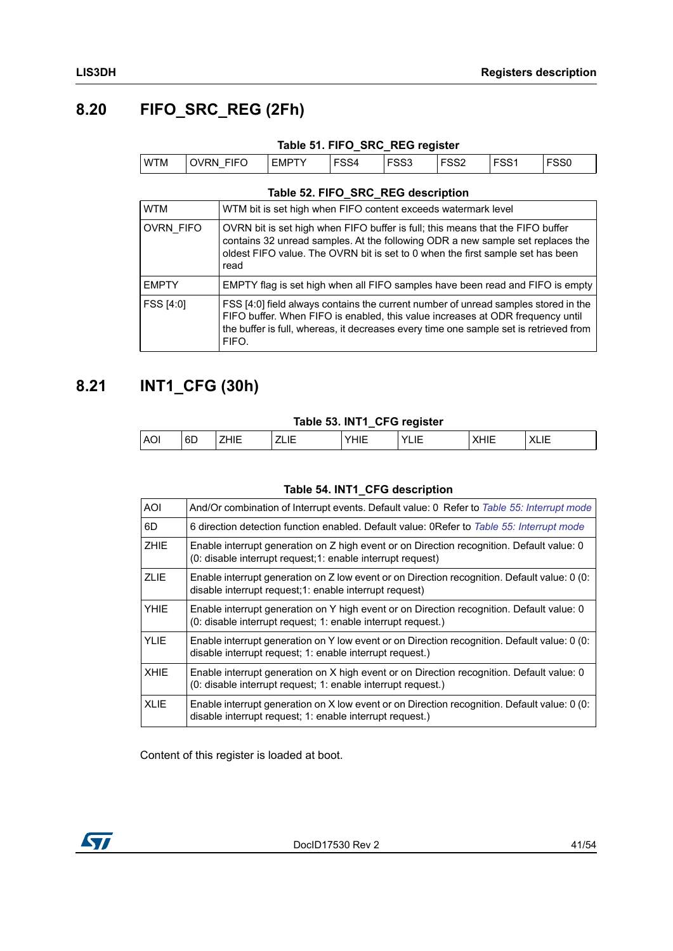### <span id="page-40-0"></span>**8.20 FIFO\_SRC\_REG (2Fh)**

<span id="page-40-2"></span>

|            |            | Table 51. FIFO_SRC_REG register |      |      |      |                  |      |
|------------|------------|---------------------------------|------|------|------|------------------|------|
| <b>WTM</b> | 'OVRN FIFO | <b>EMPTY</b>                    | FSS4 | FSS3 | FSS2 | FSS <sub>1</sub> | FSS0 |

#### **Table 52. FIFO\_SRC\_REG description**

<span id="page-40-3"></span>

| <b>WTM</b>       | WTM bit is set high when FIFO content exceeds watermark level                                                                                                                                                                                                          |
|------------------|------------------------------------------------------------------------------------------------------------------------------------------------------------------------------------------------------------------------------------------------------------------------|
| <b>OVRN FIFO</b> | OVRN bit is set high when FIFO buffer is full; this means that the FIFO buffer<br>contains 32 unread samples. At the following ODR a new sample set replaces the<br>oldest FIFO value. The OVRN bit is set to 0 when the first sample set has been<br>read             |
| <b>EMPTY</b>     | EMPTY flag is set high when all FIFO samples have been read and FIFO is empty                                                                                                                                                                                          |
| FSS [4:0]        | FSS [4:0] field always contains the current number of unread samples stored in the<br>FIFO buffer. When FIFO is enabled, this value increases at ODR frequency until<br>the buffer is full, whereas, it decreases every time one sample set is retrieved from<br>FIFO. |

### <span id="page-40-1"></span>**8.21 INT1\_CFG (30h)**

#### **Table 53. INT1\_CFG register**

<span id="page-40-4"></span>

| . .<br>-                                                                     |          | . .     |
|------------------------------------------------------------------------------|----------|---------|
| .<br>- 1 -<br>᠁<br>.<br>--<br>.<br>$\cdot$ $\cdot$ $\cdot$ $\cdot$<br>$\sim$ | 6D<br>AC | $\cdot$ |

#### **Table 54. INT1\_CFG description**

<span id="page-40-5"></span>

| AOI         | And/Or combination of Interrupt events. Default value: 0 Refer to Table 55: Interrupt mode                                                                |
|-------------|-----------------------------------------------------------------------------------------------------------------------------------------------------------|
| 6D          | 6 direction detection function enabled. Default value: 0Refer to Table 55: Interrupt mode                                                                 |
| <b>ZHIE</b> | Enable interrupt generation on Z high event or on Direction recognition. Default value: 0<br>(0: disable interrupt request; 1: enable interrupt request)  |
| <b>ZLIE</b> | Enable interrupt generation on Z low event or on Direction recognition. Default value: 0 (0:<br>disable interrupt request; 1: enable interrupt request)   |
| <b>YHIE</b> | Enable interrupt generation on Y high event or on Direction recognition. Default value: 0<br>(0: disable interrupt request; 1: enable interrupt request.) |
| <b>YLIE</b> | Enable interrupt generation on Y low event or on Direction recognition. Default value: 0 (0:<br>disable interrupt request; 1: enable interrupt request.)  |
| <b>XHIE</b> | Enable interrupt generation on X high event or on Direction recognition. Default value: 0<br>(0: disable interrupt request; 1: enable interrupt request.) |
| <b>XLIE</b> | Enable interrupt generation on X low event or on Direction recognition. Default value: 0 (0:<br>disable interrupt request; 1: enable interrupt request.)  |

Content of this register is loaded at boot.

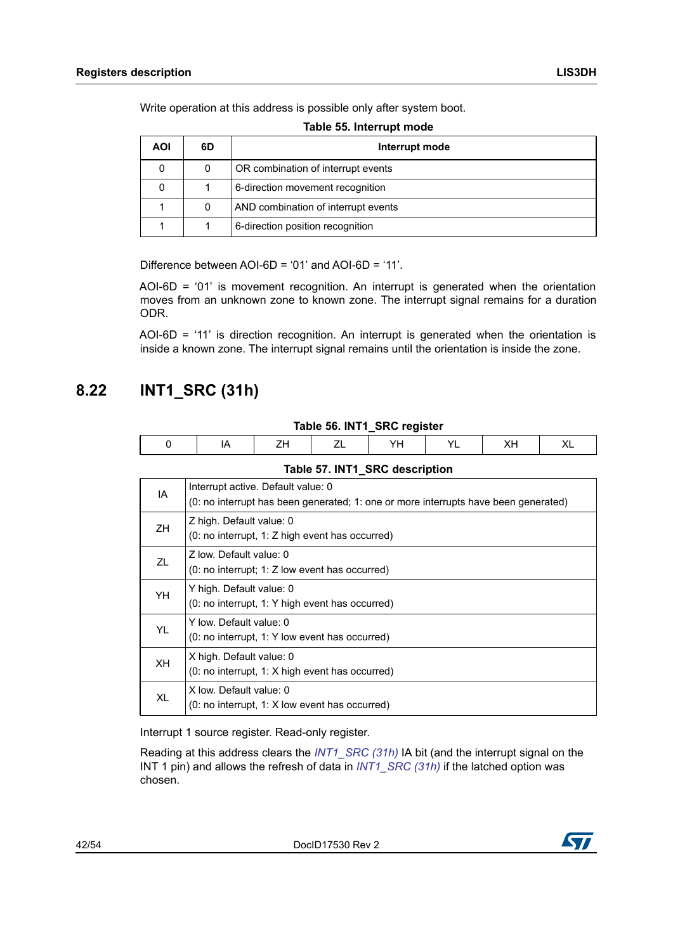Write operation at this address is possible only after system boot.

**Table 55. Interrupt mode**

<span id="page-41-1"></span>

| <b>AOI</b> | 6D | Interrupt mode                      |
|------------|----|-------------------------------------|
| 0          |    | OR combination of interrupt events  |
| 0          |    | 6-direction movement recognition    |
|            |    | AND combination of interrupt events |
|            |    | 6-direction position recognition    |

Difference between AOI-6D = '01' and AOI-6D = '11'.

AOI-6D = '01' is movement recognition. An interrupt is generated when the orientation moves from an unknown zone to known zone. The interrupt signal remains for a duration ODR.

 $AOL-6D = '11'$  is direction recognition. An interrupt is generated when the orientation is inside a known zone. The interrupt signal remains until the orientation is inside the zone.

### <span id="page-41-0"></span>**8.22 INT1\_SRC (31h)**

#### **Table 56. INT1\_SRC register**

<span id="page-41-2"></span>

| Table 57. INT1_SRC description |
|--------------------------------|
|--------------------------------|

<span id="page-41-3"></span>

| IA        | Interrupt active. Default value: 0<br>(0: no interrupt has been generated; 1: one or more interrupts have been generated) |
|-----------|---------------------------------------------------------------------------------------------------------------------------|
| ZH        | Z high. Default value: 0<br>(0: no interrupt, 1: Z high event has occurred)                                               |
| <b>71</b> | Z low. Default value: 0<br>$(0: no$ interrupt: 1: Z low event has occurred)                                               |
| YH.       | Y high. Default value: 0<br>(0: no interrupt, 1: Y high event has occurred)                                               |
| YL        | Y low. Default value: 0<br>(0: no interrupt, 1: Y low event has occurred)                                                 |
| XH.       | X high. Default value: 0<br>$(0: no$ interrupt, 1: X high event has occurred)                                             |
| XL        | X low. Default value: 0<br>(0: no interrupt, 1: X low event has occurred)                                                 |

Interrupt 1 source register. Read-only register.

Reading at this address clears the *[INT1\\_SRC \(31h\)](#page-41-0)* IA bit (and the interrupt signal on the INT 1 pin) and allows the refresh of data in *[INT1\\_SRC \(31h\)](#page-41-0)* if the latched option was chosen.

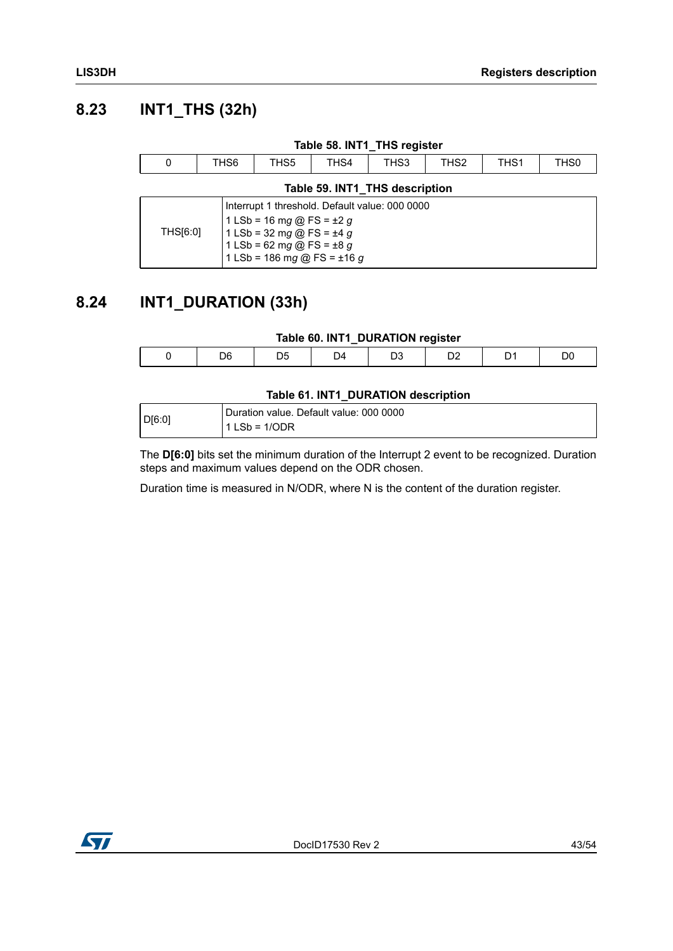### <span id="page-42-0"></span>**8.23 INT1\_THS (32h)**

<span id="page-42-3"></span><span id="page-42-2"></span>

| Table 58. INT1_THS register |  |  |                                                                                                                                        |      |                                                |                  |                  |      |  |
|-----------------------------|--|--|----------------------------------------------------------------------------------------------------------------------------------------|------|------------------------------------------------|------------------|------------------|------|--|
| 0<br>THS6                   |  |  | THS5                                                                                                                                   | THS4 | THS3                                           | THS <sub>2</sub> | THS <sub>1</sub> | THS0 |  |
|                             |  |  |                                                                                                                                        |      | Table 59. INT1 THS description                 |                  |                  |      |  |
| THS[6:0]                    |  |  | 1 LSb = 16 mg @ FS = $\pm 2$ g<br>1 LSb = 32 mg @ FS = $\pm 4$ g<br>1 LSb = 62 mg @ FS = $\pm 8$ g<br>1 LSb = 186 mg @ FS = $\pm$ 16 g |      | Interrupt 1 threshold. Default value: 000 0000 |                  |                  |      |  |

## <span id="page-42-1"></span>**8.24 INT1\_DURATION (33h)**

#### **Table 60. INT1\_DURATION register**

<span id="page-42-4"></span>

#### **Table 61. INT1\_DURATION description**

<span id="page-42-5"></span>

|        | Duration value. Default value: 000 0000 |
|--------|-----------------------------------------|
| D[6:0] | $11$ LSb = 1/ODR                        |

The **D[6:0]** bits set the minimum duration of the Interrupt 2 event to be recognized. Duration steps and maximum values depend on the ODR chosen.

Duration time is measured in N/ODR, where N is the content of the duration register.

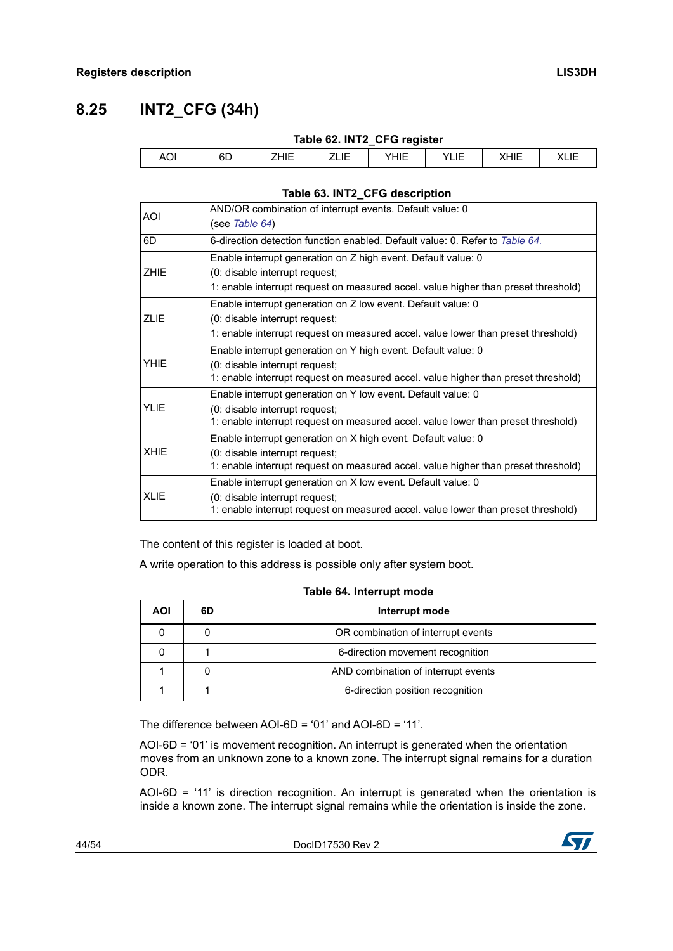### <span id="page-43-0"></span>**8.25 INT2\_CFG (34h)**

<span id="page-43-1"></span>

| Table 62. INT2_CFG register |    |      |      |      |      |      |  |  |  |
|-----------------------------|----|------|------|------|------|------|--|--|--|
| AOI                         | 6D | ZHIE | ZLIE | YHIE | YLIE | XHIE |  |  |  |

#### **Table 63. INT2\_CFG description**

<span id="page-43-2"></span>

| <b>AOI</b>  | AND/OR combination of interrupt events. Default value: 0                           |
|-------------|------------------------------------------------------------------------------------|
|             | (see Table 64)                                                                     |
| 6D          | 6-direction detection function enabled. Default value: 0. Refer to Table 64.       |
|             | Enable interrupt generation on Z high event. Default value: 0                      |
| <b>ZHIE</b> | (0: disable interrupt request;                                                     |
|             | 1: enable interrupt request on measured accel. value higher than preset threshold) |
|             | Enable interrupt generation on Z low event. Default value: 0                       |
| <b>ZLIE</b> | (0: disable interrupt request;                                                     |
|             | 1: enable interrupt request on measured accel. value lower than preset threshold)  |
|             | Enable interrupt generation on Y high event. Default value: 0                      |
| <b>YHIE</b> | (0: disable interrupt request;                                                     |
|             | 1: enable interrupt request on measured accel. value higher than preset threshold) |
|             | Enable interrupt generation on Y low event. Default value: 0                       |
| <b>YLIE</b> | (0: disable interrupt request;                                                     |
|             | 1: enable interrupt request on measured accel. value lower than preset threshold)  |
|             | Enable interrupt generation on X high event. Default value: 0                      |
| <b>XHIE</b> | (0: disable interrupt request;                                                     |
|             | 1: enable interrupt request on measured accel. value higher than preset threshold) |
|             | Enable interrupt generation on X low event. Default value: 0                       |
| <b>XLIE</b> | (0: disable interrupt request;                                                     |
|             | 1: enable interrupt request on measured accel. value lower than preset threshold)  |

The content of this register is loaded at boot.

A write operation to this address is possible only after system boot.

#### **Table 64. Interrupt mode**

<span id="page-43-3"></span>

| AOI | 6D | Interrupt mode                      |
|-----|----|-------------------------------------|
|     |    | OR combination of interrupt events  |
|     |    | 6-direction movement recognition    |
|     |    | AND combination of interrupt events |
|     |    | 6-direction position recognition    |

The difference between AOI-6D = '01' and AOI-6D = '11'.

AOI-6D = '01' is movement recognition. An interrupt is generated when the orientation moves from an unknown zone to a known zone. The interrupt signal remains for a duration ODR.

AOI-6D = '11' is direction recognition. An interrupt is generated when the orientation is inside a known zone. The interrupt signal remains while the orientation is inside the zone.

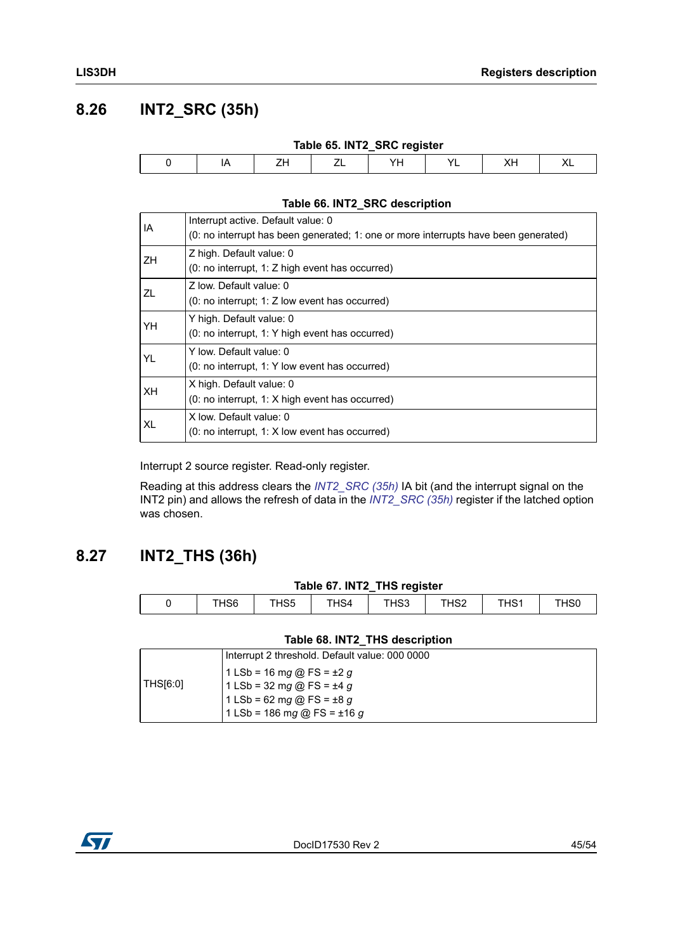### <span id="page-44-0"></span>**8.26 INT2\_SRC (35h)**

<span id="page-44-2"></span>

| Table 65. INT2_SRC register |  |        |    |  |     |   |  |  |
|-----------------------------|--|--------|----|--|-----|---|--|--|
|                             |  | ⇁<br>∸ | VL |  | VL. | ' |  |  |

#### **Table 66. INT2\_SRC description**

<span id="page-44-3"></span>

| IA | Interrupt active. Default value: 0<br>(0: no interrupt has been generated; 1: one or more interrupts have been generated) |
|----|---------------------------------------------------------------------------------------------------------------------------|
| ΖH | Z high. Default value: 0<br>(0: no interrupt, 1: Z high event has occurred)                                               |
| ΖL | 7 low. Default value: 0<br>$(0: no$ interrupt; 1: Z low event has occurred)                                               |
| YH | Y high. Default value: 0<br>(0: no interrupt, 1: Y high event has occurred)                                               |
| YL | Y low. Default value: 0<br>(0: no interrupt, 1: Y low event has occurred)                                                 |
| XН | X high. Default value: 0<br>$(0: no$ interrupt, 1: X high event has occurred)                                             |
| XL | X low. Default value: 0<br>$(0: no$ interrupt, 1: X low event has occurred)                                               |

Interrupt 2 source register. Read-only register.

Reading at this address clears the *[INT2\\_SRC \(35h\)](#page-44-0)* IA bit (and the interrupt signal on the INT2 pin) and allows the refresh of data in the *[INT2\\_SRC \(35h\)](#page-44-0)* register if the latched option was chosen.

### <span id="page-44-1"></span>**8.27 INT2\_THS (36h)**

#### **Table 67. INT2\_THS register**

<span id="page-44-4"></span>

| THS6 | THS5 | THS4 | THS3 | THS2 | THS <sub>1</sub> | TH <sub>S0</sub> |
|------|------|------|------|------|------------------|------------------|

#### **Table 68. INT2\_THS description**

<span id="page-44-5"></span>

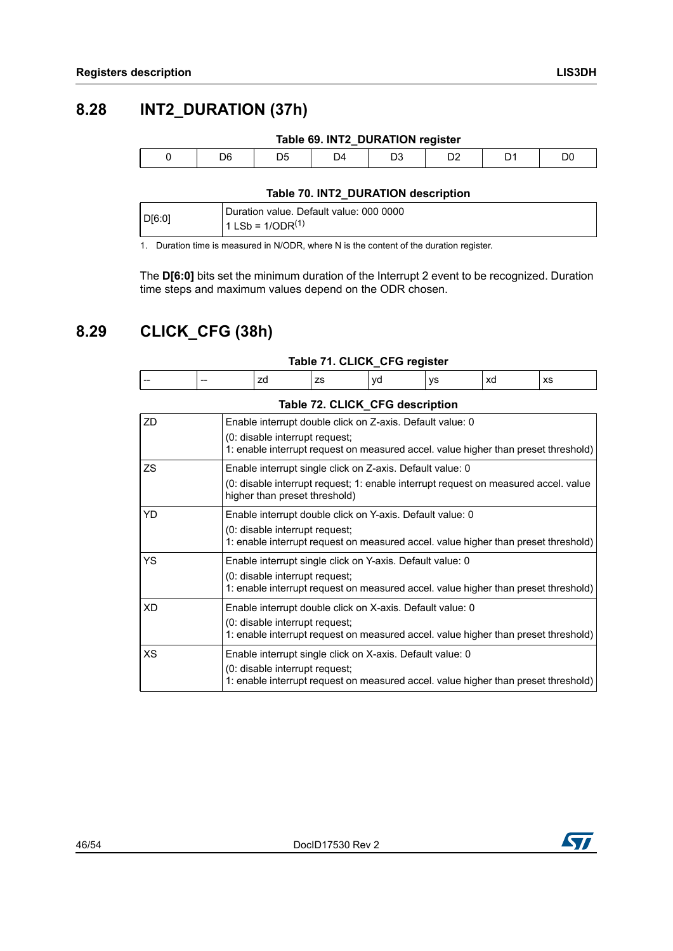<span id="page-45-2"></span><span id="page-45-0"></span>

| Table 69. INT2_DURATION register |    |    |   |  |  |    |  |  |
|----------------------------------|----|----|---|--|--|----|--|--|
| D6                               | D5 | D4 | ט |  |  | DC |  |  |

#### **Table 70. INT2\_DURATION description**

<span id="page-45-3"></span>

| D <sub>16:0</sub> 1 | ' Duration value. Default value: 000 0000 |
|---------------------|-------------------------------------------|
|                     | $1$ LSb = 1/ODR <sup>(1)</sup>            |

1. Duration time is measured in N/ODR, where N is the content of the duration register.

The **D[6:0]** bits set the minimum duration of the Interrupt 2 event to be recognized. Duration time steps and maximum values depend on the ODR chosen.

### <span id="page-45-1"></span>**8.29 CLICK\_CFG (38h)**

<span id="page-45-4"></span>

| zd<br>va<br>xd<br>vs<br>XS<br>zs<br>$- -$<br>$- -$ | Table 71. CLICK_CFG register |  |  |  |  |  |  |  |  |
|----------------------------------------------------|------------------------------|--|--|--|--|--|--|--|--|
|                                                    |                              |  |  |  |  |  |  |  |  |

<span id="page-45-5"></span>

|     | Table 72. CLICK_CFG description                                                                                                                                                   |
|-----|-----------------------------------------------------------------------------------------------------------------------------------------------------------------------------------|
| ZD  | Enable interrupt double click on Z-axis. Default value: 0<br>(0: disable interrupt request;<br>1: enable interrupt request on measured accel. value higher than preset threshold) |
| ZS. | Enable interrupt single click on Z-axis. Default value: 0<br>(0: disable interrupt request; 1: enable interrupt request on measured accel. value<br>higher than preset threshold) |
| YD. | Enable interrupt double click on Y-axis. Default value: 0<br>(0: disable interrupt request;<br>1: enable interrupt request on measured accel. value higher than preset threshold) |
| YS. | Enable interrupt single click on Y-axis. Default value: 0<br>(0: disable interrupt request;<br>1: enable interrupt request on measured accel. value higher than preset threshold) |
| XD. | Enable interrupt double click on X-axis. Default value: 0<br>(0: disable interrupt request;<br>1: enable interrupt request on measured accel. value higher than preset threshold) |
| XS  | Enable interrupt single click on X-axis. Default value: 0<br>(0: disable interrupt request;<br>1: enable interrupt request on measured accel. value higher than preset threshold) |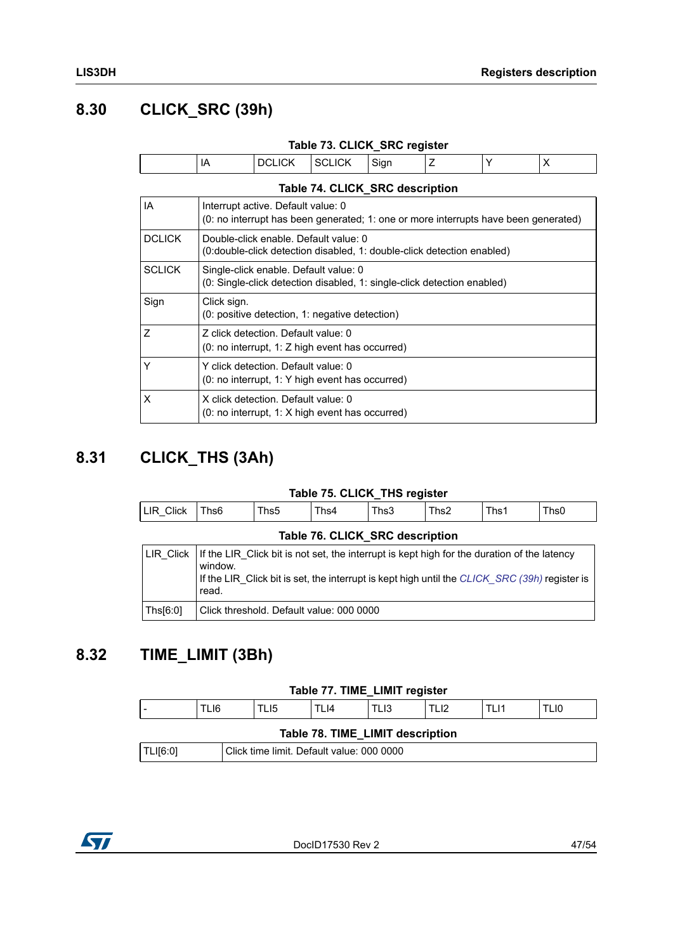### <span id="page-46-0"></span>**8.30 CLICK\_SRC (39h)**

<span id="page-46-3"></span>

| Table 73. CLICK_SRC register |    |               |               |      |  |  |           |
|------------------------------|----|---------------|---------------|------|--|--|-----------|
|                              | רו | <b>DCLICK</b> | <b>SCLICK</b> | Sian |  |  | $\lambda$ |

<span id="page-46-4"></span>

|                | Table 74. CLICK_SRC description                                                                                           |
|----------------|---------------------------------------------------------------------------------------------------------------------------|
| IA             | Interrupt active. Default value: 0<br>(0: no interrupt has been generated; 1: one or more interrupts have been generated) |
| <b>DCLICK</b>  | Double-click enable. Default value: 0<br>(0:double-click detection disabled, 1: double-click detection enabled)           |
| <b>SCLICK</b>  | Single-click enable. Default value: 0<br>(0: Single-click detection disabled, 1: single-click detection enabled)          |
| Sign           | Click sign.<br>(0: positive detection, 1: negative detection)                                                             |
| $\overline{z}$ | Z click detection. Default value: 0<br>(0: no interrupt, 1: Z high event has occurred)                                    |
| Y              | Y click detection. Default value: 0<br>(0: no interrupt, 1: Y high event has occurred)                                    |
| X              | X click detection. Default value: 0<br>$(0: no$ interrupt, 1: X high event has occurred)                                  |

## <span id="page-46-1"></span>**8.31 CLICK\_THS (3Ah)**

#### **Table 75. CLICK\_THS register**

<span id="page-46-6"></span><span id="page-46-5"></span>

| LIR Click                                                                                                                                                                                                                          | Ths6 | Ths5 | Ths4 | Ths3 | Ths2 | Ths1 | Ths0 |
|------------------------------------------------------------------------------------------------------------------------------------------------------------------------------------------------------------------------------------|------|------|------|------|------|------|------|
| Table 76. CLICK SRC description                                                                                                                                                                                                    |      |      |      |      |      |      |      |
| LIR Click $\vert$ If the LIR Click bit is not set, the interrupt is kept high for the duration of the latency<br>window.<br>If the LIR Click bit is set, the interrupt is kept high until the CLICK_SRC (39h) register is<br>read. |      |      |      |      |      |      |      |

## <span id="page-46-2"></span>**8.32 TIME\_LIMIT (3Bh)**

Ths[6:0] Click threshold. Default value: 000 0000

#### **Table 77. TIME\_LIMIT register**

<span id="page-46-8"></span><span id="page-46-7"></span>

|                                                       |                                  | TLI6 | TLI5 | TLI4 | TLI3. | TLI2 | TLI1 | LI0 |
|-------------------------------------------------------|----------------------------------|------|------|------|-------|------|------|-----|
|                                                       | Table 78. TIME LIMIT description |      |      |      |       |      |      |     |
| Click time limit. Default value: 000 0000<br>TLI[6:0] |                                  |      |      |      |       |      |      |     |

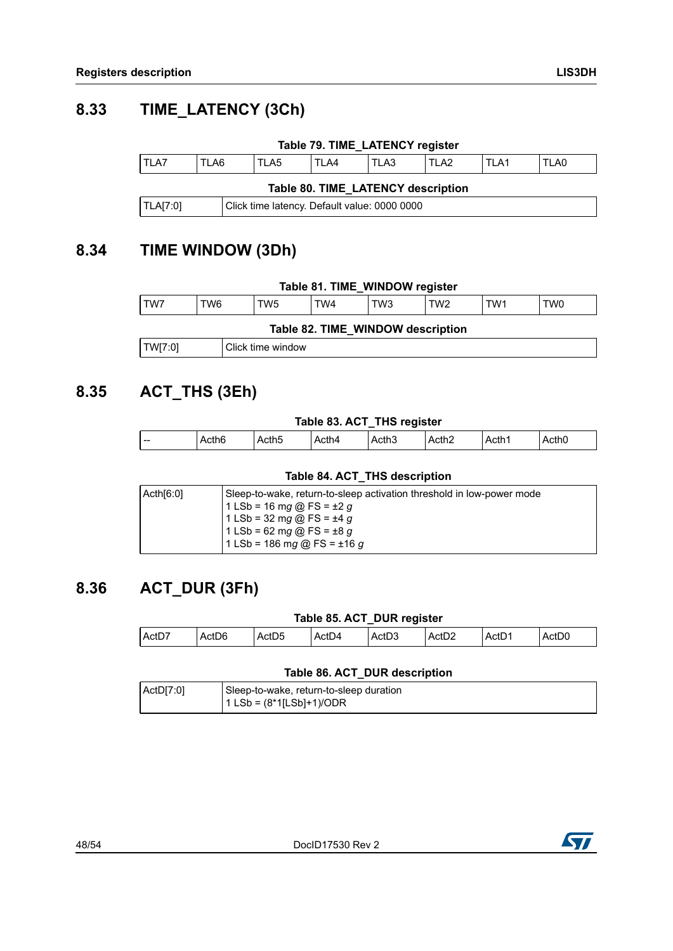### <span id="page-47-0"></span>**8.33 TIME\_LATENCY (3Ch)**

<span id="page-47-5"></span><span id="page-47-4"></span>

| Table 79. TIME_LATENCY register    |       |                                              |       |       |       |       |      |
|------------------------------------|-------|----------------------------------------------|-------|-------|-------|-------|------|
| TLA7                               | TI A6 | TI A5                                        | TI A4 | TI A3 | TI A2 | TI A1 | TLA0 |
| Table 80. TIME_LATENCY description |       |                                              |       |       |       |       |      |
| TLA[7:0]                           |       | Click time latency. Default value: 0000 0000 |       |       |       |       |      |

### <span id="page-47-1"></span>**8.34 TIME WINDOW (3Dh)**

<span id="page-47-7"></span><span id="page-47-6"></span>

### <span id="page-47-2"></span>**8.35 ACT\_THS (3Eh)**

#### **Table 83. ACT\_THS register**

<span id="page-47-8"></span>

| Acth <sub>5</sub><br>Acth <sub>2</sub><br>Acth <sub>0</sub><br>Acth6<br>Acth <sub>3</sub><br>Acth4<br>Acth1 |       |  | __<br>__ |  |  |
|-------------------------------------------------------------------------------------------------------------|-------|--|----------|--|--|
|                                                                                                             | $- -$ |  |          |  |  |

#### **Table 84. ACT\_THS description**

<span id="page-47-9"></span>

| Sleep-to-wake, return-to-sleep activation threshold in low-power mode<br>$1$ LSb = 16 mg @ FS = ±2 g<br>$1$ LSb = 32 mg @ FS = ±4 g |
|-------------------------------------------------------------------------------------------------------------------------------------|
| $1$ LSb = 62 mg @ FS = ±8 g<br>$1$ LSb = 186 mg @ FS = ±16 g                                                                        |
|                                                                                                                                     |

### <span id="page-47-3"></span>**8.36 ACT\_DUR (3Fh)**

### **Table 85. ACT\_DUR register**

<span id="page-47-10"></span>

| ActD<br>Act <sub>D4</sub><br>ActD7<br>ActD <sub>2</sub><br>Act <sub>D0</sub><br>ActD5<br>ActD3<br>$-$<br>ActD6<br>$\Lambda$ otl |  |
|---------------------------------------------------------------------------------------------------------------------------------|--|
|---------------------------------------------------------------------------------------------------------------------------------|--|

#### **Table 86. ACT\_DUR description**

<span id="page-47-11"></span>

| ActD[7:0] | Sleep-to-wake, return-to-sleep duration |
|-----------|-----------------------------------------|
|           | 1 LSb = (8*1[LSb]+1)/ODR                |

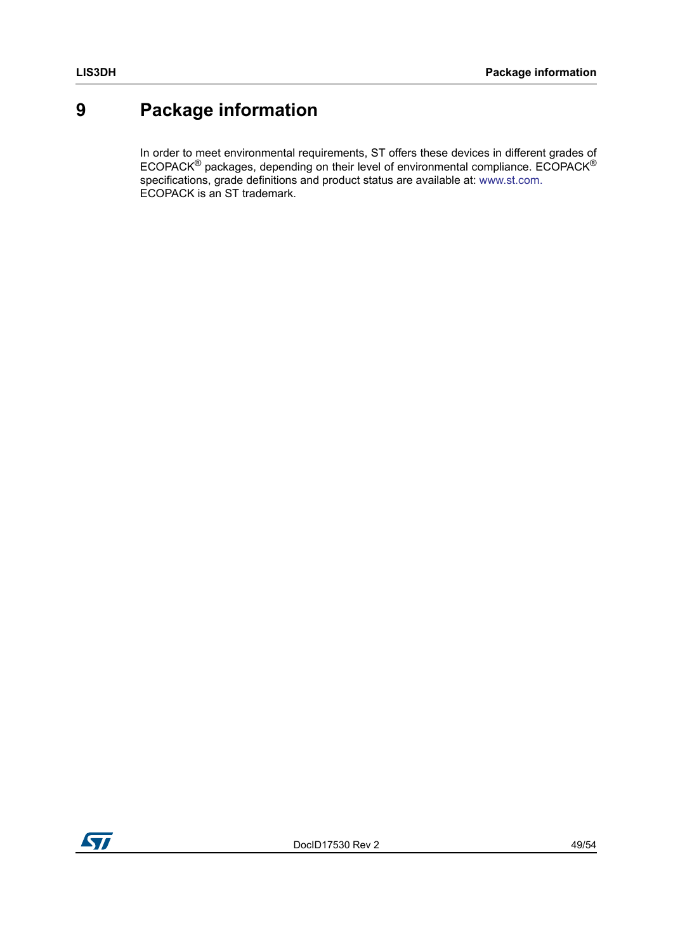# <span id="page-48-0"></span>**9 Package information**

In order to meet environmental requirements, ST offers these devices in different grades of ECOPACK® packages, depending on their level of environmental compliance. ECOPACK® specifications, grade definitions and product status are available at: www.st.com. ECOPACK is an ST trademark.

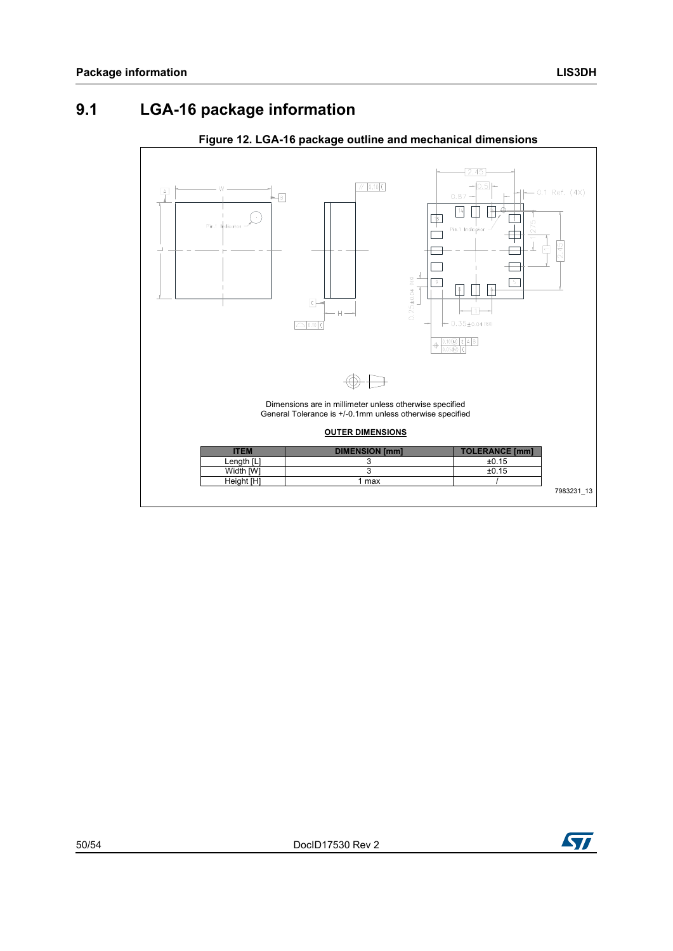### <span id="page-49-0"></span>**9.1 LGA-16 package information**

<span id="page-49-1"></span>

#### **Figure 12. LGA-16 package outline and mechanical dimensions**

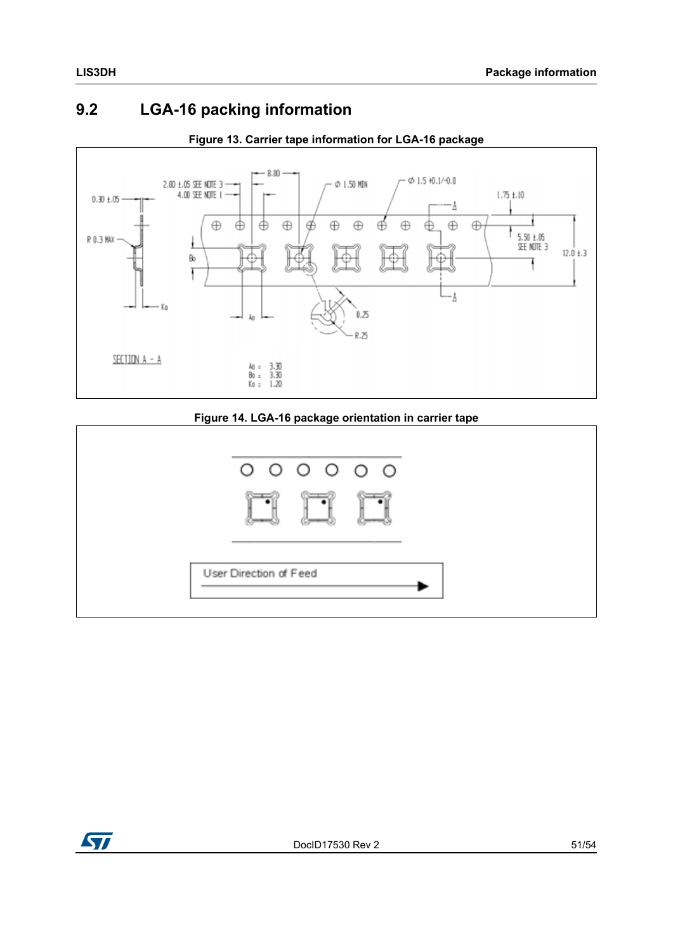### <span id="page-50-0"></span>**9.2 LGA-16 packing information**

<span id="page-50-1"></span>

#### **Figure 13. Carrier tape information for LGA-16 package**

#### **Figure 14. LGA-16 package orientation in carrier tape**

<span id="page-50-2"></span>

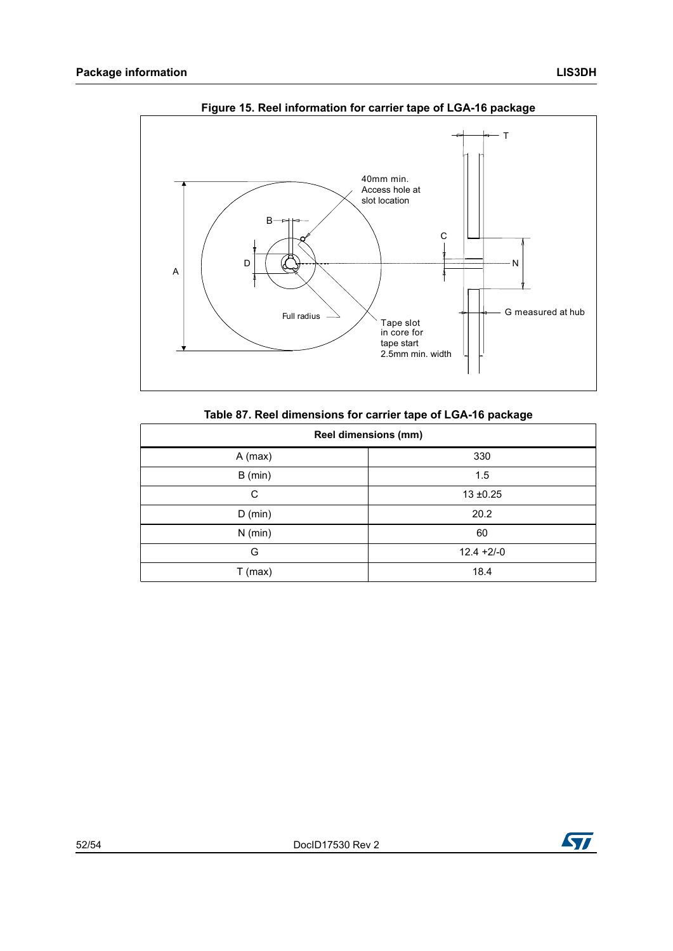<span id="page-51-1"></span>

**Figure 15. Reel information for carrier tape of LGA-16 package** 

|  |  |  | Table 87. Reel dimensions for carrier tape of LGA-16 package |  |
|--|--|--|--------------------------------------------------------------|--|
|--|--|--|--------------------------------------------------------------|--|

<span id="page-51-0"></span>

| <b>Reel dimensions (mm)</b> |              |  |  |
|-----------------------------|--------------|--|--|
| $A$ (max)                   | 330          |  |  |
| $B$ (min)                   | 1.5          |  |  |
| C                           | $13 + 0.25$  |  |  |
| $D$ (min)                   | 20.2         |  |  |
| $N$ (min)                   | 60           |  |  |
| G                           | $12.4 +2/-0$ |  |  |
| $T$ (max)                   | 18.4         |  |  |

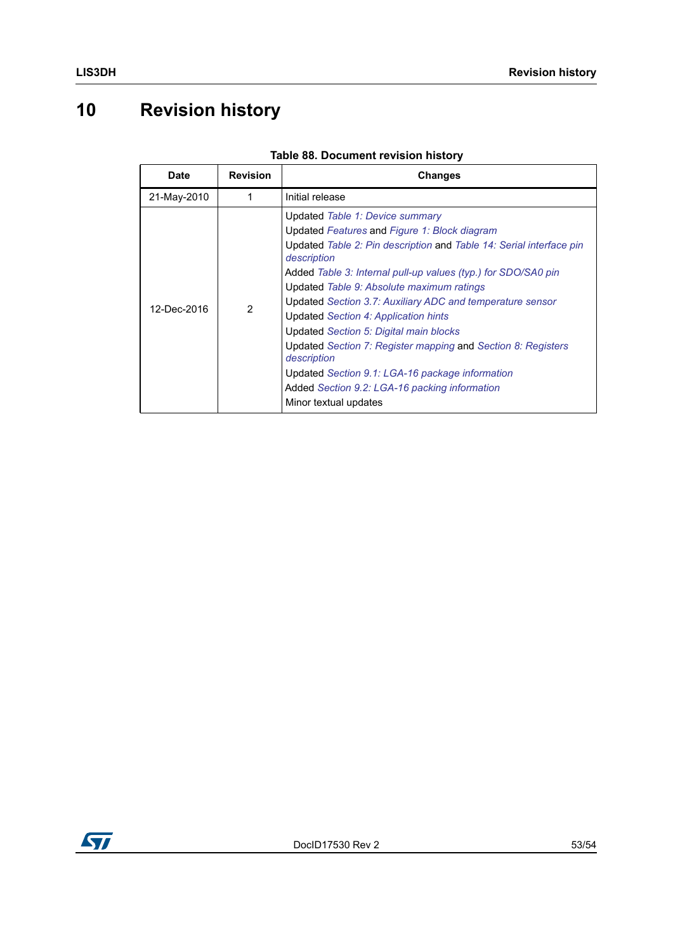# <span id="page-52-0"></span>**10 Revision history**

<span id="page-52-1"></span>

| <b>Date</b> | <b>Revision</b> | <b>Changes</b>                                                                                                                                                                                                                                                                                                                                                                                                                                                                                                                                                                                                                                 |
|-------------|-----------------|------------------------------------------------------------------------------------------------------------------------------------------------------------------------------------------------------------------------------------------------------------------------------------------------------------------------------------------------------------------------------------------------------------------------------------------------------------------------------------------------------------------------------------------------------------------------------------------------------------------------------------------------|
| 21-May-2010 | 1               | Initial release                                                                                                                                                                                                                                                                                                                                                                                                                                                                                                                                                                                                                                |
| 12-Dec-2016 | 2               | Updated Table 1: Device summary<br>Updated Features and Figure 1: Block diagram<br>Updated Table 2: Pin description and Table 14: Serial interface pin<br>description<br>Added Table 3: Internal pull-up values (typ.) for SDO/SA0 pin<br>Updated Table 9: Absolute maximum ratings<br>Updated Section 3.7: Auxiliary ADC and temperature sensor<br>Updated Section 4: Application hints<br>Updated Section 5: Digital main blocks<br>Updated Section 7: Register mapping and Section 8: Registers<br>description<br>Updated Section 9.1: LGA-16 package information<br>Added Section 9.2: LGA-16 packing information<br>Minor textual updates |

#### **Table 88. Document revision history**

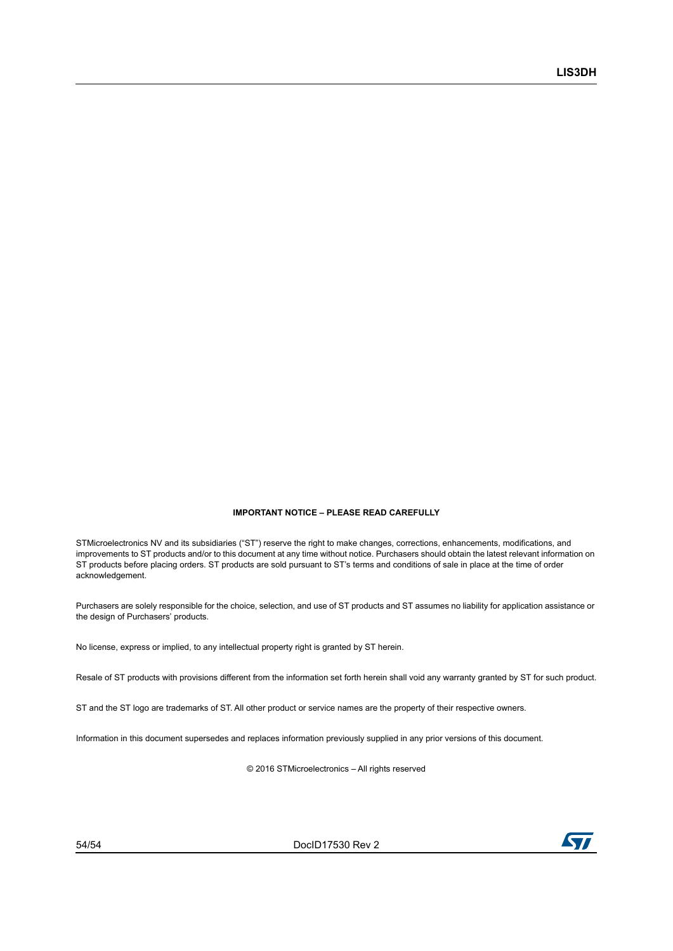#### **IMPORTANT NOTICE – PLEASE READ CAREFULLY**

STMicroelectronics NV and its subsidiaries ("ST") reserve the right to make changes, corrections, enhancements, modifications, and improvements to ST products and/or to this document at any time without notice. Purchasers should obtain the latest relevant information on ST products before placing orders. ST products are sold pursuant to ST's terms and conditions of sale in place at the time of order acknowledgement.

Purchasers are solely responsible for the choice, selection, and use of ST products and ST assumes no liability for application assistance or the design of Purchasers' products.

No license, express or implied, to any intellectual property right is granted by ST herein.

Resale of ST products with provisions different from the information set forth herein shall void any warranty granted by ST for such product.

ST and the ST logo are trademarks of ST. All other product or service names are the property of their respective owners.

Information in this document supersedes and replaces information previously supplied in any prior versions of this document.

© 2016 STMicroelectronics – All rights reserved

54/54 DocID17530 Rev 2